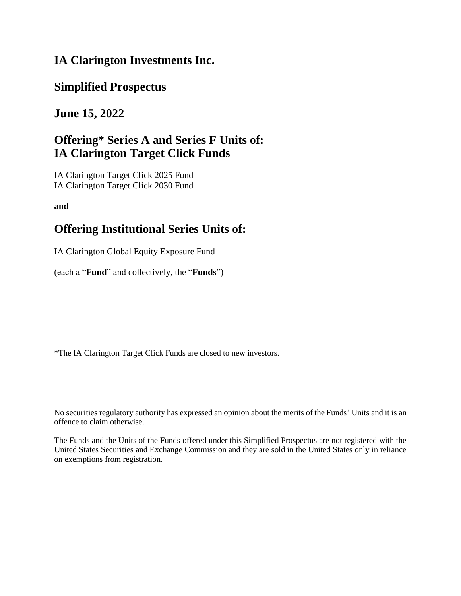## **IA Clarington Investments Inc.**

## **Simplified Prospectus**

## **June 15, 2022**

# **Offering\* Series A and Series F Units of: IA Clarington Target Click Funds**

IA Clarington Target Click 2025 Fund IA Clarington Target Click 2030 Fund

**and**

# **Offering Institutional Series Units of:**

IA Clarington Global Equity Exposure Fund

(each a "**Fund**" and collectively, the "**Funds**")

\*The IA Clarington Target Click Funds are closed to new investors.

No securities regulatory authority has expressed an opinion about the merits of the Funds' Units and it is an offence to claim otherwise.

The Funds and the Units of the Funds offered under this Simplified Prospectus are not registered with the United States Securities and Exchange Commission and they are sold in the United States only in reliance on exemptions from registration.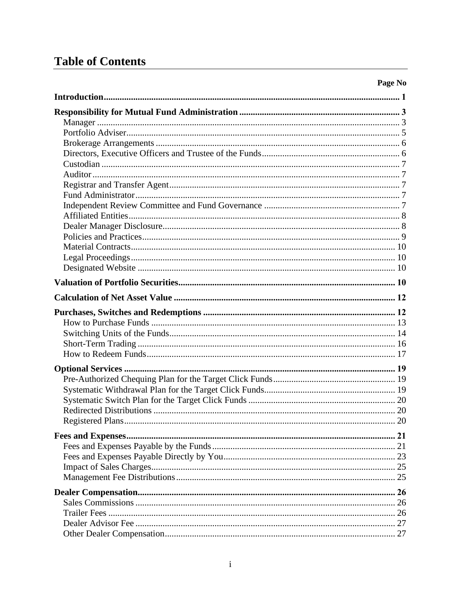# **Table of Contents**

| n<br>70<br>≈<br>19 | ٧<br>n |
|--------------------|--------|
|--------------------|--------|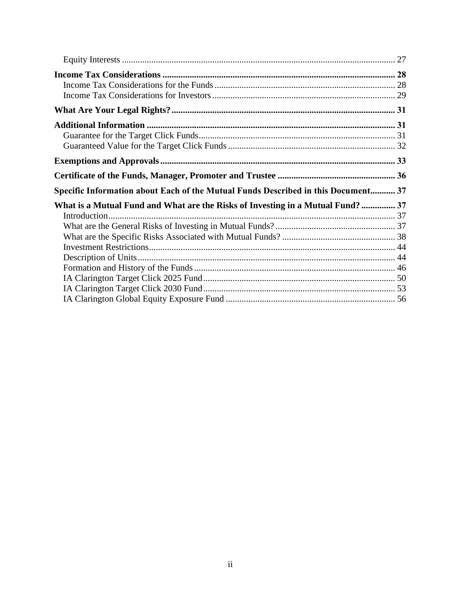| Specific Information about Each of the Mutual Funds Described in this Document 37 |  |
|-----------------------------------------------------------------------------------|--|
| What is a Mutual Fund and What are the Risks of Investing in a Mutual Fund?  37   |  |
|                                                                                   |  |
|                                                                                   |  |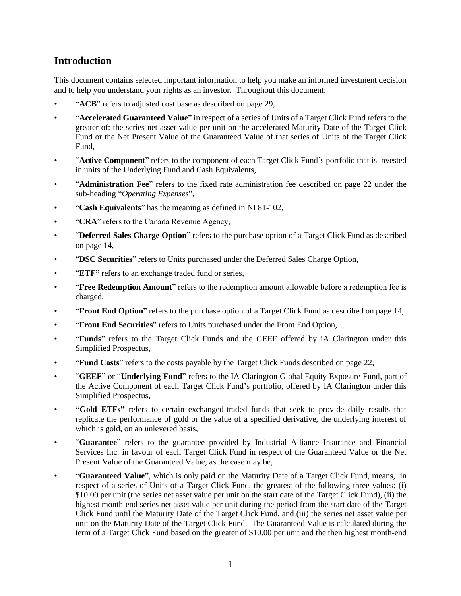## <span id="page-3-0"></span>**Introduction**

This document contains selected important information to help you make an informed investment decision and to help you understand your rights as an investor. Throughout this document:

- "**ACB**" refers to adjusted cost base as described on page 29,
- "**Accelerated Guaranteed Value**" in respect of a series of Units of a Target Click Fund refers to the greater of: the series net asset value per unit on the accelerated Maturity Date of the Target Click Fund or the Net Present Value of the Guaranteed Value of that series of Units of the Target Click Fund,
- "**Active Component**" refers to the component of each Target Click Fund's portfolio that is invested in units of the Underlying Fund and Cash Equivalents,
- "**Administration Fee**" refers to the fixed rate administration fee described on page [22](#page-24-0) under the sub-heading "*Operating Expenses*",
- "**Cash Equivalents**" has the meaning as defined in NI 81-102,
- "**CRA**" refers to the Canada Revenue Agency,
- "**Deferred Sales Charge Option**" refers to the purchase option of a Target Click Fund as described on page [14,](#page-16-1)
- "**DSC Securities**" refers to Units purchased under the Deferred Sales Charge Option,
- "**ETF"** refers to an exchange traded fund or series,
- "**Free Redemption Amount**" refers to the redemption amount allowable before a redemption fee is charged,
- "**Front End Option**" refers to the purchase option of a Target Click Fund as described on page [14,](#page-16-2)
- "**Front End Securities**" refers to Units purchased under the Front End Option,
- "**Funds**" refers to the Target Click Funds and the GEEF offered by iA Clarington under this Simplified Prospectus,
- "**Fund Costs**" refers to the costs payable by the Target Click Funds described on page [22,](#page-24-1)
- "**GEEF**" or "**Underlying Fund**" refers to the IA Clarington Global Equity Exposure Fund, part of the Active Component of each Target Click Fund's portfolio, offered by IA Clarington under this Simplified Prospectus,
- **"Gold ETFs"** refers to certain exchanged-traded funds that seek to provide daily results that replicate the performance of gold or the value of a specified derivative, the underlying interest of which is gold, on an unlevered basis,
- "**Guarantee**" refers to the guarantee provided by Industrial Alliance Insurance and Financial Services Inc. in favour of each Target Click Fund in respect of the Guaranteed Value or the Net Present Value of the Guaranteed Value, as the case may be,
- "**Guaranteed Value**", which is only paid on the Maturity Date of a Target Click Fund, means, in respect of a series of Units of a Target Click Fund, the greatest of the following three values: (i) \$10.00 per unit (the series net asset value per unit on the start date of the Target Click Fund), (ii) the highest month-end series net asset value per unit during the period from the start date of the Target Click Fund until the Maturity Date of the Target Click Fund, and (iii) the series net asset value per unit on the Maturity Date of the Target Click Fund. The Guaranteed Value is calculated during the term of a Target Click Fund based on the greater of \$10.00 per unit and the then highest month-end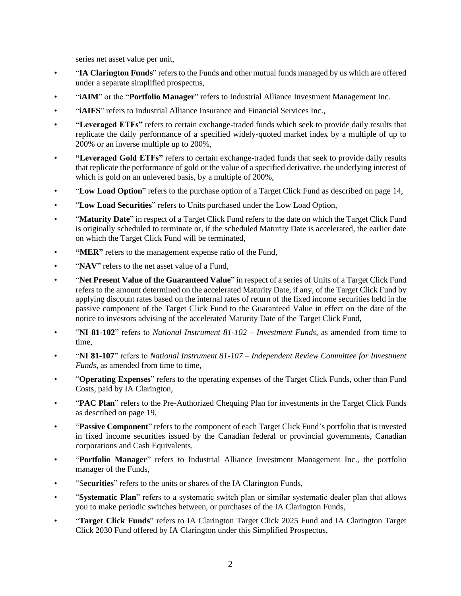series net asset value per unit,

- "**IA Clarington Funds**" refers to the Funds and other mutual funds managed by us which are offered under a separate simplified prospectus,
- "i**AIM**" or the "**Portfolio Manager**" refers to Industrial Alliance Investment Management Inc.
- "**iAIFS**" refers to Industrial Alliance Insurance and Financial Services Inc.,
- **"Leveraged ETFs"** refers to certain exchange-traded funds which seek to provide daily results that replicate the daily performance of a specified widely-quoted market index by a multiple of up to 200% or an inverse multiple up to 200%,
- **"Leveraged Gold ETFs"** refers to certain exchange-traded funds that seek to provide daily results that replicate the performance of gold or the value of a specified derivative, the underlying interest of which is gold on an unlevered basis, by a multiple of 200%,
- "**Low Load Option**" refers to the purchase option of a Target Click Fund as described on pag[e 14,](#page-16-3)
- "**Low Load Securities**" refers to Units purchased under the Low Load Option,
- "**Maturity Date**" in respect of a Target Click Fund refers to the date on which the Target Click Fund is originally scheduled to terminate or, if the scheduled Maturity Date is accelerated, the earlier date on which the Target Click Fund will be terminated,
- **"MER"** refers to the management expense ratio of the Fund,
- "**NAV**" refers to the net asset value of a Fund.
- "**Net Present Value of the Guaranteed Value**" in respect of a series of Units of a Target Click Fund refers to the amount determined on the accelerated Maturity Date, if any, of the Target Click Fund by applying discount rates based on the internal rates of return of the fixed income securities held in the passive component of the Target Click Fund to the Guaranteed Value in effect on the date of the notice to investors advising of the accelerated Maturity Date of the Target Click Fund,
- "**NI 81-102**" refers to *National Instrument 81-102 – Investment Funds*, as amended from time to time,
- "**NI 81-107**" refers to *National Instrument 81-107 – Independent Review Committee for Investment Funds*, as amended from time to time.
- "**Operating Expenses**" refers to the operating expenses of the Target Click Funds, other than Fund Costs, paid by IA Clarington,
- "**PAC Plan**" refers to the Pre-Authorized Chequing Plan for investments in the Target Click Funds as described on page [19,](#page-21-1)
- "**Passive Component**" refers to the component of each Target Click Fund's portfolio that is invested in fixed income securities issued by the Canadian federal or provincial governments, Canadian corporations and Cash Equivalents,
- "**Portfolio Manager**" refers to Industrial Alliance Investment Management Inc., the portfolio manager of the Funds,
- "S**ecurities**" refers to the units or shares of the IA Clarington Funds,
- "**Systematic Plan**" refers to a systematic switch plan or similar systematic dealer plan that allows you to make periodic switches between, or purchases of the IA Clarington Funds,
- "**Target Click Funds**" refers to IA Clarington Target Click 2025 Fund and IA Clarington Target Click 2030 Fund offered by IA Clarington under this Simplified Prospectus,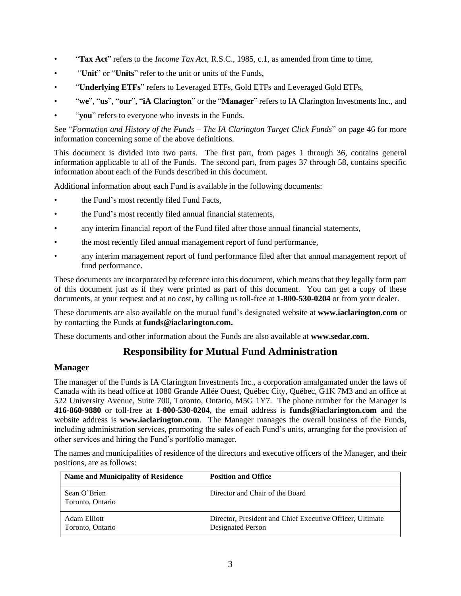- "**Tax Act**" refers to the *Income Tax Act*, R.S.C., 1985, c.1, as amended from time to time,
- "**Unit**" or "**Units**" refer to the unit or units of the Funds,
- <span id="page-5-2"></span>• "**Underlying ETFs**" refers to Leveraged ETFs, Gold ETFs and Leveraged Gold ETFs,
- "**we**", "**us**", "**our**", "**iA Clarington**" or the "**Manager**" refers to IA Clarington Investments Inc., and
- "**you**" refers to everyone who invests in the Funds.

See "*Formation and History of the Funds – The IA Clarington Target Click Funds*" on page 46 for more information concerning some of the above definitions.

This document is divided into two parts. The first part, from pages 1 through 36, contains general information applicable to all of the Funds. The second part, from pages 37 through 58, contains specific information about each of the Funds described in this document.

Additional information about each Fund is available in the following documents:

- the Fund's most recently filed Fund Facts,
- the Fund's most recently filed annual financial statements,
- any interim financial report of the Fund filed after those annual financial statements,
- the most recently filed annual management report of fund performance,
- any interim management report of fund performance filed after that annual management report of fund performance.

These documents are incorporated by reference into this document, which means that they legally form part of this document just as if they were printed as part of this document. You can get a copy of these documents, at your request and at no cost, by calling us toll-free at **1-800-530-0204** or from your dealer.

These documents are also available on the mutual fund's designated website at **[www.iaclarington.com](http://www.iaclarington.com/)** or by contacting the Funds at **[funds@iaclarington.com.](mailto:funds@iaclarington.com)**

<span id="page-5-0"></span>These documents and other information about the Funds are also available at **[www.sedar.com.](http://www.sedar.com/)**

## **Responsibility for Mutual Fund Administration**

#### <span id="page-5-1"></span>**Manager**

The manager of the Funds is IA Clarington Investments Inc., a corporation amalgamated under the laws of Canada with its head office at 1080 Grande Allée Ouest, Québec City, Québec, G1K 7M3 and an office at 522 University Avenue, Suite 700, Toronto, Ontario, M5G 1Y7. The phone number for the Manager is **416-860-9880** or toll-free at **1-800-530-0204**, the email address is **[funds@iaclarington.com](mailto:funds@iaclarington.com)** and the website address is **[www.iaclarington.com](http://www.iaclarington.com/)**. The Manager manages the overall business of the Funds, including administration services, promoting the sales of each Fund's units, arranging for the provision of other services and hiring the Fund's portfolio manager.

The names and municipalities of residence of the directors and executive officers of the Manager, and their positions, are as follows:

| <b>Name and Municipality of Residence</b> | <b>Position and Office</b>                                                     |
|-------------------------------------------|--------------------------------------------------------------------------------|
| Sean O'Brien<br>Toronto, Ontario          | Director and Chair of the Board                                                |
| Adam Elliott<br>Toronto, Ontario          | Director, President and Chief Executive Officer, Ultimate<br>Designated Person |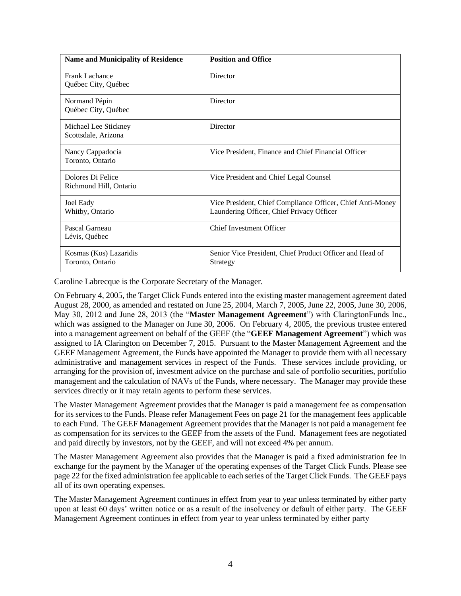| <b>Name and Municipality of Residence</b>   | <b>Position and Office</b>                                                                              |
|---------------------------------------------|---------------------------------------------------------------------------------------------------------|
| Frank Lachance<br>Québec City, Québec       | Director                                                                                                |
| Normand Pépin<br>Québec City, Québec        | Director                                                                                                |
| Michael Lee Stickney<br>Scottsdale, Arizona | Director                                                                                                |
| Nancy Cappadocia<br>Toronto, Ontario        | Vice President, Finance and Chief Financial Officer                                                     |
| Dolores Di Felice<br>Richmond Hill, Ontario | Vice President and Chief Legal Counsel                                                                  |
| Joel Eady<br>Whitby, Ontario                | Vice President, Chief Compliance Officer, Chief Anti-Money<br>Laundering Officer, Chief Privacy Officer |
| Pascal Garneau<br>Lévis, Québec             | <b>Chief Investment Officer</b>                                                                         |
| Kosmas (Kos) Lazaridis<br>Toronto, Ontario  | Senior Vice President, Chief Product Officer and Head of<br>Strategy                                    |

Caroline Labrecque is the Corporate Secretary of the Manager.

<span id="page-6-1"></span><span id="page-6-0"></span>On February 4, 2005, the Target Click Funds entered into the existing master management agreement dated August 28, 2000, as amended and restated on June 25, 2004, March 7, 2005, June 22, 2005, June 30, 2006, May 30, 2012 and June 28, 2013 (the "**Master Management Agreement**") with ClaringtonFunds Inc., which was assigned to the Manager on June 30, 2006. On February 4, 2005, the previous trustee entered into a management agreement on behalf of the GEEF (the "**GEEF Management Agreement**") which was assigned to IA Clarington on December 7, 2015. Pursuant to the Master Management Agreement and the GEEF Management Agreement, the Funds have appointed the Manager to provide them with all necessary administrative and management services in respect of the Funds. These services include providing, or arranging for the provision of, investment advice on the purchase and sale of portfolio securities, portfolio management and the calculation of NAVs of the Funds, where necessary. The Manager may provide these services directly or it may retain agents to perform these services.

The Master Management Agreement provides that the Manager is paid a management fee as compensation for its services to the Funds. Please refer Management Fees on page [21](#page-23-2) for the management fees applicable to each Fund. The GEEF Management Agreement provides that the Manager is not paid a management fee as compensation for its services to the GEEF from the assets of the Fund. Management fees are negotiated and paid directly by investors, not by the GEEF, and will not exceed 4% per annum.

The Master Management Agreement also provides that the Manager is paid a fixed administration fee in exchange for the payment by the Manager of the operating expenses of the Target Click Funds. Please see page [22](#page-24-2) for the fixed administration fee applicable to each series of the Target Click Funds. The GEEF pays all of its own operating expenses.

The Master Management Agreement continues in effect from year to year unless terminated by either party upon at least 60 days' written notice or as a result of the insolvency or default of either party. The GEEF Management Agreement continues in effect from year to year unless terminated by either party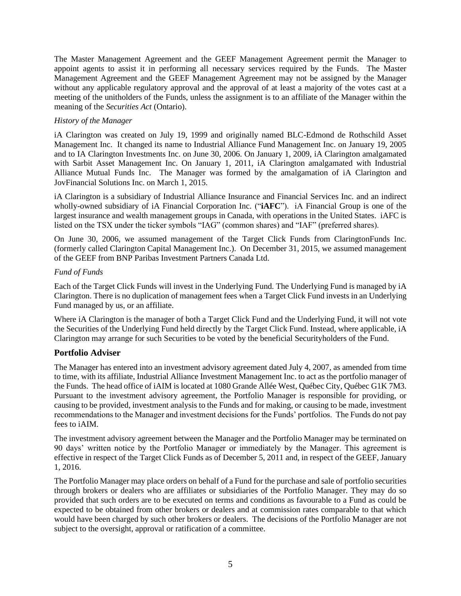The Master Management Agreement and the GEEF Management Agreement permit the Manager to appoint agents to assist it in performing all necessary services required by the Funds. The Master Management Agreement and the GEEF Management Agreement may not be assigned by the Manager without any applicable regulatory approval and the approval of at least a majority of the votes cast at a meeting of the unitholders of the Funds, unless the assignment is to an affiliate of the Manager within the meaning of the *Securities Act* (Ontario).

#### *History of the Manager*

iA Clarington was created on July 19, 1999 and originally named BLC-Edmond de Rothschild Asset Management Inc. It changed its name to Industrial Alliance Fund Management Inc. on January 19, 2005 and to IA Clarington Investments Inc. on June 30, 2006. On January 1, 2009, iA Clarington amalgamated with Sarbit Asset Management Inc. On January 1, 2011, iA Clarington amalgamated with Industrial Alliance Mutual Funds Inc. The Manager was formed by the amalgamation of iA Clarington and JovFinancial Solutions Inc. on March 1, 2015.

iA Clarington is a subsidiary of Industrial Alliance Insurance and Financial Services Inc. and an indirect wholly-owned subsidiary of iA Financial Corporation Inc. ("**iAFC**"). iA Financial Group is one of the largest insurance and wealth management groups in Canada, with operations in the United States. iAFC is listed on the TSX under the ticker symbols "IAG" (common shares) and "IAF" (preferred shares).

On June 30, 2006, we assumed management of the Target Click Funds from ClaringtonFunds Inc. (formerly called Clarington Capital Management Inc.). On December 31, 2015, we assumed management of the GEEF from BNP Paribas Investment Partners Canada Ltd.

#### *Fund of Funds*

Each of the Target Click Funds will invest in the Underlying Fund. The Underlying Fund is managed by iA Clarington. There is no duplication of management fees when a Target Click Fund invests in an Underlying Fund managed by us, or an affiliate.

Where iA Clarington is the manager of both a Target Click Fund and the Underlying Fund, it will not vote the Securities of the Underlying Fund held directly by the Target Click Fund. Instead, where applicable, iA Clarington may arrange for such Securities to be voted by the beneficial Securityholders of the Fund.

## <span id="page-7-0"></span>**Portfolio Adviser**

The Manager has entered into an investment advisory agreement dated July 4, 2007, as amended from time to time, with its affiliate, Industrial Alliance Investment Management Inc. to act as the portfolio manager of the Funds. The head office of iAIM is located at 1080 Grande Allée West, Québec City, Québec G1K 7M3. Pursuant to the investment advisory agreement, the Portfolio Manager is responsible for providing, or causing to be provided, investment analysis to the Funds and for making, or causing to be made, investment recommendations to the Manager and investment decisions for the Funds' portfolios. The Funds do not pay fees to iAIM.

The investment advisory agreement between the Manager and the Portfolio Manager may be terminated on 90 days' written notice by the Portfolio Manager or immediately by the Manager. This agreement is effective in respect of the Target Click Funds as of December 5, 2011 and, in respect of the GEEF, January 1, 2016.

The Portfolio Manager may place orders on behalf of a Fund for the purchase and sale of portfolio securities through brokers or dealers who are affiliates or subsidiaries of the Portfolio Manager. They may do so provided that such orders are to be executed on terms and conditions as favourable to a Fund as could be expected to be obtained from other brokers or dealers and at commission rates comparable to that which would have been charged by such other brokers or dealers. The decisions of the Portfolio Manager are not subject to the oversight, approval or ratification of a committee.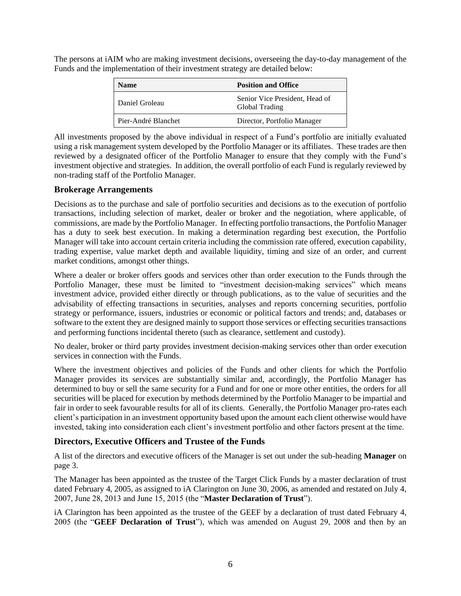The persons at iAIM who are making investment decisions, overseeing the day-to-day management of the Funds and the implementation of their investment strategy are detailed below:

| <b>Name</b>         | <b>Position and Office</b>                       |  |
|---------------------|--------------------------------------------------|--|
| Daniel Groleau      | Senior Vice President, Head of<br>Global Trading |  |
| Pier-André Blanchet | Director, Portfolio Manager                      |  |

All investments proposed by the above individual in respect of a Fund's portfolio are initially evaluated using a risk management system developed by the Portfolio Manager or its affiliates. These trades are then reviewed by a designated officer of the Portfolio Manager to ensure that they comply with the Fund's investment objective and strategies. In addition, the overall portfolio of each Fund is regularly reviewed by non-trading staff of the Portfolio Manager.

#### <span id="page-8-0"></span>**Brokerage Arrangements**

Decisions as to the purchase and sale of portfolio securities and decisions as to the execution of portfolio transactions, including selection of market, dealer or broker and the negotiation, where applicable, of commissions, are made by the Portfolio Manager. In effecting portfolio transactions, the Portfolio Manager has a duty to seek best execution. In making a determination regarding best execution, the Portfolio Manager will take into account certain criteria including the commission rate offered, execution capability, trading expertise, value market depth and available liquidity, timing and size of an order, and current market conditions, amongst other things.

Where a dealer or broker offers goods and services other than order execution to the Funds through the Portfolio Manager, these must be limited to "investment decision-making services" which means investment advice, provided either directly or through publications, as to the value of securities and the advisability of effecting transactions in securities, analyses and reports concerning securities, portfolio strategy or performance, issuers, industries or economic or political factors and trends; and, databases or software to the extent they are designed mainly to support those services or effecting securities transactions and performing functions incidental thereto (such as clearance, settlement and custody).

No dealer, broker or third party provides investment decision-making services other than order execution services in connection with the Funds.

Where the investment objectives and policies of the Funds and other clients for which the Portfolio Manager provides its services are substantially similar and, accordingly, the Portfolio Manager has determined to buy or sell the same security for a Fund and for one or more other entities, the orders for all securities will be placed for execution by methods determined by the Portfolio Manager to be impartial and fair in order to seek favourable results for all of its clients. Generally, the Portfolio Manager pro-rates each client's participation in an investment opportunity based upon the amount each client otherwise would have invested, taking into consideration each client's investment portfolio and other factors present at the time.

## <span id="page-8-1"></span>**Directors, Executive Officers and Trustee of the Funds**

A list of the directors and executive officers of the Manager is set out under the sub-heading **Manager** on page [3.](#page-5-1)

The Manager has been appointed as the trustee of the Target Click Funds by a master declaration of trust dated February 4, 2005, as assigned to iA Clarington on June 30, 2006, as amended and restated on July 4, 2007, June 28, 2013 and June 15, 2015 (the "**Master Declaration of Trust**").

<span id="page-8-3"></span><span id="page-8-2"></span>iA Clarington has been appointed as the trustee of the GEEF by a declaration of trust dated February 4, 2005 (the "**GEEF Declaration of Trust**"), which was amended on August 29, 2008 and then by an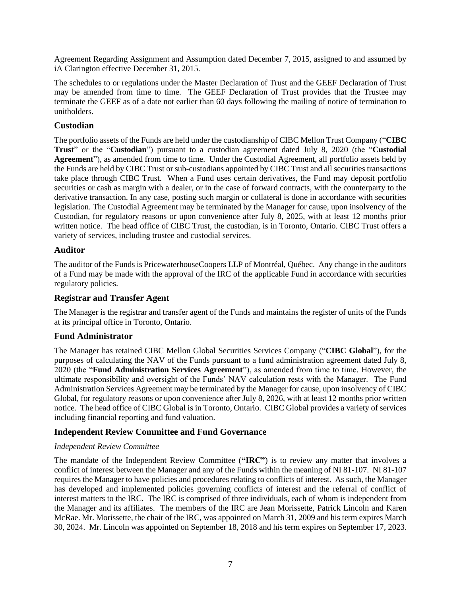Agreement Regarding Assignment and Assumption dated December 7, 2015, assigned to and assumed by iA Clarington effective December 31, 2015.

The schedules to or regulations under the Master Declaration of Trust and the GEEF Declaration of Trust may be amended from time to time. The GEEF Declaration of Trust provides that the Trustee may terminate the GEEF as of a date not earlier than 60 days following the mailing of notice of termination to unitholders.

## <span id="page-9-0"></span>**Custodian**

The portfolio assets of the Funds are held under the custodianship of CIBC Mellon Trust Company ("**CIBC Trust**" or the "**Custodian**") pursuant to a custodian agreement dated July 8, 2020 (the "**Custodial Agreement**"), as amended from time to time. Under the Custodial Agreement, all portfolio assets held by the Funds are held by CIBC Trust or sub-custodians appointed by CIBC Trust and all securities transactions take place through CIBC Trust. When a Fund uses certain derivatives, the Fund may deposit portfolio securities or cash as margin with a dealer, or in the case of forward contracts, with the counterparty to the derivative transaction. In any case, posting such margin or collateral is done in accordance with securities legislation. The Custodial Agreement may be terminated by the Manager for cause, upon insolvency of the Custodian, for regulatory reasons or upon convenience after July 8, 2025, with at least 12 months prior written notice. The head office of CIBC Trust, the custodian, is in Toronto, Ontario. CIBC Trust offers a variety of services, including trustee and custodial services.

## <span id="page-9-1"></span>**Auditor**

The auditor of the Funds is PricewaterhouseCoopers LLP of Montréal, Québec. Any change in the auditors of a Fund may be made with the approval of the IRC of the applicable Fund in accordance with securities regulatory policies.

## <span id="page-9-2"></span>**Registrar and Transfer Agent**

The Manager is the registrar and transfer agent of the Funds and maintains the register of units of the Funds at its principal office in Toronto, Ontario.

## <span id="page-9-3"></span>**Fund Administrator**

The Manager has retained CIBC Mellon Global Securities Services Company ("**CIBC Global**"), for the purposes of calculating the NAV of the Funds pursuant to a fund administration agreement dated July 8, 2020 (the "**Fund Administration Services Agreement**"), as amended from time to time. However, the ultimate responsibility and oversight of the Funds' NAV calculation rests with the Manager. The Fund Administration Services Agreement may be terminated by the Manager for cause, upon insolvency of CIBC Global, for regulatory reasons or upon convenience after July 8, 2026, with at least 12 months prior written notice. The head office of CIBC Global is in Toronto, Ontario. CIBC Global provides a variety of services including financial reporting and fund valuation.

## <span id="page-9-4"></span>**Independent Review Committee and Fund Governance**

#### <span id="page-9-5"></span>*Independent Review Committee*

The mandate of the Independent Review Committee (**"IRC"**) is to review any matter that involves a conflict of interest between the Manager and any of the Funds within the meaning of NI 81-107. NI 81-107 requires the Manager to have policies and procedures relating to conflicts of interest. As such, the Manager has developed and implemented policies governing conflicts of interest and the referral of conflict of interest matters to the IRC. The IRC is comprised of three individuals, each of whom is independent from the Manager and its affiliates. The members of the IRC are Jean Morissette, Patrick Lincoln and Karen McRae. Mr. Morissette, the chair of the IRC, was appointed on March 31, 2009 and his term expires March 30, 2024. Mr. Lincoln was appointed on September 18, 2018 and his term expires on September 17, 2023.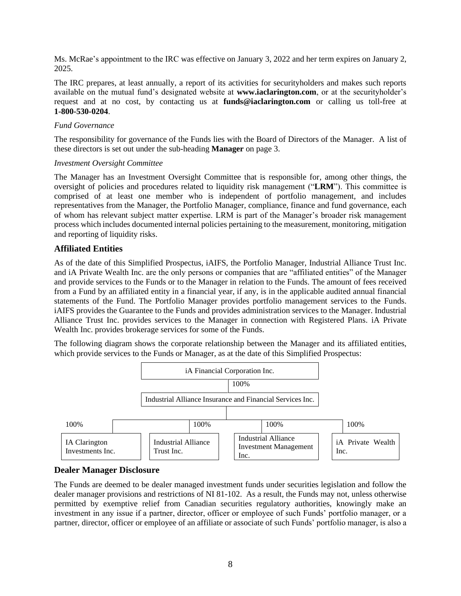Ms. McRae's appointment to the IRC was effective on January 3, 2022 and her term expires on January 2, 2025.

The IRC prepares, at least annually, a report of its activities for securityholders and makes such reports available on the mutual fund's designated website at **[www.iaclarington.com](http://www.iaclarington.com/)**, or at the securityholder's request and at no cost, by contacting us at **[funds@iaclarington.com](mailto:funds@iaclarington.com)** or calling us toll-free at **1-800-530-0204**.

#### *Fund Governance*

The responsibility for governance of the Funds lies with the Board of Directors of the Manager. A list of these directors is set out under the sub-heading **Manager** on pag[e 3.](#page-5-1)

#### *Investment Oversight Committee*

The Manager has an Investment Oversight Committee that is responsible for, among other things, the oversight of policies and procedures related to liquidity risk management ("**LRM**"). This committee is comprised of at least one member who is independent of portfolio management, and includes representatives from the Manager, the Portfolio Manager, compliance, finance and fund governance, each of whom has relevant subject matter expertise. LRM is part of the Manager's broader risk management process which includes documented internal policies pertaining to the measurement, monitoring, mitigation and reporting of liquidity risks.

## <span id="page-10-0"></span>**Affiliated Entities**

As of the date of this Simplified Prospectus, iAIFS, the Portfolio Manager, Industrial Alliance Trust Inc. and iA Private Wealth Inc. are the only persons or companies that are "affiliated entities" of the Manager and provide services to the Funds or to the Manager in relation to the Funds. The amount of fees received from a Fund by an affiliated entity in a financial year, if any, is in the applicable audited annual financial statements of the Fund. The Portfolio Manager provides portfolio management services to the Funds. iAIFS provides the Guarantee to the Funds and provides administration services to the Manager. Industrial Alliance Trust Inc. provides services to the Manager in connection with Registered Plans. iA Private Wealth Inc. provides brokerage services for some of the Funds.

The following diagram shows the corporate relationship between the Manager and its affiliated entities, which provide services to the Funds or Manager, as at the date of this Simplified Prospectus:



## <span id="page-10-1"></span>**Dealer Manager Disclosure**

The Funds are deemed to be dealer managed investment funds under securities legislation and follow the dealer manager provisions and restrictions of NI 81-102. As a result, the Funds may not, unless otherwise permitted by exemptive relief from Canadian securities regulatory authorities, knowingly make an investment in any issue if a partner, director, officer or employee of such Funds' portfolio manager, or a partner, director, officer or employee of an affiliate or associate of such Funds' portfolio manager, is also a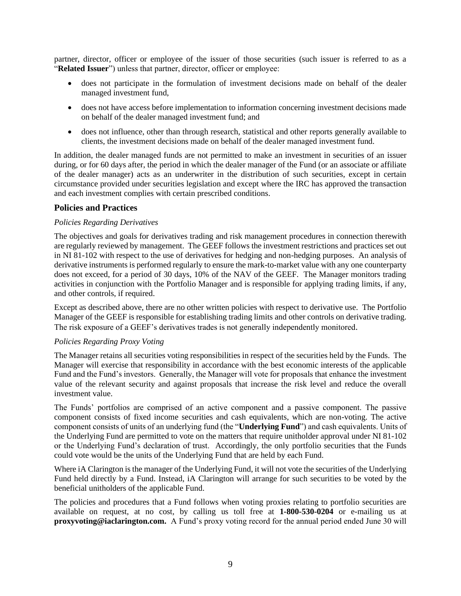partner, director, officer or employee of the issuer of those securities (such issuer is referred to as a "**Related Issuer**") unless that partner, director, officer or employee:

- does not participate in the formulation of investment decisions made on behalf of the dealer managed investment fund,
- does not have access before implementation to information concerning investment decisions made on behalf of the dealer managed investment fund; and
- does not influence, other than through research, statistical and other reports generally available to clients, the investment decisions made on behalf of the dealer managed investment fund.

In addition, the dealer managed funds are not permitted to make an investment in securities of an issuer during, or for 60 days after, the period in which the dealer manager of the Fund (or an associate or affiliate of the dealer manager) acts as an underwriter in the distribution of such securities, except in certain circumstance provided under securities legislation and except where the IRC has approved the transaction and each investment complies with certain prescribed conditions.

#### <span id="page-11-0"></span>**Policies and Practices**

#### *Policies Regarding Derivatives*

The objectives and goals for derivatives trading and risk management procedures in connection therewith are regularly reviewed by management. The GEEF follows the investment restrictions and practices set out in NI 81-102 with respect to the use of derivatives for hedging and non-hedging purposes. An analysis of derivative instruments is performed regularly to ensure the mark-to-market value with any one counterparty does not exceed, for a period of 30 days, 10% of the NAV of the GEEF. The Manager monitors trading activities in conjunction with the Portfolio Manager and is responsible for applying trading limits, if any, and other controls, if required.

Except as described above, there are no other written policies with respect to derivative use. The Portfolio Manager of the GEEF is responsible for establishing trading limits and other controls on derivative trading. The risk exposure of a GEEF's derivatives trades is not generally independently monitored.

#### *Policies Regarding Proxy Voting*

The Manager retains all securities voting responsibilities in respect of the securities held by the Funds. The Manager will exercise that responsibility in accordance with the best economic interests of the applicable Fund and the Fund's investors. Generally, the Manager will vote for proposals that enhance the investment value of the relevant security and against proposals that increase the risk level and reduce the overall investment value.

The Funds' portfolios are comprised of an active component and a passive component. The passive component consists of fixed income securities and cash equivalents, which are non-voting. The active component consists of units of an underlying fund (the "**Underlying Fund**") and cash equivalents. Units of the Underlying Fund are permitted to vote on the matters that require unitholder approval under NI 81-102 or the Underlying Fund's declaration of trust. Accordingly, the only portfolio securities that the Funds could vote would be the units of the Underlying Fund that are held by each Fund.

Where iA Clarington is the manager of the Underlying Fund, it will not vote the securities of the Underlying Fund held directly by a Fund. Instead, iA Clarington will arrange for such securities to be voted by the beneficial unitholders of the applicable Fund.

The policies and procedures that a Fund follows when voting proxies relating to portfolio securities are available on request, at no cost, by calling us toll free at **1-800-530-0204** or e-mailing us at **[proxyvoting@iaclarington.com.](mailto:proxyvoting@iaclarington.com)** A Fund's proxy voting record for the annual period ended June 30 will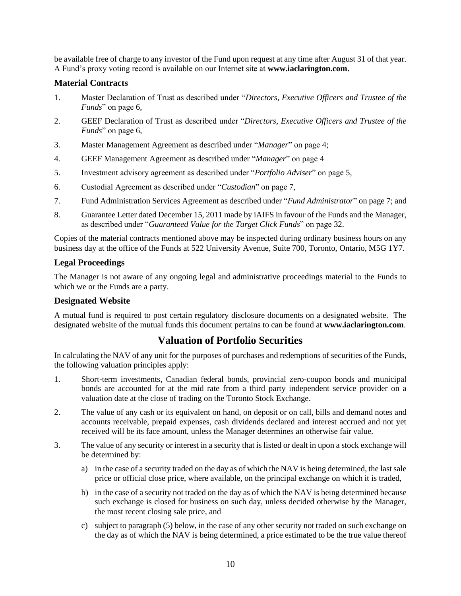be available free of charge to any investor of the Fund upon request at any time after August 31 of that year. A Fund's proxy voting record is available on our Internet site at **[www.iaclarington.com.](http://www.iaclarington.com/)**

## <span id="page-12-0"></span>**Material Contracts**

- 1. Master Declaration of Trust as described under "*Directors, Executive Officers and Trustee of the Funds*" on page [6,](#page-8-1)
- 2. GEEF Declaration of Trust as described under "*Directors, Executive Officers and Trustee of the Funds*" on page [6,](#page-8-1)
- 3. Master Management Agreement as described under "*Manager*" on page [4;](#page-6-0)
- 4. GEEF Management Agreement as described under "*Manager*" on pag[e 4](#page-6-1)
- 5. Investment advisory agreement as described under "*Portfolio Adviser*" on page [5,](#page-7-0)
- 6. Custodial Agreement as described under "*Custodian*" on page [7,](#page-9-0)
- 7. Fund Administration Services Agreement as described under "*Fund Administrator*" on page [7;](#page-9-3) and
- 8. Guarantee Letter dated December 15, 2011 made by iAIFS in favour of the Funds and the Manager, as described under "*Guaranteed Value for the Target Click Funds*" on page [32.](#page-34-0)

Copies of the material contracts mentioned above may be inspected during ordinary business hours on any business day at the office of the Funds at 522 University Avenue, Suite 700, Toronto, Ontario, M5G 1Y7.

## <span id="page-12-1"></span>**Legal Proceedings**

The Manager is not aware of any ongoing legal and administrative proceedings material to the Funds to which we or the Funds are a party.

## <span id="page-12-2"></span>**Designated Website**

A mutual fund is required to post certain regulatory disclosure documents on a designated website. The designated website of the mutual funds this document pertains to can be found at **[www.iaclarington.com](http://www.iaclarington.com/)**.

## **Valuation of Portfolio Securities**

<span id="page-12-3"></span>In calculating the NAV of any unit for the purposes of purchases and redemptions of securities of the Funds, the following valuation principles apply:

- 1. Short-term investments, Canadian federal bonds, provincial zero-coupon bonds and municipal bonds are accounted for at the mid rate from a third party independent service provider on a valuation date at the close of trading on the Toronto Stock Exchange.
- 2. The value of any cash or its equivalent on hand, on deposit or on call, bills and demand notes and accounts receivable, prepaid expenses, cash dividends declared and interest accrued and not yet received will be its face amount, unless the Manager determines an otherwise fair value.
- 3. The value of any security or interest in a security that is listed or dealt in upon a stock exchange will be determined by:
	- a) in the case of a security traded on the day as of which the NAV is being determined, the last sale price or official close price, where available, on the principal exchange on which it is traded,
	- b) in the case of a security not traded on the day as of which the NAV is being determined because such exchange is closed for business on such day, unless decided otherwise by the Manager, the most recent closing sale price, and
	- c) subject to paragraph (5) below, in the case of any other security not traded on such exchange on the day as of which the NAV is being determined, a price estimated to be the true value thereof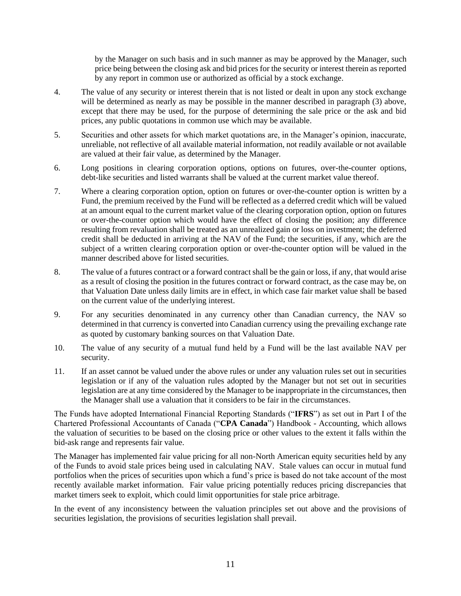by the Manager on such basis and in such manner as may be approved by the Manager, such price being between the closing ask and bid prices for the security or interest therein as reported by any report in common use or authorized as official by a stock exchange.

- 4. The value of any security or interest therein that is not listed or dealt in upon any stock exchange will be determined as nearly as may be possible in the manner described in paragraph (3) above, except that there may be used, for the purpose of determining the sale price or the ask and bid prices, any public quotations in common use which may be available.
- 5. Securities and other assets for which market quotations are, in the Manager's opinion, inaccurate, unreliable, not reflective of all available material information, not readily available or not available are valued at their fair value, as determined by the Manager.
- 6. Long positions in clearing corporation options, options on futures, over-the-counter options, debt-like securities and listed warrants shall be valued at the current market value thereof.
- 7. Where a clearing corporation option, option on futures or over-the-counter option is written by a Fund, the premium received by the Fund will be reflected as a deferred credit which will be valued at an amount equal to the current market value of the clearing corporation option, option on futures or over-the-counter option which would have the effect of closing the position; any difference resulting from revaluation shall be treated as an unrealized gain or loss on investment; the deferred credit shall be deducted in arriving at the NAV of the Fund; the securities, if any, which are the subject of a written clearing corporation option or over-the-counter option will be valued in the manner described above for listed securities.
- 8. The value of a futures contract or a forward contract shall be the gain or loss, if any, that would arise as a result of closing the position in the futures contract or forward contract, as the case may be, on that Valuation Date unless daily limits are in effect, in which case fair market value shall be based on the current value of the underlying interest.
- 9. For any securities denominated in any currency other than Canadian currency, the NAV so determined in that currency is converted into Canadian currency using the prevailing exchange rate as quoted by customary banking sources on that Valuation Date.
- 10. The value of any security of a mutual fund held by a Fund will be the last available NAV per security.
- 11. If an asset cannot be valued under the above rules or under any valuation rules set out in securities legislation or if any of the valuation rules adopted by the Manager but not set out in securities legislation are at any time considered by the Manager to be inappropriate in the circumstances, then the Manager shall use a valuation that it considers to be fair in the circumstances.

The Funds have adopted International Financial Reporting Standards ("**IFRS**") as set out in Part I of the Chartered Professional Accountants of Canada ("**CPA Canada**") Handbook - Accounting, which allows the valuation of securities to be based on the closing price or other values to the extent it falls within the bid-ask range and represents fair value.

The Manager has implemented fair value pricing for all non-North American equity securities held by any of the Funds to avoid stale prices being used in calculating NAV. Stale values can occur in mutual fund portfolios when the prices of securities upon which a fund's price is based do not take account of the most recently available market information. Fair value pricing potentially reduces pricing discrepancies that market timers seek to exploit, which could limit opportunities for stale price arbitrage.

In the event of any inconsistency between the valuation principles set out above and the provisions of securities legislation, the provisions of securities legislation shall prevail.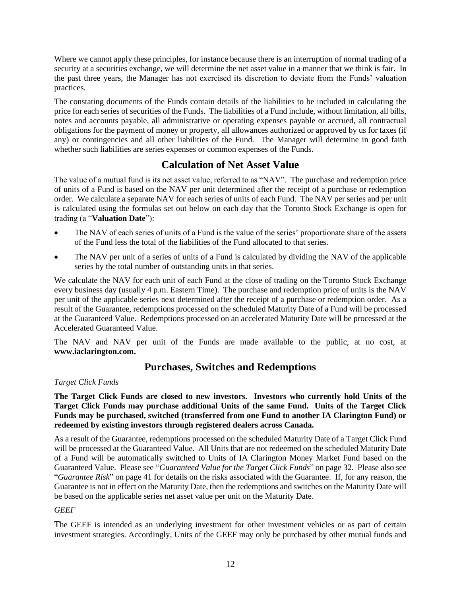Where we cannot apply these principles, for instance because there is an interruption of normal trading of a security at a securities exchange, we will determine the net asset value in a manner that we think is fair. In the past three years, the Manager has not exercised its discretion to deviate from the Funds' valuation practices.

The constating documents of the Funds contain details of the liabilities to be included in calculating the price for each series of securities of the Funds. The liabilities of a Fund include, without limitation, all bills, notes and accounts payable, all administrative or operating expenses payable or accrued, all contractual obligations for the payment of money or property, all allowances authorized or approved by us for taxes (if any) or contingencies and all other liabilities of the Fund. The Manager will determine in good faith whether such liabilities are series expenses or common expenses of the Funds.

## **Calculation of Net Asset Value**

<span id="page-14-0"></span>The value of a mutual fund is its net asset value, referred to as "NAV". The purchase and redemption price of units of a Fund is based on the NAV per unit determined after the receipt of a purchase or redemption order. We calculate a separate NAV for each series of units of each Fund. The NAV per series and per unit is calculated using the formulas set out below on each day that the Toronto Stock Exchange is open for trading (a "**Valuation Date**"):

- The NAV of each series of units of a Fund is the value of the series' proportionate share of the assets of the Fund less the total of the liabilities of the Fund allocated to that series.
- The NAV per unit of a series of units of a Fund is calculated by dividing the NAV of the applicable series by the total number of outstanding units in that series.

We calculate the NAV for each unit of each Fund at the close of trading on the Toronto Stock Exchange every business day (usually 4 p.m. Eastern Time). The purchase and redemption price of units is the NAV per unit of the applicable series next determined after the receipt of a purchase or redemption order. As a result of the Guarantee, redemptions processed on the scheduled Maturity Date of a Fund will be processed at the Guaranteed Value. Redemptions processed on an accelerated Maturity Date will be processed at the Accelerated Guaranteed Value.

The NAV and NAV per unit of the Funds are made available to the public, at no cost, at **[www.iaclarington.com.](http://www.iaclarington.com/)**

## **Purchases, Switches and Redemptions**

#### <span id="page-14-1"></span>*Target Click Funds*

**The Target Click Funds are closed to new investors. Investors who currently hold Units of the Target Click Funds may purchase additional Units of the same Fund. Units of the Target Click Funds may be purchased, switched (transferred from one Fund to another IA Clarington Fund) or redeemed by existing investors through registered dealers across Canada.**

As a result of the Guarantee, redemptions processed on the scheduled Maturity Date of a Target Click Fund will be processed at the Guaranteed Value. All Units that are not redeemed on the scheduled Maturity Date of a Fund will be automatically switched to Units of IA Clarington Money Market Fund based on the Guaranteed Value. Please see "*Guaranteed Value for the Target Click Funds*" on page [32.](#page-34-0) Please also see "*Guarantee Risk*" on pag[e 41](#page-43-0) for details on the risks associated with the Guarantee. If, for any reason, the Guarantee is not in effect on the Maturity Date, then the redemptions and switches on the Maturity Date will be based on the applicable series net asset value per unit on the Maturity Date.

## *GEEF*

The GEEF is intended as an underlying investment for other investment vehicles or as part of certain investment strategies. Accordingly, Units of the GEEF may only be purchased by other mutual funds and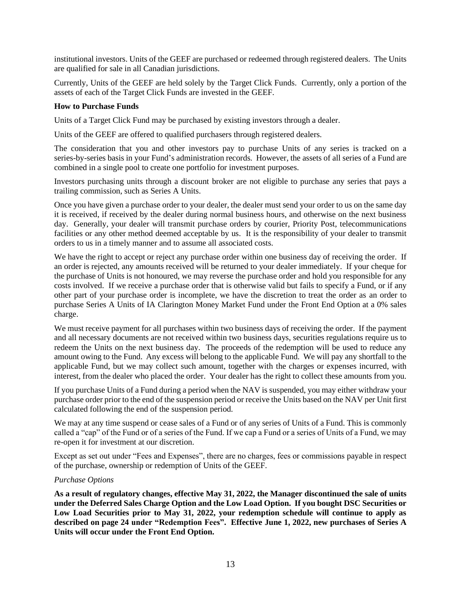institutional investors. Units of the GEEF are purchased or redeemed through registered dealers. The Units are qualified for sale in all Canadian jurisdictions.

Currently, Units of the GEEF are held solely by the Target Click Funds. Currently, only a portion of the assets of each of the Target Click Funds are invested in the GEEF.

#### <span id="page-15-0"></span>**How to Purchase Funds**

Units of a Target Click Fund may be purchased by existing investors through a dealer.

Units of the GEEF are offered to qualified purchasers through registered dealers.

The consideration that you and other investors pay to purchase Units of any series is tracked on a series-by-series basis in your Fund's administration records. However, the assets of all series of a Fund are combined in a single pool to create one portfolio for investment purposes.

Investors purchasing units through a discount broker are not eligible to purchase any series that pays a trailing commission, such as Series A Units.

Once you have given a purchase order to your dealer, the dealer must send your order to us on the same day it is received, if received by the dealer during normal business hours, and otherwise on the next business day. Generally, your dealer will transmit purchase orders by courier, Priority Post, telecommunications facilities or any other method deemed acceptable by us. It is the responsibility of your dealer to transmit orders to us in a timely manner and to assume all associated costs.

We have the right to accept or reject any purchase order within one business day of receiving the order. If an order is rejected, any amounts received will be returned to your dealer immediately. If your cheque for the purchase of Units is not honoured, we may reverse the purchase order and hold you responsible for any costs involved. If we receive a purchase order that is otherwise valid but fails to specify a Fund, or if any other part of your purchase order is incomplete, we have the discretion to treat the order as an order to purchase Series A Units of IA Clarington Money Market Fund under the Front End Option at a 0% sales charge.

We must receive payment for all purchases within two business days of receiving the order. If the payment and all necessary documents are not received within two business days, securities regulations require us to redeem the Units on the next business day. The proceeds of the redemption will be used to reduce any amount owing to the Fund. Any excess will belong to the applicable Fund. We will pay any shortfall to the applicable Fund, but we may collect such amount, together with the charges or expenses incurred, with interest, from the dealer who placed the order. Your dealer has the right to collect these amounts from you.

If you purchase Units of a Fund during a period when the NAV is suspended, you may either withdraw your purchase order prior to the end of the suspension period or receive the Units based on the NAV per Unit first calculated following the end of the suspension period.

We may at any time suspend or cease sales of a Fund or of any series of Units of a Fund. This is commonly called a "cap" of the Fund or of a series of the Fund. If we cap a Fund or a series of Units of a Fund, we may re-open it for investment at our discretion.

Except as set out under "Fees and Expenses", there are no charges, fees or commissions payable in respect of the purchase, ownership or redemption of Units of the GEEF.

#### *Purchase Options*

**As a result of regulatory changes, effective May 31, 2022, the Manager discontinued the sale of units under the Deferred Sales Charge Option and the Low Load Option. If you bought DSC Securities or Low Load Securities prior to May 31, 2022, your redemption schedule will continue to apply as described on page [24](#page-26-0) under "Redemption Fees". Effective June 1, 2022, new purchases of Series A Units will occur under the Front End Option.**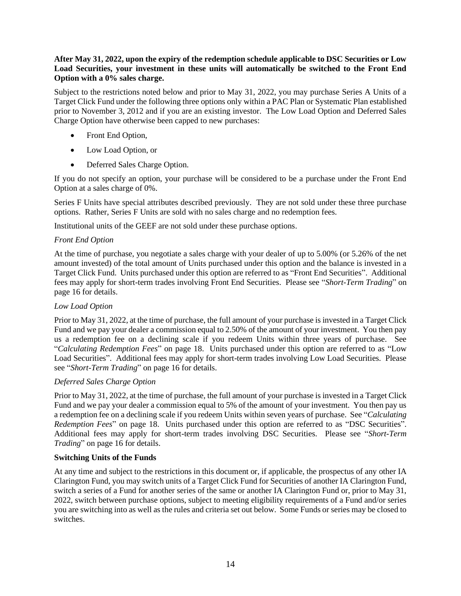#### **After May 31, 2022, upon the expiry of the redemption schedule applicable to DSC Securities or Low Load Securities, your investment in these units will automatically be switched to the Front End Option with a 0% sales charge.**

Subject to the restrictions noted below and prior to May 31, 2022, you may purchase Series A Units of a Target Click Fund under the following three options only within a PAC Plan or Systematic Plan established prior to November 3, 2012 and if you are an existing investor. The Low Load Option and Deferred Sales Charge Option have otherwise been capped to new purchases:

- Front End Option,
- Low Load Option, or
- Deferred Sales Charge Option.

If you do not specify an option, your purchase will be considered to be a purchase under the Front End Option at a sales charge of 0%.

Series F Units have special attributes described previously. They are not sold under these three purchase options. Rather, Series F Units are sold with no sales charge and no redemption fees.

Institutional units of the GEEF are not sold under these purchase options.

#### <span id="page-16-2"></span>*Front End Option*

At the time of purchase, you negotiate a sales charge with your dealer of up to 5.00% (or 5.26% of the net amount invested) of the total amount of Units purchased under this option and the balance is invested in a Target Click Fund. Units purchased under this option are referred to as "Front End Securities". Additional fees may apply for short-term trades involving Front End Securities. Please see "*Short-Term Trading*" on page [16](#page-18-0) for details.

#### <span id="page-16-3"></span>*Low Load Option*

Prior to May 31, 2022, at the time of purchase, the full amount of your purchase is invested in a Target Click Fund and we pay your dealer a commission equal to 2.50% of the amount of your investment. You then pay us a redemption fee on a declining scale if you redeem Units within three years of purchase. See "*Calculating Redemption Fees*" on page [18.](#page-20-0) Units purchased under this option are referred to as "Low Load Securities". Additional fees may apply for short-term trades involving Low Load Securities. Please see "*Short-Term Trading*" on page [16](#page-18-0) for details.

#### <span id="page-16-1"></span>*Deferred Sales Charge Option*

Prior to May 31, 2022, at the time of purchase, the full amount of your purchase is invested in a Target Click Fund and we pay your dealer a commission equal to 5% of the amount of your investment. You then pay us a redemption fee on a declining scale if you redeem Units within seven years of purchase. See "*Calculating Redemption Fees*" on page [18.](#page-20-0) Units purchased under this option are referred to as "DSC Securities". Additional fees may apply for short-term trades involving DSC Securities. Please see "*Short-Term Trading*" on page [16](#page-18-0) for details.

#### <span id="page-16-0"></span>**Switching Units of the Funds**

At any time and subject to the restrictions in this document or, if applicable, the prospectus of any other IA Clarington Fund, you may switch units of a Target Click Fund for Securities of another IA Clarington Fund, switch a series of a Fund for another series of the same or another IA Clarington Fund or, prior to May 31, 2022, switch between purchase options, subject to meeting eligibility requirements of a Fund and/or series you are switching into as well as the rules and criteria set out below. Some Funds or series may be closed to switches.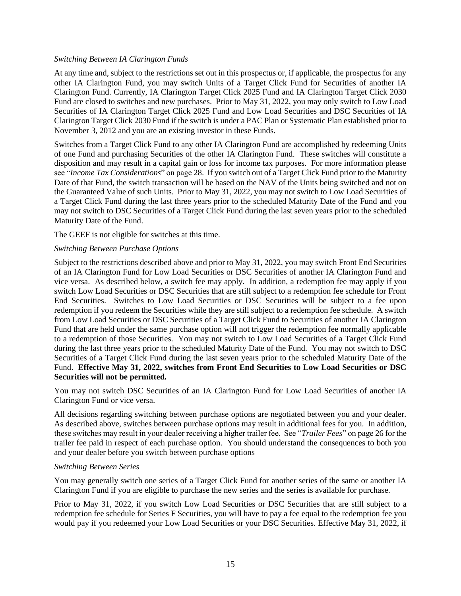#### *Switching Between IA Clarington Funds*

At any time and, subject to the restrictions set out in this prospectus or, if applicable, the prospectus for any other IA Clarington Fund, you may switch Units of a Target Click Fund for Securities of another IA Clarington Fund. Currently, IA Clarington Target Click 2025 Fund and IA Clarington Target Click 2030 Fund are closed to switches and new purchases. Prior to May 31, 2022, you may only switch to Low Load Securities of IA Clarington Target Click 2025 Fund and Low Load Securities and DSC Securities of IA Clarington Target Click 2030 Fund if the switch is under a PAC Plan or Systematic Plan established prior to November 3, 2012 and you are an existing investor in these Funds.

Switches from a Target Click Fund to any other IA Clarington Fund are accomplished by redeeming Units of one Fund and purchasing Securities of the other IA Clarington Fund. These switches will constitute a disposition and may result in a capital gain or loss for income tax purposes. For more information please see "*Income Tax Considerations*" on pag[e 28.](#page-30-0) If you switch out of a Target Click Fund prior to the Maturity Date of that Fund, the switch transaction will be based on the NAV of the Units being switched and not on the Guaranteed Value of such Units. Prior to May 31, 2022, you may not switch to Low Load Securities of a Target Click Fund during the last three years prior to the scheduled Maturity Date of the Fund and you may not switch to DSC Securities of a Target Click Fund during the last seven years prior to the scheduled Maturity Date of the Fund.

The GEEF is not eligible for switches at this time.

#### *Switching Between Purchase Options*

Subject to the restrictions described above and prior to May 31, 2022, you may switch Front End Securities of an IA Clarington Fund for Low Load Securities or DSC Securities of another IA Clarington Fund and vice versa. As described below, a switch fee may apply. In addition, a redemption fee may apply if you switch Low Load Securities or DSC Securities that are still subject to a redemption fee schedule for Front End Securities. Switches to Low Load Securities or DSC Securities will be subject to a fee upon redemption if you redeem the Securities while they are still subject to a redemption fee schedule. A switch from Low Load Securities or DSC Securities of a Target Click Fund to Securities of another IA Clarington Fund that are held under the same purchase option will not trigger the redemption fee normally applicable to a redemption of those Securities. You may not switch to Low Load Securities of a Target Click Fund during the last three years prior to the scheduled Maturity Date of the Fund. You may not switch to DSC Securities of a Target Click Fund during the last seven years prior to the scheduled Maturity Date of the Fund. **Effective May 31, 2022, switches from Front End Securities to Low Load Securities or DSC Securities will not be permitted.**

You may not switch DSC Securities of an IA Clarington Fund for Low Load Securities of another IA Clarington Fund or vice versa.

All decisions regarding switching between purchase options are negotiated between you and your dealer. As described above, switches between purchase options may result in additional fees for you. In addition, these switches may result in your dealer receiving a higher trailer fee. See "*Trailer Fees*" on pag[e 26](#page-28-2) for the trailer fee paid in respect of each purchase option. You should understand the consequences to both you and your dealer before you switch between purchase options

#### *Switching Between Series*

You may generally switch one series of a Target Click Fund for another series of the same or another IA Clarington Fund if you are eligible to purchase the new series and the series is available for purchase.

Prior to May 31, 2022, if you switch Low Load Securities or DSC Securities that are still subject to a redemption fee schedule for Series F Securities, you will have to pay a fee equal to the redemption fee you would pay if you redeemed your Low Load Securities or your DSC Securities. Effective May 31, 2022, if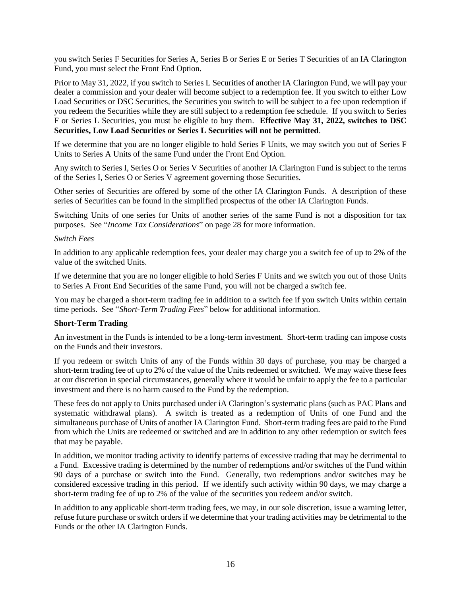you switch Series F Securities for Series A, Series B or Series E or Series T Securities of an IA Clarington Fund, you must select the Front End Option.

Prior to May 31, 2022, if you switch to Series L Securities of another IA Clarington Fund, we will pay your dealer a commission and your dealer will become subject to a redemption fee. If you switch to either Low Load Securities or DSC Securities, the Securities you switch to will be subject to a fee upon redemption if you redeem the Securities while they are still subject to a redemption fee schedule. If you switch to Series F or Series L Securities, you must be eligible to buy them. **Effective May 31, 2022, switches to DSC Securities, Low Load Securities or Series L Securities will not be permitted**.

If we determine that you are no longer eligible to hold Series F Units, we may switch you out of Series F Units to Series A Units of the same Fund under the Front End Option.

Any switch to Series I, Series O or Series V Securities of another IA Clarington Fund is subject to the terms of the Series I, Series O or Series V agreement governing those Securities.

Other series of Securities are offered by some of the other IA Clarington Funds. A description of these series of Securities can be found in the simplified prospectus of the other IA Clarington Funds.

Switching Units of one series for Units of another series of the same Fund is not a disposition for tax purposes. See "*Income Tax Considerations*" on page [28](#page-30-0) for more information.

#### *Switch Fees*

In addition to any applicable redemption fees, your dealer may charge you a switch fee of up to 2% of the value of the switched Units.

If we determine that you are no longer eligible to hold Series F Units and we switch you out of those Units to Series A Front End Securities of the same Fund, you will not be charged a switch fee.

You may be charged a short-term trading fee in addition to a switch fee if you switch Units within certain time periods. See "*Short-Term Trading Fees*" below for additional information.

#### <span id="page-18-0"></span>**Short-Term Trading**

An investment in the Funds is intended to be a long-term investment. Short-term trading can impose costs on the Funds and their investors.

If you redeem or switch Units of any of the Funds within 30 days of purchase, you may be charged a short-term trading fee of up to 2% of the value of the Units redeemed or switched. We may waive these fees at our discretion in special circumstances, generally where it would be unfair to apply the fee to a particular investment and there is no harm caused to the Fund by the redemption.

These fees do not apply to Units purchased under iA Clarington's systematic plans (such as PAC Plans and systematic withdrawal plans). A switch is treated as a redemption of Units of one Fund and the simultaneous purchase of Units of another IA Clarington Fund. Short-term trading fees are paid to the Fund from which the Units are redeemed or switched and are in addition to any other redemption or switch fees that may be payable.

In addition, we monitor trading activity to identify patterns of excessive trading that may be detrimental to a Fund. Excessive trading is determined by the number of redemptions and/or switches of the Fund within 90 days of a purchase or switch into the Fund. Generally, two redemptions and/or switches may be considered excessive trading in this period. If we identify such activity within 90 days, we may charge a short-term trading fee of up to 2% of the value of the securities you redeem and/or switch.

In addition to any applicable short-term trading fees, we may, in our sole discretion, issue a warning letter, refuse future purchase or switch orders if we determine that your trading activities may be detrimental to the Funds or the other IA Clarington Funds.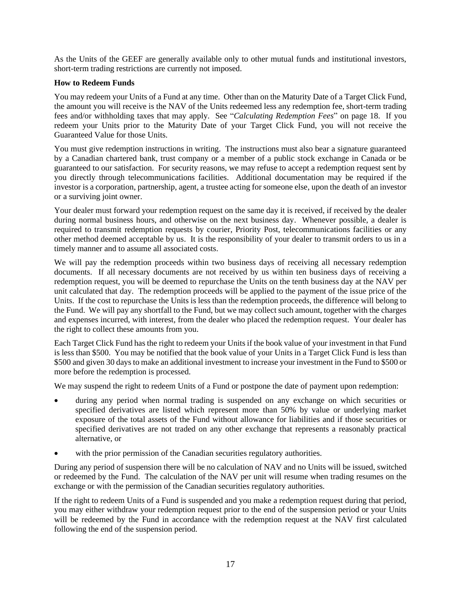As the Units of the GEEF are generally available only to other mutual funds and institutional investors, short-term trading restrictions are currently not imposed.

#### <span id="page-19-0"></span>**How to Redeem Funds**

You may redeem your Units of a Fund at any time. Other than on the Maturity Date of a Target Click Fund, the amount you will receive is the NAV of the Units redeemed less any redemption fee, short-term trading fees and/or withholding taxes that may apply. See "*Calculating Redemption Fees*" on page [18.](#page-20-0) If you redeem your Units prior to the Maturity Date of your Target Click Fund, you will not receive the Guaranteed Value for those Units.

You must give redemption instructions in writing. The instructions must also bear a signature guaranteed by a Canadian chartered bank, trust company or a member of a public stock exchange in Canada or be guaranteed to our satisfaction. For security reasons, we may refuse to accept a redemption request sent by you directly through telecommunications facilities. Additional documentation may be required if the investor is a corporation, partnership, agent, a trustee acting for someone else, upon the death of an investor or a surviving joint owner.

Your dealer must forward your redemption request on the same day it is received, if received by the dealer during normal business hours, and otherwise on the next business day. Whenever possible, a dealer is required to transmit redemption requests by courier, Priority Post, telecommunications facilities or any other method deemed acceptable by us. It is the responsibility of your dealer to transmit orders to us in a timely manner and to assume all associated costs.

We will pay the redemption proceeds within two business days of receiving all necessary redemption documents. If all necessary documents are not received by us within ten business days of receiving a redemption request, you will be deemed to repurchase the Units on the tenth business day at the NAV per unit calculated that day. The redemption proceeds will be applied to the payment of the issue price of the Units. If the cost to repurchase the Units is less than the redemption proceeds, the difference will belong to the Fund. We will pay any shortfall to the Fund, but we may collect such amount, together with the charges and expenses incurred, with interest, from the dealer who placed the redemption request. Your dealer has the right to collect these amounts from you.

Each Target Click Fund has the right to redeem your Units if the book value of your investment in that Fund is less than \$500. You may be notified that the book value of your Units in a Target Click Fund is less than \$500 and given 30 days to make an additional investment to increase your investment in the Fund to \$500 or more before the redemption is processed.

We may suspend the right to redeem Units of a Fund or postpone the date of payment upon redemption:

- during any period when normal trading is suspended on any exchange on which securities or specified derivatives are listed which represent more than 50% by value or underlying market exposure of the total assets of the Fund without allowance for liabilities and if those securities or specified derivatives are not traded on any other exchange that represents a reasonably practical alternative, or
- with the prior permission of the Canadian securities regulatory authorities.

During any period of suspension there will be no calculation of NAV and no Units will be issued, switched or redeemed by the Fund. The calculation of the NAV per unit will resume when trading resumes on the exchange or with the permission of the Canadian securities regulatory authorities.

If the right to redeem Units of a Fund is suspended and you make a redemption request during that period, you may either withdraw your redemption request prior to the end of the suspension period or your Units will be redeemed by the Fund in accordance with the redemption request at the NAV first calculated following the end of the suspension period.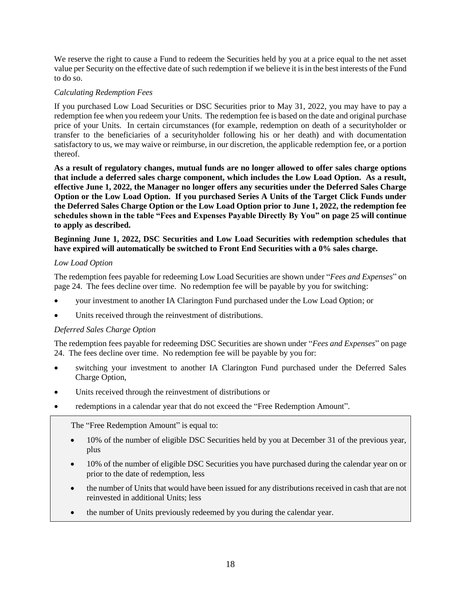We reserve the right to cause a Fund to redeem the Securities held by you at a price equal to the net asset value per Security on the effective date of such redemption if we believe it is in the best interests of the Fund to do so.

#### <span id="page-20-0"></span>*Calculating Redemption Fees*

If you purchased Low Load Securities or DSC Securities prior to May 31, 2022, you may have to pay a redemption fee when you redeem your Units. The redemption fee is based on the date and original purchase price of your Units. In certain circumstances (for example, redemption on death of a securityholder or transfer to the beneficiaries of a securityholder following his or her death) and with documentation satisfactory to us, we may waive or reimburse, in our discretion, the applicable redemption fee, or a portion thereof.

**As a result of regulatory changes, mutual funds are no longer allowed to offer sales charge options that include a deferred sales charge component, which includes the Low Load Option. As a result, effective June 1, 2022, the Manager no longer offers any securities under the Deferred Sales Charge Option or the Low Load Option. If you purchased Series A Units of the Target Click Funds under the Deferred Sales Charge Option or the Low Load Option prior to June 1, 2022, the redemption fee schedules shown in the table "Fees and Expenses Payable Directly By You" on page 25 will continue to apply as described.** 

**Beginning June 1, 2022, DSC Securities and Low Load Securities with redemption schedules that have expired will automatically be switched to Front End Securities with a 0% sales charge.**

#### *Low Load Option*

The redemption fees payable for redeeming Low Load Securities are shown under "*Fees and Expenses*" on page [24.](#page-26-0) The fees decline over time. No redemption fee will be payable by you for switching:

- your investment to another IA Clarington Fund purchased under the Low Load Option; or
- Units received through the reinvestment of distributions.

#### *Deferred Sales Charge Option*

The redemption fees payable for redeeming DSC Securities are shown under "*Fees and Expenses*" on page [24.](#page-26-0) The fees decline over time. No redemption fee will be payable by you for:

- switching your investment to another IA Clarington Fund purchased under the Deferred Sales Charge Option,
- Units received through the reinvestment of distributions or
- redemptions in a calendar year that do not exceed the "Free Redemption Amount".

The "Free Redemption Amount" is equal to:

- 10% of the number of eligible DSC Securities held by you at December 31 of the previous year, plus
- 10% of the number of eligible DSC Securities you have purchased during the calendar year on or prior to the date of redemption, less
- the number of Units that would have been issued for any distributions received in cash that are not reinvested in additional Units; less
- the number of Units previously redeemed by you during the calendar year.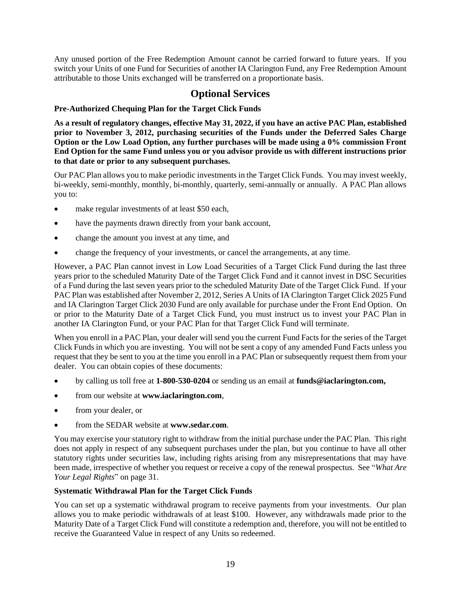Any unused portion of the Free Redemption Amount cannot be carried forward to future years. If you switch your Units of one Fund for Securities of another IA Clarington Fund, any Free Redemption Amount attributable to those Units exchanged will be transferred on a proportionate basis.

## **Optional Services**

## <span id="page-21-1"></span><span id="page-21-0"></span>**Pre-Authorized Chequing Plan for the Target Click Funds**

**As a result of regulatory changes, effective May 31, 2022, if you have an active PAC Plan, established prior to November 3, 2012, purchasing securities of the Funds under the Deferred Sales Charge Option or the Low Load Option, any further purchases will be made using a 0% commission Front End Option for the same Fund unless you or you advisor provide us with different instructions prior to that date or prior to any subsequent purchases.**

Our PAC Plan allows you to make periodic investments in the Target Click Funds. You may invest weekly, bi-weekly, semi-monthly, monthly, bi-monthly, quarterly, semi-annually or annually. A PAC Plan allows you to:

- make regular investments of at least \$50 each,
- have the payments drawn directly from your bank account,
- change the amount you invest at any time, and
- change the frequency of your investments, or cancel the arrangements, at any time.

However, a PAC Plan cannot invest in Low Load Securities of a Target Click Fund during the last three years prior to the scheduled Maturity Date of the Target Click Fund and it cannot invest in DSC Securities of a Fund during the last seven years prior to the scheduled Maturity Date of the Target Click Fund. If your PAC Plan was established after November 2, 2012, Series A Units of IA Clarington Target Click 2025 Fund and IA Clarington Target Click 2030 Fund are only available for purchase under the Front End Option. On or prior to the Maturity Date of a Target Click Fund, you must instruct us to invest your PAC Plan in another IA Clarington Fund, or your PAC Plan for that Target Click Fund will terminate.

When you enroll in a PAC Plan, your dealer will send you the current Fund Facts for the series of the Target Click Funds in which you are investing. You will not be sent a copy of any amended Fund Facts unless you request that they be sent to you at the time you enroll in a PAC Plan or subsequently request them from your dealer. You can obtain copies of these documents:

- by calling us toll free at **1-800-530-0204** or sending us an email at **[funds@iaclarington.com,](mailto:funds@iaclarington.com)**
- from our website at **[www.iaclarington.com](http://www.iaclarington.com/)**,
- from your dealer, or
- from the SEDAR website at **[www.sedar.com](http://www.sedar.com/)**.

You may exercise your statutory right to withdraw from the initial purchase under the PAC Plan. This right does not apply in respect of any subsequent purchases under the plan, but you continue to have all other statutory rights under securities law, including rights arising from any misrepresentations that may have been made, irrespective of whether you request or receive a copy of the renewal prospectus. See "*What Are Your Legal Rights*" on page [31.](#page-33-0)

#### <span id="page-21-2"></span>**Systematic Withdrawal Plan for the Target Click Funds**

You can set up a systematic withdrawal program to receive payments from your investments. Our plan allows you to make periodic withdrawals of at least \$100. However, any withdrawals made prior to the Maturity Date of a Target Click Fund will constitute a redemption and, therefore, you will not be entitled to receive the Guaranteed Value in respect of any Units so redeemed.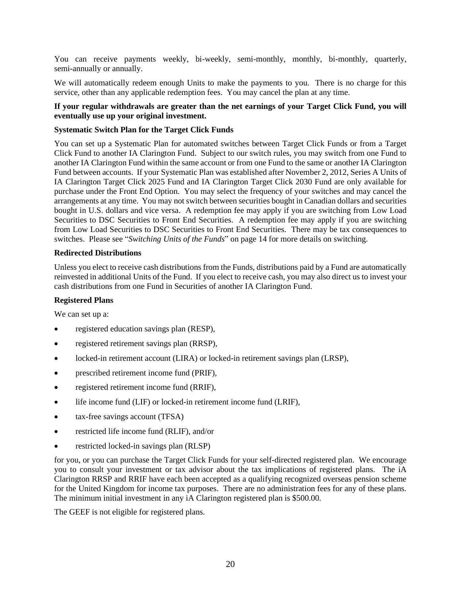You can receive payments weekly, bi-weekly, semi-monthly, monthly, bi-monthly, quarterly, semi-annually or annually.

We will automatically redeem enough Units to make the payments to you. There is no charge for this service, other than any applicable redemption fees. You may cancel the plan at any time.

#### **If your regular withdrawals are greater than the net earnings of your Target Click Fund, you will eventually use up your original investment.**

#### <span id="page-22-0"></span>**Systematic Switch Plan for the Target Click Funds**

You can set up a Systematic Plan for automated switches between Target Click Funds or from a Target Click Fund to another IA Clarington Fund. Subject to our switch rules, you may switch from one Fund to another IA Clarington Fund within the same account or from one Fund to the same or another IA Clarington Fund between accounts. If your Systematic Plan was established after November 2, 2012, Series A Units of IA Clarington Target Click 2025 Fund and IA Clarington Target Click 2030 Fund are only available for purchase under the Front End Option. You may select the frequency of your switches and may cancel the arrangements at any time. You may not switch between securities bought in Canadian dollars and securities bought in U.S. dollars and vice versa. A redemption fee may apply if you are switching from Low Load Securities to DSC Securities to Front End Securities. A redemption fee may apply if you are switching from Low Load Securities to DSC Securities to Front End Securities. There may be tax consequences to switches. Please see "*Switching Units of the Funds*" on page [14](#page-16-0) for more details on switching.

#### <span id="page-22-1"></span>**Redirected Distributions**

Unless you elect to receive cash distributions from the Funds, distributions paid by a Fund are automatically reinvested in additional Units of the Fund. If you elect to receive cash, you may also direct us to invest your cash distributions from one Fund in Securities of another IA Clarington Fund.

#### <span id="page-22-2"></span>**Registered Plans**

We can set up a:

- registered education savings plan (RESP),
- registered retirement savings plan (RRSP),
- locked-in retirement account (LIRA) or locked-in retirement savings plan (LRSP),
- prescribed retirement income fund (PRIF),
- registered retirement income fund (RRIF),
- life income fund (LIF) or locked-in retirement income fund (LRIF),
- tax-free savings account (TFSA)
- restricted life income fund (RLIF), and/or
- restricted locked-in savings plan (RLSP)

for you, or you can purchase the Target Click Funds for your self-directed registered plan. We encourage you to consult your investment or tax advisor about the tax implications of registered plans. The iA Clarington RRSP and RRIF have each been accepted as a qualifying recognized overseas pension scheme for the United Kingdom for income tax purposes. There are no administration fees for any of these plans. The minimum initial investment in any iA Clarington registered plan is \$500.00.

The GEEF is not eligible for registered plans.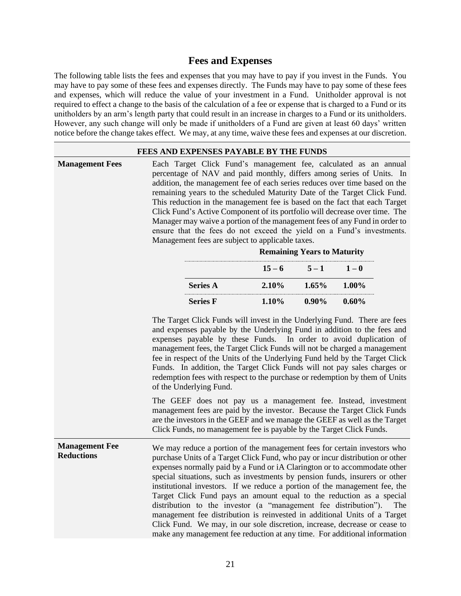## <span id="page-23-1"></span>**Fees and Expenses**

<span id="page-23-0"></span>The following table lists the fees and expenses that you may have to pay if you invest in the Funds. You may have to pay some of these fees and expenses directly. The Funds may have to pay some of these fees and expenses, which will reduce the value of your investment in a Fund. Unitholder approval is not required to effect a change to the basis of the calculation of a fee or expense that is charged to a Fund or its unitholders by an arm's length party that could result in an increase in charges to a Fund or its unitholders. However, any such change will only be made if unitholders of a Fund are given at least 60 days' written notice before the change takes effect. We may, at any time, waive these fees and expenses at our discretion.

## <span id="page-23-2"></span>**FEES AND EXPENSES PAYABLE BY THE FUNDS Management Fees** Each Target Click Fund's management fee, calculated as an annual percentage of NAV and paid monthly, differs among series of Units. In addition, the management fee of each series reduces over time based on the remaining years to the scheduled Maturity Date of the Target Click Fund. This reduction in the management fee is based on the fact that each Target Click Fund's Active Component of its portfolio will decrease over time. The Manager may waive a portion of the management fees of any Fund in order to ensure that the fees do not exceed the yield on a Fund's investments. Management fees are subject to applicable taxes. **Remaining Years to Maturity**  $15 - 6$   $5 - 1$   $1 - 0$ **Series A 2.10% 1.65% 1.00% Series F 1.10% 0.90% 0.60%** The Target Click Funds will invest in the Underlying Fund. There are fees and expenses payable by the Underlying Fund in addition to the fees and expenses payable by these Funds. In order to avoid duplication of management fees, the Target Click Funds will not be charged a management fee in respect of the Units of the Underlying Fund held by the Target Click Funds. In addition, the Target Click Funds will not pay sales charges or redemption fees with respect to the purchase or redemption by them of Units of the Underlying Fund. The GEEF does not pay us a management fee. Instead, investment management fees are paid by the investor. Because the Target Click Funds are the investors in the GEEF and we manage the GEEF as well as the Target Click Funds, no management fee is payable by the Target Click Funds. **Management Fee Reductions** We may reduce a portion of the management fees for certain investors who purchase Units of a Target Click Fund, who pay or incur distribution or other expenses normally paid by a Fund or iA Clarington or to accommodate other special situations, such as investments by pension funds, insurers or other institutional investors. If we reduce a portion of the management fee, the Target Click Fund pays an amount equal to the reduction as a special distribution to the investor (a "management fee distribution"). The management fee distribution is reinvested in additional Units of a Target Click Fund. We may, in our sole discretion, increase, decrease or cease to make any management fee reduction at any time. For additional information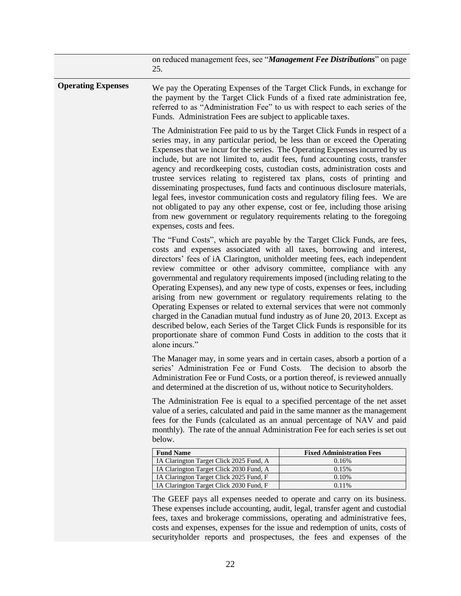<span id="page-24-1"></span><span id="page-24-0"></span>

| We pay the Operating Expenses of the Target Click Funds, in exchange for<br>the payment by the Target Click Funds of a fixed rate administration fee,<br>referred to as "Administration Fee" to us with respect to each series of the<br>Funds. Administration Fees are subject to applicable taxes.<br>The Administration Fee paid to us by the Target Click Funds in respect of a<br>series may, in any particular period, be less than or exceed the Operating<br>Expenses that we incur for the series. The Operating Expenses incurred by us<br>include, but are not limited to, audit fees, fund accounting costs, transfer<br>agency and recordkeeping costs, custodian costs, administration costs and<br>trustee services relating to registered tax plans, costs of printing and<br>disseminating prospectuses, fund facts and continuous disclosure materials,<br>legal fees, investor communication costs and regulatory filing fees. We are<br>not obligated to pay any other expense, cost or fee, including those arising<br>from new government or regulatory requirements relating to the foregoing<br>expenses, costs and fees.<br>The "Fund Costs", which are payable by the Target Click Funds, are fees,<br>costs and expenses associated with all taxes, borrowing and interest,<br>directors' fees of iA Clarington, unitholder meeting fees, each independent<br>review committee or other advisory committee, compliance with any<br>governmental and regulatory requirements imposed (including relating to the<br>Operating Expenses), and any new type of costs, expenses or fees, including<br>arising from new government or regulatory requirements relating to the<br>Operating Expenses or related to external services that were not commonly<br>charged in the Canadian mutual fund industry as of June 20, 2013. Except as |                                                                                                                                                                                                                                                     |  |
|----------------------------------------------------------------------------------------------------------------------------------------------------------------------------------------------------------------------------------------------------------------------------------------------------------------------------------------------------------------------------------------------------------------------------------------------------------------------------------------------------------------------------------------------------------------------------------------------------------------------------------------------------------------------------------------------------------------------------------------------------------------------------------------------------------------------------------------------------------------------------------------------------------------------------------------------------------------------------------------------------------------------------------------------------------------------------------------------------------------------------------------------------------------------------------------------------------------------------------------------------------------------------------------------------------------------------------------------------------------------------------------------------------------------------------------------------------------------------------------------------------------------------------------------------------------------------------------------------------------------------------------------------------------------------------------------------------------------------------------------------------------------------------------------------------------------------------------------------------------|-----------------------------------------------------------------------------------------------------------------------------------------------------------------------------------------------------------------------------------------------------|--|
|                                                                                                                                                                                                                                                                                                                                                                                                                                                                                                                                                                                                                                                                                                                                                                                                                                                                                                                                                                                                                                                                                                                                                                                                                                                                                                                                                                                                                                                                                                                                                                                                                                                                                                                                                                                                                                                                |                                                                                                                                                                                                                                                     |  |
|                                                                                                                                                                                                                                                                                                                                                                                                                                                                                                                                                                                                                                                                                                                                                                                                                                                                                                                                                                                                                                                                                                                                                                                                                                                                                                                                                                                                                                                                                                                                                                                                                                                                                                                                                                                                                                                                |                                                                                                                                                                                                                                                     |  |
| described below, each Series of the Target Click Funds is responsible for its<br>proportionate share of common Fund Costs in addition to the costs that it<br>alone incurs."                                                                                                                                                                                                                                                                                                                                                                                                                                                                                                                                                                                                                                                                                                                                                                                                                                                                                                                                                                                                                                                                                                                                                                                                                                                                                                                                                                                                                                                                                                                                                                                                                                                                                   |                                                                                                                                                                                                                                                     |  |
| The Manager may, in some years and in certain cases, absorb a portion of a<br>series' Administration Fee or Fund Costs. The decision to absorb the<br>Administration Fee or Fund Costs, or a portion thereof, is reviewed annually<br>and determined at the discretion of us, without notice to Securityholders.                                                                                                                                                                                                                                                                                                                                                                                                                                                                                                                                                                                                                                                                                                                                                                                                                                                                                                                                                                                                                                                                                                                                                                                                                                                                                                                                                                                                                                                                                                                                               |                                                                                                                                                                                                                                                     |  |
| The Administration Fee is equal to a specified percentage of the net asset<br>value of a series, calculated and paid in the same manner as the management<br>fees for the Funds (calculated as an annual percentage of NAV and paid<br>monthly). The rate of the annual Administration Fee for each series is set out                                                                                                                                                                                                                                                                                                                                                                                                                                                                                                                                                                                                                                                                                                                                                                                                                                                                                                                                                                                                                                                                                                                                                                                                                                                                                                                                                                                                                                                                                                                                          |                                                                                                                                                                                                                                                     |  |
|                                                                                                                                                                                                                                                                                                                                                                                                                                                                                                                                                                                                                                                                                                                                                                                                                                                                                                                                                                                                                                                                                                                                                                                                                                                                                                                                                                                                                                                                                                                                                                                                                                                                                                                                                                                                                                                                | <b>Fixed Administration Fees</b>                                                                                                                                                                                                                    |  |
|                                                                                                                                                                                                                                                                                                                                                                                                                                                                                                                                                                                                                                                                                                                                                                                                                                                                                                                                                                                                                                                                                                                                                                                                                                                                                                                                                                                                                                                                                                                                                                                                                                                                                                                                                                                                                                                                | 0.16%                                                                                                                                                                                                                                               |  |
|                                                                                                                                                                                                                                                                                                                                                                                                                                                                                                                                                                                                                                                                                                                                                                                                                                                                                                                                                                                                                                                                                                                                                                                                                                                                                                                                                                                                                                                                                                                                                                                                                                                                                                                                                                                                                                                                | 0.15%                                                                                                                                                                                                                                               |  |
|                                                                                                                                                                                                                                                                                                                                                                                                                                                                                                                                                                                                                                                                                                                                                                                                                                                                                                                                                                                                                                                                                                                                                                                                                                                                                                                                                                                                                                                                                                                                                                                                                                                                                                                                                                                                                                                                | 0.10%<br>0.11%                                                                                                                                                                                                                                      |  |
|                                                                                                                                                                                                                                                                                                                                                                                                                                                                                                                                                                                                                                                                                                                                                                                                                                                                                                                                                                                                                                                                                                                                                                                                                                                                                                                                                                                                                                                                                                                                                                                                                                                                                                                                                                                                                                                                | IA Clarington Target Click 2025 Fund, A<br>IA Clarington Target Click 2030 Fund, A<br>IA Clarington Target Click 2025 Fund, F<br>IA Clarington Target Click 2030 Fund, F<br>The GEEF pays all expenses needed to operate and carry on its business. |  |

<span id="page-24-2"></span>fees, taxes and brokerage commissions, operating and administrative fees, costs and expenses, expenses for the issue and redemption of units, costs of securityholder reports and prospectuses, the fees and expenses of the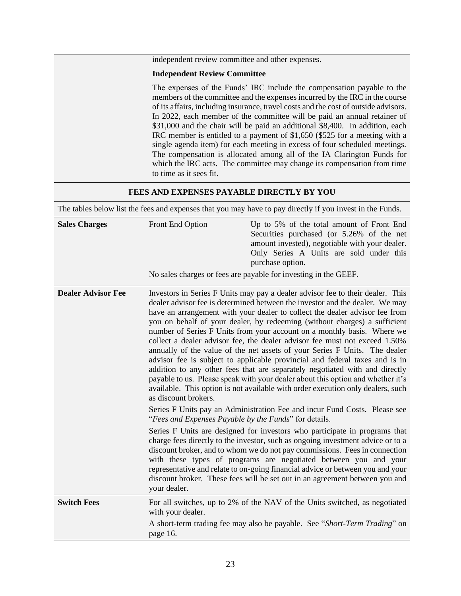independent review committee and other expenses.

#### **Independent Review Committee**

<span id="page-25-0"></span>The expenses of the Funds' IRC include the compensation payable to the members of the committee and the expenses incurred by the IRC in the course of its affairs, including insurance, travel costs and the cost of outside advisors. In 2022, each member of the committee will be paid an annual retainer of \$31,000 and the chair will be paid an additional \$8,400. In addition, each IRC member is entitled to a payment of \$1,650 (\$525 for a meeting with a single agenda item) for each meeting in excess of four scheduled meetings. The compensation is allocated among all of the IA Clarington Funds for which the IRC acts. The committee may change its compensation from time to time as it sees fit.

#### **FEES AND EXPENSES PAYABLE DIRECTLY BY YOU**

| The tables below list the fees and expenses that you may have to pay directly if you invest in the Funds. |                                                                               |                                                                                                                                                                                                                                                                                                                                                                                                                                                                                                                                                                                                                                                                                                                                                                                                                                                                                                                                                                                    |
|-----------------------------------------------------------------------------------------------------------|-------------------------------------------------------------------------------|------------------------------------------------------------------------------------------------------------------------------------------------------------------------------------------------------------------------------------------------------------------------------------------------------------------------------------------------------------------------------------------------------------------------------------------------------------------------------------------------------------------------------------------------------------------------------------------------------------------------------------------------------------------------------------------------------------------------------------------------------------------------------------------------------------------------------------------------------------------------------------------------------------------------------------------------------------------------------------|
| <b>Sales Charges</b>                                                                                      | Front End Option                                                              | Up to 5% of the total amount of Front End<br>Securities purchased (or 5.26% of the net<br>amount invested), negotiable with your dealer.<br>Only Series A Units are sold under this<br>purchase option.<br>No sales charges or fees are payable for investing in the GEEF.                                                                                                                                                                                                                                                                                                                                                                                                                                                                                                                                                                                                                                                                                                         |
|                                                                                                           |                                                                               |                                                                                                                                                                                                                                                                                                                                                                                                                                                                                                                                                                                                                                                                                                                                                                                                                                                                                                                                                                                    |
| <b>Dealer Advisor Fee</b>                                                                                 | as discount brokers.<br>"Fees and Expenses Payable by the Funds" for details. | Investors in Series F Units may pay a dealer advisor fee to their dealer. This<br>dealer advisor fee is determined between the investor and the dealer. We may<br>have an arrangement with your dealer to collect the dealer advisor fee from<br>you on behalf of your dealer, by redeeming (without charges) a sufficient<br>number of Series F Units from your account on a monthly basis. Where we<br>collect a dealer advisor fee, the dealer advisor fee must not exceed 1.50%<br>annually of the value of the net assets of your Series F Units. The dealer<br>advisor fee is subject to applicable provincial and federal taxes and is in<br>addition to any other fees that are separately negotiated with and directly<br>payable to us. Please speak with your dealer about this option and whether it's<br>available. This option is not available with order execution only dealers, such<br>Series F Units pay an Administration Fee and incur Fund Costs. Please see |
|                                                                                                           | your dealer.                                                                  | Series F Units are designed for investors who participate in programs that<br>charge fees directly to the investor, such as ongoing investment advice or to a<br>discount broker, and to whom we do not pay commissions. Fees in connection<br>with these types of programs are negotiated between you and your<br>representative and relate to on-going financial advice or between you and your<br>discount broker. These fees will be set out in an agreement between you and                                                                                                                                                                                                                                                                                                                                                                                                                                                                                                   |
| <b>Switch Fees</b>                                                                                        | with your dealer.                                                             | For all switches, up to 2% of the NAV of the Units switched, as negotiated                                                                                                                                                                                                                                                                                                                                                                                                                                                                                                                                                                                                                                                                                                                                                                                                                                                                                                         |
|                                                                                                           | page 16.                                                                      | A short-term trading fee may also be payable. See "Short-Term Trading" on                                                                                                                                                                                                                                                                                                                                                                                                                                                                                                                                                                                                                                                                                                                                                                                                                                                                                                          |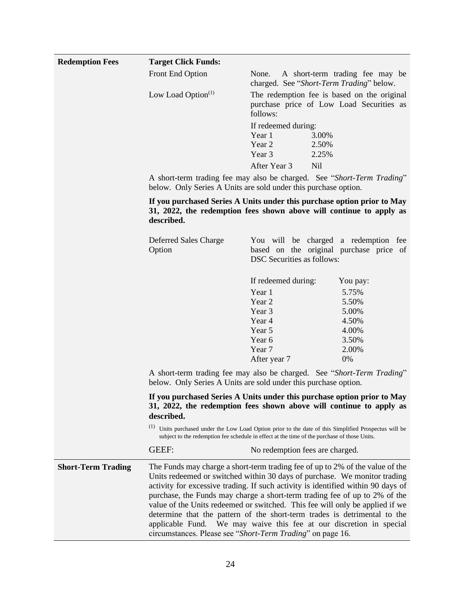<span id="page-26-0"></span>

| <b>Redemption Fees</b>    | <b>Target Click Funds:</b>                                                                                                                |                                                                                                                                                                                                                                                                                                                                                                                                                                                                                                                                                                                                               |  |  |  |  |
|---------------------------|-------------------------------------------------------------------------------------------------------------------------------------------|---------------------------------------------------------------------------------------------------------------------------------------------------------------------------------------------------------------------------------------------------------------------------------------------------------------------------------------------------------------------------------------------------------------------------------------------------------------------------------------------------------------------------------------------------------------------------------------------------------------|--|--|--|--|
|                           | Front End Option                                                                                                                          | A short-term trading fee may be<br>None.<br>charged. See "Short-Term Trading" below.                                                                                                                                                                                                                                                                                                                                                                                                                                                                                                                          |  |  |  |  |
|                           | Low Load Option $(1)$                                                                                                                     | The redemption fee is based on the original<br>purchase price of Low Load Securities as<br>follows:                                                                                                                                                                                                                                                                                                                                                                                                                                                                                                           |  |  |  |  |
|                           |                                                                                                                                           | If redeemed during:<br>Year 1<br>3.00%<br>Year 2<br>2.50%<br>Year 3<br>2.25%                                                                                                                                                                                                                                                                                                                                                                                                                                                                                                                                  |  |  |  |  |
|                           |                                                                                                                                           | After Year 3                                                                                                                                                                                                                                                                                                                                                                                                                                                                                                                                                                                                  |  |  |  |  |
|                           |                                                                                                                                           | <b>Nil</b><br>A short-term trading fee may also be charged. See "Short-Term Trading"<br>below. Only Series A Units are sold under this purchase option.<br>If you purchased Series A Units under this purchase option prior to May<br>31, 2022, the redemption fees shown above will continue to apply as<br>described.                                                                                                                                                                                                                                                                                       |  |  |  |  |
|                           |                                                                                                                                           |                                                                                                                                                                                                                                                                                                                                                                                                                                                                                                                                                                                                               |  |  |  |  |
|                           | Deferred Sales Charge<br>Option                                                                                                           | You will be charged a redemption fee<br>based on the original purchase price of<br><b>DSC</b> Securities as follows:                                                                                                                                                                                                                                                                                                                                                                                                                                                                                          |  |  |  |  |
|                           |                                                                                                                                           | If redeemed during:<br>You pay:                                                                                                                                                                                                                                                                                                                                                                                                                                                                                                                                                                               |  |  |  |  |
|                           |                                                                                                                                           | 5.75%<br>Year 1                                                                                                                                                                                                                                                                                                                                                                                                                                                                                                                                                                                               |  |  |  |  |
|                           |                                                                                                                                           | Year 2<br>5.50%                                                                                                                                                                                                                                                                                                                                                                                                                                                                                                                                                                                               |  |  |  |  |
|                           |                                                                                                                                           | 5.00%<br>Year 3                                                                                                                                                                                                                                                                                                                                                                                                                                                                                                                                                                                               |  |  |  |  |
|                           |                                                                                                                                           | Year 4<br>4.50%                                                                                                                                                                                                                                                                                                                                                                                                                                                                                                                                                                                               |  |  |  |  |
|                           |                                                                                                                                           | Year 5<br>4.00%                                                                                                                                                                                                                                                                                                                                                                                                                                                                                                                                                                                               |  |  |  |  |
|                           |                                                                                                                                           | Year 6<br>3.50%                                                                                                                                                                                                                                                                                                                                                                                                                                                                                                                                                                                               |  |  |  |  |
|                           |                                                                                                                                           | 2.00%<br>Year 7                                                                                                                                                                                                                                                                                                                                                                                                                                                                                                                                                                                               |  |  |  |  |
|                           |                                                                                                                                           | 0%<br>After year 7                                                                                                                                                                                                                                                                                                                                                                                                                                                                                                                                                                                            |  |  |  |  |
|                           | A short-term trading fee may also be charged. See "Short-Term Trading"<br>below. Only Series A Units are sold under this purchase option. |                                                                                                                                                                                                                                                                                                                                                                                                                                                                                                                                                                                                               |  |  |  |  |
|                           | described.                                                                                                                                | If you purchased Series A Units under this purchase option prior to May<br>31, 2022, the redemption fees shown above will continue to apply as                                                                                                                                                                                                                                                                                                                                                                                                                                                                |  |  |  |  |
|                           |                                                                                                                                           | <sup>(1)</sup> Units purchased under the Low Load Option prior to the date of this Simplified Prospectus will be<br>subject to the redemption fee schedule in effect at the time of the purchase of those Units.                                                                                                                                                                                                                                                                                                                                                                                              |  |  |  |  |
|                           | <b>GEEF:</b>                                                                                                                              | No redemption fees are charged.                                                                                                                                                                                                                                                                                                                                                                                                                                                                                                                                                                               |  |  |  |  |
| <b>Short-Term Trading</b> | applicable Fund.                                                                                                                          | The Funds may charge a short-term trading fee of up to 2% of the value of the<br>Units redeemed or switched within 30 days of purchase. We monitor trading<br>activity for excessive trading. If such activity is identified within 90 days of<br>purchase, the Funds may charge a short-term trading fee of up to 2% of the<br>value of the Units redeemed or switched. This fee will only be applied if we<br>determine that the pattern of the short-term trades is detrimental to the<br>We may waive this fee at our discretion in special<br>circumstances. Please see "Short-Term Trading" on page 16. |  |  |  |  |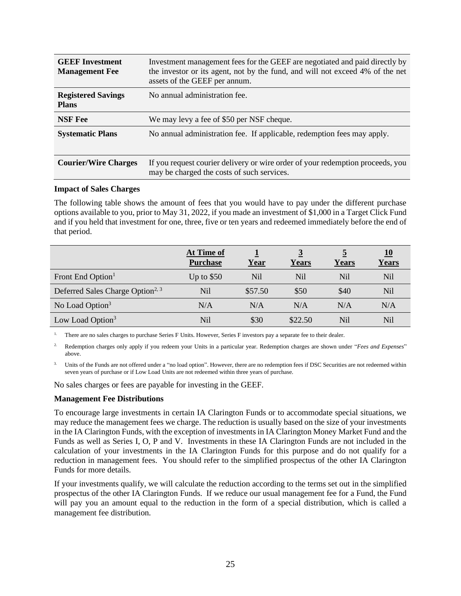| <b>GEEF Investment</b><br><b>Management Fee</b> | Investment management fees for the GEEF are negotiated and paid directly by<br>the investor or its agent, not by the fund, and will not exceed 4% of the net<br>assets of the GEEF per annum. |
|-------------------------------------------------|-----------------------------------------------------------------------------------------------------------------------------------------------------------------------------------------------|
| <b>Registered Savings</b><br><b>Plans</b>       | No annual administration fee.                                                                                                                                                                 |
| <b>NSF</b> Fee                                  | We may levy a fee of \$50 per NSF cheque.                                                                                                                                                     |
| <b>Systematic Plans</b>                         | No annual administration fee. If applicable, redemption fees may apply.                                                                                                                       |
| <b>Courier/Wire Charges</b>                     | If you request courier delivery or wire order of your redemption proceeds, you<br>may be charged the costs of such services.                                                                  |

#### <span id="page-27-0"></span>**Impact of Sales Charges**

The following table shows the amount of fees that you would have to pay under the different purchase options available to you, prior to May 31, 2022, if you made an investment of \$1,000 in a Target Click Fund and if you held that investment for one, three, five or ten years and redeemed immediately before the end of that period.

|                                              | At Time of<br><b>Purchase</b> | <u>Year</u> | $\overline{3}$<br><b>Years</b> | 5<br><b>Years</b> | 10<br>Years |
|----------------------------------------------|-------------------------------|-------------|--------------------------------|-------------------|-------------|
| Front End Option <sup>1</sup>                | Up to $$50$                   | Nil         | Nil                            | N <sub>il</sub>   | Nil         |
| Deferred Sales Charge Option <sup>2, 3</sup> | Nil                           | \$57.50     | \$50                           | \$40              | Nil         |
| No Load Option <sup>3</sup>                  | N/A                           | N/A         | N/A                            | N/A               | N/A         |
| Low Load Option <sup>3</sup>                 | Nil                           | \$30        | \$22.50                        | N <sub>il</sub>   | Nil         |

<sup>1.</sup> There are no sales charges to purchase Series F Units. However, Series F investors pay a separate fee to their dealer.

2. Redemption charges only apply if you redeem your Units in a particular year. Redemption charges are shown under "*Fees and Expenses*" above.

Units of the Funds are not offered under a "no load option". However, there are no redemption fees if DSC Securities are not redeemed within seven years of purchase or if Low Load Units are not redeemed within three years of purchase.

No sales charges or fees are payable for investing in the GEEF.

#### <span id="page-27-1"></span>**Management Fee Distributions**

To encourage large investments in certain IA Clarington Funds or to accommodate special situations, we may reduce the management fees we charge. The reduction is usually based on the size of your investments in the IA Clarington Funds, with the exception of investments in IA Clarington Money Market Fund and the Funds as well as Series I, O, P and V. Investments in these IA Clarington Funds are not included in the calculation of your investments in the IA Clarington Funds for this purpose and do not qualify for a reduction in management fees. You should refer to the simplified prospectus of the other IA Clarington Funds for more details.

If your investments qualify, we will calculate the reduction according to the terms set out in the simplified prospectus of the other IA Clarington Funds. If we reduce our usual management fee for a Fund, the Fund will pay you an amount equal to the reduction in the form of a special distribution, which is called a management fee distribution.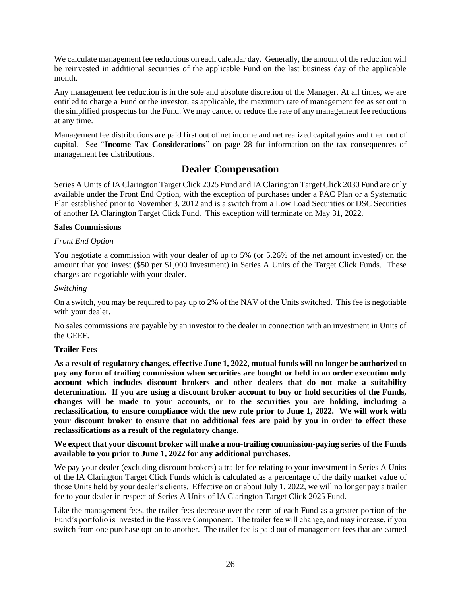We calculate management fee reductions on each calendar day. Generally, the amount of the reduction will be reinvested in additional securities of the applicable Fund on the last business day of the applicable month.

Any management fee reduction is in the sole and absolute discretion of the Manager. At all times, we are entitled to charge a Fund or the investor, as applicable, the maximum rate of management fee as set out in the simplified prospectus for the Fund. We may cancel or reduce the rate of any management fee reductions at any time.

Management fee distributions are paid first out of net income and net realized capital gains and then out of capital. See "**Income Tax Considerations**" on page [28](#page-30-0) for information on the tax consequences of management fee distributions.

## **Dealer Compensation**

<span id="page-28-0"></span>Series A Units of IA Clarington Target Click 2025 Fund and IA Clarington Target Click 2030 Fund are only available under the Front End Option, with the exception of purchases under a PAC Plan or a Systematic Plan established prior to November 3, 2012 and is a switch from a Low Load Securities or DSC Securities of another IA Clarington Target Click Fund. This exception will terminate on May 31, 2022.

#### <span id="page-28-1"></span>**Sales Commissions**

#### *Front End Option*

You negotiate a commission with your dealer of up to 5% (or 5.26% of the net amount invested) on the amount that you invest (\$50 per \$1,000 investment) in Series A Units of the Target Click Funds. These charges are negotiable with your dealer.

#### *Switching*

On a switch, you may be required to pay up to 2% of the NAV of the Units switched. This fee is negotiable with your dealer.

No sales commissions are payable by an investor to the dealer in connection with an investment in Units of the GEEF.

#### <span id="page-28-2"></span>**Trailer Fees**

**As a result of regulatory changes, effective June 1, 2022, mutual funds will no longer be authorized to pay any form of trailing commission when securities are bought or held in an order execution only account which includes discount brokers and other dealers that do not make a suitability determination. If you are using a discount broker account to buy or hold securities of the Funds, changes will be made to your accounts, or to the securities you are holding, including a reclassification, to ensure compliance with the new rule prior to June 1, 2022. We will work with your discount broker to ensure that no additional fees are paid by you in order to effect these reclassifications as a result of the regulatory change.**

#### **We expect that your discount broker will make a non-trailing commission-paying series of the Funds available to you prior to June 1, 2022 for any additional purchases.**

We pay your dealer (excluding discount brokers) a trailer fee relating to your investment in Series A Units of the IA Clarington Target Click Funds which is calculated as a percentage of the daily market value of those Units held by your dealer's clients. Effective on or about July 1, 2022, we will no longer pay a trailer fee to your dealer in respect of Series A Units of IA Clarington Target Click 2025 Fund.

Like the management fees, the trailer fees decrease over the term of each Fund as a greater portion of the Fund's portfolio is invested in the Passive Component. The trailer fee will change, and may increase, if you switch from one purchase option to another. The trailer fee is paid out of management fees that are earned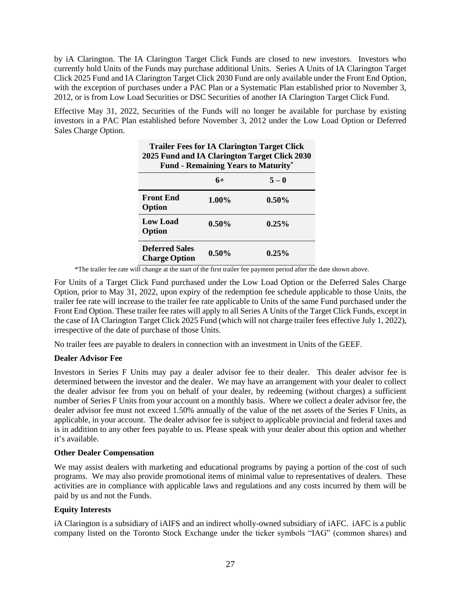by iA Clarington. The IA Clarington Target Click Funds are closed to new investors. Investors who currently hold Units of the Funds may purchase additional Units. Series A Units of IA Clarington Target Click 2025 Fund and IA Clarington Target Click 2030 Fund are only available under the Front End Option, with the exception of purchases under a PAC Plan or a Systematic Plan established prior to November 3, 2012, or is from Low Load Securities or DSC Securities of another IA Clarington Target Click Fund.

Effective May 31, 2022, Securities of the Funds will no longer be available for purchase by existing investors in a PAC Plan established before November 3, 2012 under the Low Load Option or Deferred Sales Charge Option.

**Trailer Fees for IA Clarington Target Click** 

| 2025 Fund and IA Clarington Target Click 2030<br><b>Fund - Remaining Years to Maturity*</b> |          |          |  |
|---------------------------------------------------------------------------------------------|----------|----------|--|
|                                                                                             | 6+       | $5 - 0$  |  |
| <b>Front End</b><br>Option                                                                  | $1.00\%$ | $0.50\%$ |  |
| <b>Low Load</b><br>Option                                                                   | $0.50\%$ | $0.25\%$ |  |
| <b>Deferred Sales</b><br><b>Charge Option</b>                                               | $0.50\%$ | $0.25\%$ |  |

\*The trailer fee rate will change at the start of the first trailer fee payment period after the date shown above.

For Units of a Target Click Fund purchased under the Low Load Option or the Deferred Sales Charge Option, prior to May 31, 2022, upon expiry of the redemption fee schedule applicable to those Units, the trailer fee rate will increase to the trailer fee rate applicable to Units of the same Fund purchased under the Front End Option. These trailer fee rates will apply to all Series A Units of the Target Click Funds, except in the case of IA Clarington Target Click 2025 Fund (which will not charge trailer fees effective July 1, 2022), irrespective of the date of purchase of those Units.

No trailer fees are payable to dealers in connection with an investment in Units of the GEEF.

#### <span id="page-29-0"></span>**Dealer Advisor Fee**

Investors in Series F Units may pay a dealer advisor fee to their dealer. This dealer advisor fee is determined between the investor and the dealer. We may have an arrangement with your dealer to collect the dealer advisor fee from you on behalf of your dealer, by redeeming (without charges) a sufficient number of Series F Units from your account on a monthly basis. Where we collect a dealer advisor fee, the dealer advisor fee must not exceed 1.50% annually of the value of the net assets of the Series F Units, as applicable, in your account. The dealer advisor fee is subject to applicable provincial and federal taxes and is in addition to any other fees payable to us. Please speak with your dealer about this option and whether it's available.

#### <span id="page-29-1"></span>**Other Dealer Compensation**

We may assist dealers with marketing and educational programs by paying a portion of the cost of such programs. We may also provide promotional items of minimal value to representatives of dealers. These activities are in compliance with applicable laws and regulations and any costs incurred by them will be paid by us and not the Funds.

#### <span id="page-29-2"></span>**Equity Interests**

iA Clarington is a subsidiary of iAIFS and an indirect wholly-owned subsidiary of iAFC. iAFC is a public company listed on the Toronto Stock Exchange under the ticker symbols "IAG" (common shares) and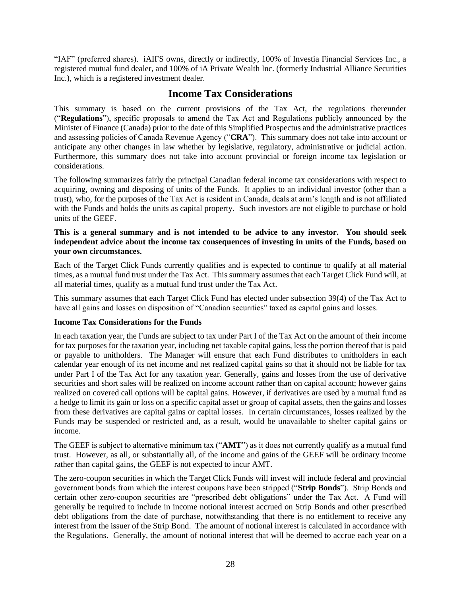"IAF" (preferred shares). iAIFS owns, directly or indirectly, 100% of Investia Financial Services Inc., a registered mutual fund dealer, and 100% of iA Private Wealth Inc. (formerly Industrial Alliance Securities Inc.), which is a registered investment dealer.

## **Income Tax Considerations**

<span id="page-30-0"></span>This summary is based on the current provisions of the Tax Act, the regulations thereunder ("**Regulations**"), specific proposals to amend the Tax Act and Regulations publicly announced by the Minister of Finance (Canada) prior to the date of this Simplified Prospectus and the administrative practices and assessing policies of Canada Revenue Agency ("**CRA**"). This summary does not take into account or anticipate any other changes in law whether by legislative, regulatory, administrative or judicial action. Furthermore, this summary does not take into account provincial or foreign income tax legislation or considerations.

The following summarizes fairly the principal Canadian federal income tax considerations with respect to acquiring, owning and disposing of units of the Funds. It applies to an individual investor (other than a trust), who, for the purposes of the Tax Act is resident in Canada, deals at arm's length and is not affiliated with the Funds and holds the units as capital property. Such investors are not eligible to purchase or hold units of the GEEF.

#### **This is a general summary and is not intended to be advice to any investor. You should seek independent advice about the income tax consequences of investing in units of the Funds, based on your own circumstances.**

Each of the Target Click Funds currently qualifies and is expected to continue to qualify at all material times, as a mutual fund trust under the Tax Act. This summary assumes that each Target Click Fund will, at all material times, qualify as a mutual fund trust under the Tax Act.

This summary assumes that each Target Click Fund has elected under subsection 39(4) of the Tax Act to have all gains and losses on disposition of "Canadian securities" taxed as capital gains and losses.

#### <span id="page-30-1"></span>**Income Tax Considerations for the Funds**

In each taxation year, the Funds are subject to tax under Part I of the Tax Act on the amount of their income for tax purposes for the taxation year, including net taxable capital gains, less the portion thereof that is paid or payable to unitholders. The Manager will ensure that each Fund distributes to unitholders in each calendar year enough of its net income and net realized capital gains so that it should not be liable for tax under Part I of the Tax Act for any taxation year. Generally, gains and losses from the use of derivative securities and short sales will be realized on income account rather than on capital account; however gains realized on covered call options will be capital gains. However, if derivatives are used by a mutual fund as a hedge to limit its gain or loss on a specific capital asset or group of capital assets, then the gains and losses from these derivatives are capital gains or capital losses. In certain circumstances, losses realized by the Funds may be suspended or restricted and, as a result, would be unavailable to shelter capital gains or income.

The GEEF is subject to alternative minimum tax ("**AMT**") as it does not currently qualify as a mutual fund trust. However, as all, or substantially all, of the income and gains of the GEEF will be ordinary income rather than capital gains, the GEEF is not expected to incur AMT.

The zero-coupon securities in which the Target Click Funds will invest will include federal and provincial government bonds from which the interest coupons have been stripped ("**Strip Bonds**"). Strip Bonds and certain other zero-coupon securities are "prescribed debt obligations" under the Tax Act. A Fund will generally be required to include in income notional interest accrued on Strip Bonds and other prescribed debt obligations from the date of purchase, notwithstanding that there is no entitlement to receive any interest from the issuer of the Strip Bond. The amount of notional interest is calculated in accordance with the Regulations. Generally, the amount of notional interest that will be deemed to accrue each year on a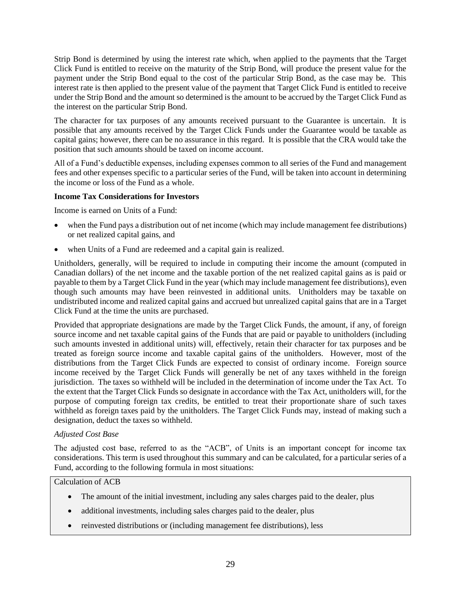Strip Bond is determined by using the interest rate which, when applied to the payments that the Target Click Fund is entitled to receive on the maturity of the Strip Bond, will produce the present value for the payment under the Strip Bond equal to the cost of the particular Strip Bond, as the case may be. This interest rate is then applied to the present value of the payment that Target Click Fund is entitled to receive under the Strip Bond and the amount so determined is the amount to be accrued by the Target Click Fund as the interest on the particular Strip Bond.

The character for tax purposes of any amounts received pursuant to the Guarantee is uncertain. It is possible that any amounts received by the Target Click Funds under the Guarantee would be taxable as capital gains; however, there can be no assurance in this regard. It is possible that the CRA would take the position that such amounts should be taxed on income account.

All of a Fund's deductible expenses, including expenses common to all series of the Fund and management fees and other expenses specific to a particular series of the Fund, will be taken into account in determining the income or loss of the Fund as a whole.

## <span id="page-31-0"></span>**Income Tax Considerations for Investors**

Income is earned on Units of a Fund:

- when the Fund pays a distribution out of net income (which may include management fee distributions) or net realized capital gains, and
- when Units of a Fund are redeemed and a capital gain is realized.

Unitholders, generally, will be required to include in computing their income the amount (computed in Canadian dollars) of the net income and the taxable portion of the net realized capital gains as is paid or payable to them by a Target Click Fund in the year (which may include management fee distributions), even though such amounts may have been reinvested in additional units. Unitholders may be taxable on undistributed income and realized capital gains and accrued but unrealized capital gains that are in a Target Click Fund at the time the units are purchased.

Provided that appropriate designations are made by the Target Click Funds, the amount, if any, of foreign source income and net taxable capital gains of the Funds that are paid or payable to unitholders (including such amounts invested in additional units) will, effectively, retain their character for tax purposes and be treated as foreign source income and taxable capital gains of the unitholders. However, most of the distributions from the Target Click Funds are expected to consist of ordinary income. Foreign source income received by the Target Click Funds will generally be net of any taxes withheld in the foreign jurisdiction. The taxes so withheld will be included in the determination of income under the Tax Act. To the extent that the Target Click Funds so designate in accordance with the Tax Act, unitholders will, for the purpose of computing foreign tax credits, be entitled to treat their proportionate share of such taxes withheld as foreign taxes paid by the unitholders. The Target Click Funds may, instead of making such a designation, deduct the taxes so withheld.

#### *Adjusted Cost Base*

The adjusted cost base, referred to as the "ACB", of Units is an important concept for income tax considerations. This term is used throughout this summary and can be calculated, for a particular series of a Fund, according to the following formula in most situations:

## Calculation of ACB

- The amount of the initial investment, including any sales charges paid to the dealer, plus
- additional investments, including sales charges paid to the dealer, plus
- reinvested distributions or (including management fee distributions), less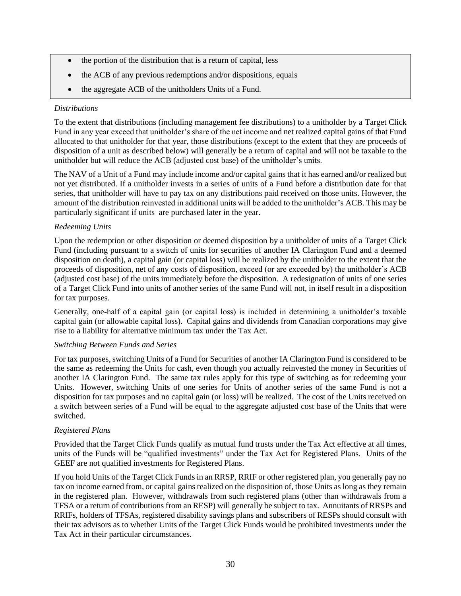- the portion of the distribution that is a return of capital, less
- the ACB of any previous redemptions and/or dispositions, equals
- the aggregate ACB of the unitholders Units of a Fund.

#### *Distributions*

To the extent that distributions (including management fee distributions) to a unitholder by a Target Click Fund in any year exceed that unitholder's share of the net income and net realized capital gains of that Fund allocated to that unitholder for that year, those distributions (except to the extent that they are proceeds of disposition of a unit as described below) will generally be a return of capital and will not be taxable to the unitholder but will reduce the ACB (adjusted cost base) of the unitholder's units.

The NAV of a Unit of a Fund may include income and/or capital gains that it has earned and/or realized but not yet distributed. If a unitholder invests in a series of units of a Fund before a distribution date for that series, that unitholder will have to pay tax on any distributions paid received on those units. However, the amount of the distribution reinvested in additional units will be added to the unitholder's ACB. This may be particularly significant if units are purchased later in the year.

#### *Redeeming Units*

Upon the redemption or other disposition or deemed disposition by a unitholder of units of a Target Click Fund (including pursuant to a switch of units for securities of another IA Clarington Fund and a deemed disposition on death), a capital gain (or capital loss) will be realized by the unitholder to the extent that the proceeds of disposition, net of any costs of disposition, exceed (or are exceeded by) the unitholder's ACB (adjusted cost base) of the units immediately before the disposition. A redesignation of units of one series of a Target Click Fund into units of another series of the same Fund will not, in itself result in a disposition for tax purposes.

Generally, one-half of a capital gain (or capital loss) is included in determining a unitholder's taxable capital gain (or allowable capital loss). Capital gains and dividends from Canadian corporations may give rise to a liability for alternative minimum tax under the Tax Act.

#### *Switching Between Funds and Series*

For tax purposes, switching Units of a Fund for Securities of another IA Clarington Fund is considered to be the same as redeeming the Units for cash, even though you actually reinvested the money in Securities of another IA Clarington Fund. The same tax rules apply for this type of switching as for redeeming your Units. However, switching Units of one series for Units of another series of the same Fund is not a disposition for tax purposes and no capital gain (or loss) will be realized. The cost of the Units received on a switch between series of a Fund will be equal to the aggregate adjusted cost base of the Units that were switched.

#### *Registered Plans*

Provided that the Target Click Funds qualify as mutual fund trusts under the Tax Act effective at all times, units of the Funds will be "qualified investments" under the Tax Act for Registered Plans. Units of the GEEF are not qualified investments for Registered Plans.

If you hold Units of the Target Click Funds in an RRSP, RRIF or other registered plan, you generally pay no tax on income earned from, or capital gains realized on the disposition of, those Units as long as they remain in the registered plan. However, withdrawals from such registered plans (other than withdrawals from a TFSA or a return of contributions from an RESP) will generally be subject to tax. Annuitants of RRSPs and RRIFs, holders of TFSAs, registered disability savings plans and subscribers of RESPs should consult with their tax advisors as to whether Units of the Target Click Funds would be prohibited investments under the Tax Act in their particular circumstances.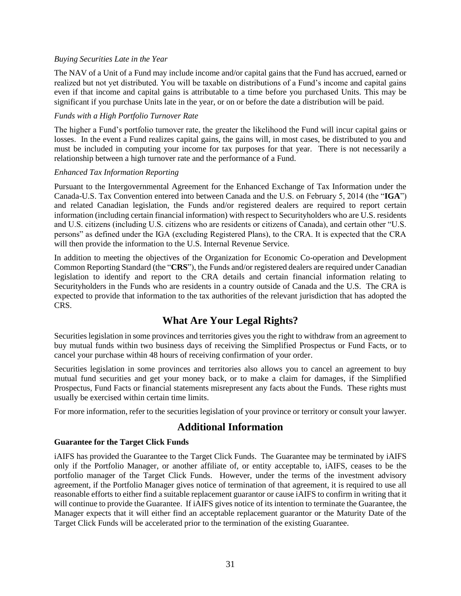#### *Buying Securities Late in the Year*

The NAV of a Unit of a Fund may include income and/or capital gains that the Fund has accrued, earned or realized but not yet distributed. You will be taxable on distributions of a Fund's income and capital gains even if that income and capital gains is attributable to a time before you purchased Units. This may be significant if you purchase Units late in the year, or on or before the date a distribution will be paid.

#### *Funds with a High Portfolio Turnover Rate*

The higher a Fund's portfolio turnover rate, the greater the likelihood the Fund will incur capital gains or losses. In the event a Fund realizes capital gains, the gains will, in most cases, be distributed to you and must be included in computing your income for tax purposes for that year. There is not necessarily a relationship between a high turnover rate and the performance of a Fund.

#### *Enhanced Tax Information Reporting*

Pursuant to the Intergovernmental Agreement for the Enhanced Exchange of Tax Information under the Canada-U.S. Tax Convention entered into between Canada and the U.S. on February 5, 2014 (the "**IGA**") and related Canadian legislation, the Funds and/or registered dealers are required to report certain information (including certain financial information) with respect to Securityholders who are U.S. residents and U.S. citizens (including U.S. citizens who are residents or citizens of Canada), and certain other "U.S. persons" as defined under the IGA (excluding Registered Plans), to the CRA. It is expected that the CRA will then provide the information to the U.S. Internal Revenue Service.

In addition to meeting the objectives of the Organization for Economic Co-operation and Development Common Reporting Standard (the "**CRS**"), the Funds and/or registered dealers are required under Canadian legislation to identify and report to the CRA details and certain financial information relating to Securityholders in the Funds who are residents in a country outside of Canada and the U.S. The CRA is expected to provide that information to the tax authorities of the relevant jurisdiction that has adopted the CRS.

## **What Are Your Legal Rights?**

<span id="page-33-0"></span>Securities legislation in some provinces and territories gives you the right to withdraw from an agreement to buy mutual funds within two business days of receiving the Simplified Prospectus or Fund Facts, or to cancel your purchase within 48 hours of receiving confirmation of your order.

Securities legislation in some provinces and territories also allows you to cancel an agreement to buy mutual fund securities and get your money back, or to make a claim for damages, if the Simplified Prospectus, Fund Facts or financial statements misrepresent any facts about the Funds. These rights must usually be exercised within certain time limits.

<span id="page-33-1"></span>For more information, refer to the securities legislation of your province or territory or consult your lawyer.

## **Additional Information**

#### <span id="page-33-2"></span>**Guarantee for the Target Click Funds**

iAIFS has provided the Guarantee to the Target Click Funds. The Guarantee may be terminated by iAIFS only if the Portfolio Manager, or another affiliate of, or entity acceptable to, iAIFS, ceases to be the portfolio manager of the Target Click Funds. However, under the terms of the investment advisory agreement, if the Portfolio Manager gives notice of termination of that agreement, it is required to use all reasonable efforts to either find a suitable replacement guarantor or cause iAIFS to confirm in writing that it will continue to provide the Guarantee. If iAIFS gives notice of its intention to terminate the Guarantee, the Manager expects that it will either find an acceptable replacement guarantor or the Maturity Date of the Target Click Funds will be accelerated prior to the termination of the existing Guarantee.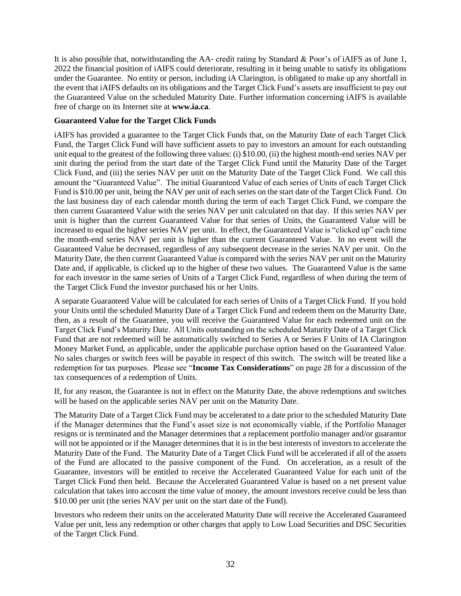It is also possible that, notwithstanding the AA- credit rating by Standard & Poor's of iAIFS as of June 1, 2022 the financial position of iAIFS could deteriorate, resulting in it being unable to satisfy its obligations under the Guarantee. No entity or person, including iA Clarington, is obligated to make up any shortfall in the event that iAIFS defaults on its obligations and the Target Click Fund's assets are insufficient to pay out the Guaranteed Value on the scheduled Maturity Date. Further information concerning iAIFS is available free of charge on its Internet site at **[www.ia.ca](http://www.ia.ca/)**.

#### <span id="page-34-0"></span>**Guaranteed Value for the Target Click Funds**

iAIFS has provided a guarantee to the Target Click Funds that, on the Maturity Date of each Target Click Fund, the Target Click Fund will have sufficient assets to pay to investors an amount for each outstanding unit equal to the greatest of the following three values: (i) \$10.00, (ii) the highest month-end series NAV per unit during the period from the start date of the Target Click Fund until the Maturity Date of the Target Click Fund, and (iii) the series NAV per unit on the Maturity Date of the Target Click Fund. We call this amount the "Guaranteed Value". The initial Guaranteed Value of each series of Units of each Target Click Fund is \$10.00 per unit, being the NAV per unit of each series on the start date of the Target Click Fund. On the last business day of each calendar month during the term of each Target Click Fund, we compare the then current Guaranteed Value with the series NAV per unit calculated on that day. If this series NAV per unit is higher than the current Guaranteed Value for that series of Units, the Guaranteed Value will be increased to equal the higher series NAV per unit. In effect, the Guaranteed Value is "clicked up" each time the month-end series NAV per unit is higher than the current Guaranteed Value. In no event will the Guaranteed Value be decreased, regardless of any subsequent decrease in the series NAV per unit. On the Maturity Date, the then current Guaranteed Value is compared with the series NAV per unit on the Maturity Date and, if applicable, is clicked up to the higher of these two values. The Guaranteed Value is the same for each investor in the same series of Units of a Target Click Fund, regardless of when during the term of the Target Click Fund the investor purchased his or her Units.

A separate Guaranteed Value will be calculated for each series of Units of a Target Click Fund. If you hold your Units until the scheduled Maturity Date of a Target Click Fund and redeem them on the Maturity Date, then, as a result of the Guarantee, you will receive the Guaranteed Value for each redeemed unit on the Target Click Fund's Maturity Date. All Units outstanding on the scheduled Maturity Date of a Target Click Fund that are not redeemed will be automatically switched to Series A or Series F Units of IA Clarington Money Market Fund, as applicable, under the applicable purchase option based on the Guaranteed Value. No sales charges or switch fees will be payable in respect of this switch. The switch will be treated like a redemption for tax purposes. Please see "**Income Tax Considerations**" on pag[e 28](#page-30-0) for a discussion of the tax consequences of a redemption of Units.

If, for any reason, the Guarantee is not in effect on the Maturity Date, the above redemptions and switches will be based on the applicable series NAV per unit on the Maturity Date.

The Maturity Date of a Target Click Fund may be accelerated to a date prior to the scheduled Maturity Date if the Manager determines that the Fund's asset size is not economically viable, if the Portfolio Manager resigns or is terminated and the Manager determines that a replacement portfolio manager and/or guarantor will not be appointed or if the Manager determines that it is in the best interests of investors to accelerate the Maturity Date of the Fund. The Maturity Date of a Target Click Fund will be accelerated if all of the assets of the Fund are allocated to the passive component of the Fund. On acceleration, as a result of the Guarantee, investors will be entitled to receive the Accelerated Guaranteed Value for each unit of the Target Click Fund then held. Because the Accelerated Guaranteed Value is based on a net present value calculation that takes into account the time value of money, the amount investors receive could be less than \$10.00 per unit (the series NAV per unit on the start date of the Fund).

Investors who redeem their units on the accelerated Maturity Date will receive the Accelerated Guaranteed Value per unit, less any redemption or other charges that apply to Low Load Securities and DSC Securities of the Target Click Fund.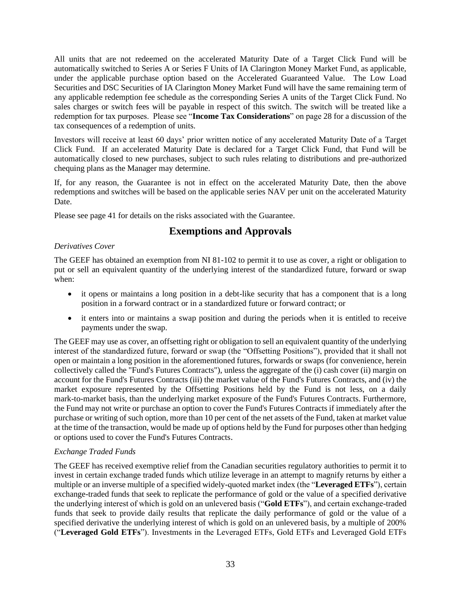All units that are not redeemed on the accelerated Maturity Date of a Target Click Fund will be automatically switched to Series A or Series F Units of IA Clarington Money Market Fund, as applicable, under the applicable purchase option based on the Accelerated Guaranteed Value. The Low Load Securities and DSC Securities of IA Clarington Money Market Fund will have the same remaining term of any applicable redemption fee schedule as the corresponding Series A units of the Target Click Fund. No sales charges or switch fees will be payable in respect of this switch. The switch will be treated like a redemption for tax purposes. Please see "**Income Tax Considerations**" on pag[e 28](#page-30-0) for a discussion of the tax consequences of a redemption of units.

Investors will receive at least 60 days' prior written notice of any accelerated Maturity Date of a Target Click Fund. If an accelerated Maturity Date is declared for a Target Click Fund, that Fund will be automatically closed to new purchases, subject to such rules relating to distributions and pre-authorized chequing plans as the Manager may determine.

If, for any reason, the Guarantee is not in effect on the accelerated Maturity Date, then the above redemptions and switches will be based on the applicable series NAV per unit on the accelerated Maturity Date.

<span id="page-35-0"></span>Please see page [41](#page-43-0) for details on the risks associated with the Guarantee.

## **Exemptions and Approvals**

## *Derivatives Cover*

The GEEF has obtained an exemption from NI 81-102 to permit it to use as cover, a right or obligation to put or sell an equivalent quantity of the underlying interest of the standardized future, forward or swap when:

- it opens or maintains a long position in a debt-like security that has a component that is a long position in a forward contract or in a standardized future or forward contract; or
- it enters into or maintains a swap position and during the periods when it is entitled to receive payments under the swap.

The GEEF may use as cover, an offsetting right or obligation to sell an equivalent quantity of the underlying interest of the standardized future, forward or swap (the "Offsetting Positions"), provided that it shall not open or maintain a long position in the aforementioned futures, forwards or swaps (for convenience, herein collectively called the "Fund's Futures Contracts"), unless the aggregate of the (i) cash cover (ii) margin on account for the Fund's Futures Contracts (iii) the market value of the Fund's Futures Contracts, and (iv) the market exposure represented by the Offsetting Positions held by the Fund is not less, on a daily mark-to-market basis, than the underlying market exposure of the Fund's Futures Contracts. Furthermore, the Fund may not write or purchase an option to cover the Fund's Futures Contracts if immediately after the purchase or writing of such option, more than 10 per cent of the net assets of the Fund, taken at market value at the time of the transaction, would be made up of options held by the Fund for purposes other than hedging or options used to cover the Fund's Futures Contracts.

## *Exchange Traded Funds*

The GEEF has received exemptive relief from the Canadian securities regulatory authorities to permit it to invest in certain exchange traded funds which utilize leverage in an attempt to magnify returns by either a multiple or an inverse multiple of a specified widely-quoted market index (the "**Leveraged ETFs**"), certain exchange-traded funds that seek to replicate the performance of gold or the value of a specified derivative the underlying interest of which is gold on an unlevered basis ("**Gold ETFs**"), and certain exchange-traded funds that seek to provide daily results that replicate the daily performance of gold or the value of a specified derivative the underlying interest of which is gold on an unlevered basis, by a multiple of 200% ("**Leveraged Gold ETFs**"). Investments in the Leveraged ETFs, Gold ETFs and Leveraged Gold ETFs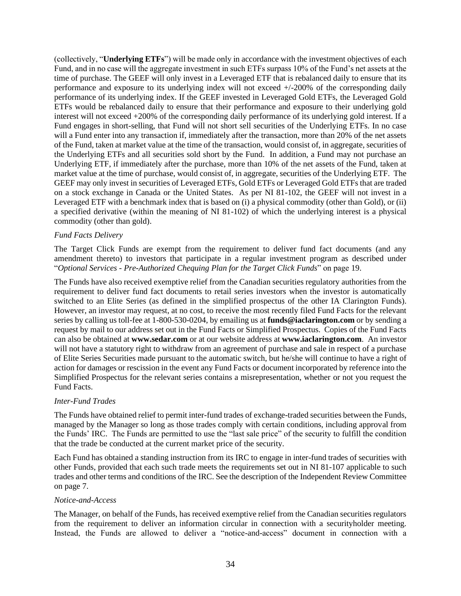(collectively, "**Underlying ETFs**") will be made only in accordance with the investment objectives of each Fund, and in no case will the aggregate investment in such ETFs surpass 10% of the Fund's net assets at the time of purchase. The GEEF will only invest in a Leveraged ETF that is rebalanced daily to ensure that its performance and exposure to its underlying index will not exceed +/-200% of the corresponding daily performance of its underlying index. If the GEEF invested in Leveraged Gold ETFs, the Leveraged Gold ETFs would be rebalanced daily to ensure that their performance and exposure to their underlying gold interest will not exceed +200% of the corresponding daily performance of its underlying gold interest. If a Fund engages in short-selling, that Fund will not short sell securities of the Underlying ETFs. In no case will a Fund enter into any transaction if, immediately after the transaction, more than 20% of the net assets of the Fund, taken at market value at the time of the transaction, would consist of, in aggregate, securities of the Underlying ETFs and all securities sold short by the Fund. In addition, a Fund may not purchase an Underlying ETF, if immediately after the purchase, more than 10% of the net assets of the Fund, taken at market value at the time of purchase, would consist of, in aggregate, securities of the Underlying ETF. The GEEF may only invest in securities of Leveraged ETFs, Gold ETFs or Leveraged Gold ETFs that are traded on a stock exchange in Canada or the United States. As per NI 81-102, the GEEF will not invest in a Leveraged ETF with a benchmark index that is based on (i) a physical commodity (other than Gold), or (ii) a specified derivative (within the meaning of NI 81-102) of which the underlying interest is a physical commodity (other than gold).

#### *Fund Facts Delivery*

The Target Click Funds are exempt from the requirement to deliver fund fact documents (and any amendment thereto) to investors that participate in a regular investment program as described under "*Optional Services - Pre-Authorized Chequing Plan for the Target Click Funds*" on page [19.](#page-21-1)

The Funds have also received exemptive relief from the Canadian securities regulatory authorities from the requirement to deliver fund fact documents to retail series investors when the investor is automatically switched to an Elite Series (as defined in the simplified prospectus of the other IA Clarington Funds). However, an investor may request, at no cost, to receive the most recently filed Fund Facts for the relevant series by calling us toll-fee at 1-800-530-0204, by emailing us at **[funds@iaclarington.com](mailto:funds@iaclarington.com)** or by sending a request by mail to our address set out in the Fund Facts or Simplified Prospectus. Copies of the Fund Facts can also be obtained at **[www.sedar.com](http://www.sedar.com/)** or at our website address at **[www.iaclarington.com](http://www.iaclarington.com/)**. An investor will not have a statutory right to withdraw from an agreement of purchase and sale in respect of a purchase of Elite Series Securities made pursuant to the automatic switch, but he/she will continue to have a right of action for damages or rescission in the event any Fund Facts or document incorporated by reference into the Simplified Prospectus for the relevant series contains a misrepresentation, whether or not you request the Fund Facts.

#### *Inter-Fund Trades*

The Funds have obtained relief to permit inter-fund trades of exchange-traded securities between the Funds, managed by the Manager so long as those trades comply with certain conditions, including approval from the Funds' IRC. The Funds are permitted to use the "last sale price" of the security to fulfill the condition that the trade be conducted at the current market price of the security.

Each Fund has obtained a standing instruction from its IRC to engage in inter-fund trades of securities with other Funds, provided that each such trade meets the requirements set out in NI 81-107 applicable to such trades and other terms and conditions of the IRC. See the description of the Independent Review Committee on page [7.](#page-9-5)

#### *Notice-and-Access*

The Manager, on behalf of the Funds, has received exemptive relief from the Canadian securities regulators from the requirement to deliver an information circular in connection with a securityholder meeting. Instead, the Funds are allowed to deliver a "notice-and-access" document in connection with a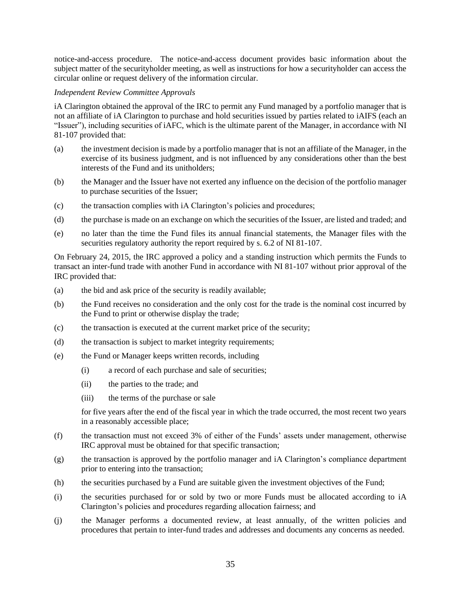notice-and-access procedure. The notice-and-access document provides basic information about the subject matter of the securityholder meeting, as well as instructions for how a securityholder can access the circular online or request delivery of the information circular.

#### *Independent Review Committee Approvals*

iA Clarington obtained the approval of the IRC to permit any Fund managed by a portfolio manager that is not an affiliate of iA Clarington to purchase and hold securities issued by parties related to iAIFS (each an "Issuer"), including securities of iAFC, which is the ultimate parent of the Manager, in accordance with NI 81-107 provided that:

- (a) the investment decision is made by a portfolio manager that is not an affiliate of the Manager, in the exercise of its business judgment, and is not influenced by any considerations other than the best interests of the Fund and its unitholders;
- (b) the Manager and the Issuer have not exerted any influence on the decision of the portfolio manager to purchase securities of the Issuer;
- (c) the transaction complies with iA Clarington's policies and procedures;
- (d) the purchase is made on an exchange on which the securities of the Issuer, are listed and traded; and
- (e) no later than the time the Fund files its annual financial statements, the Manager files with the securities regulatory authority the report required by s. 6.2 of NI 81-107.

On February 24, 2015, the IRC approved a policy and a standing instruction which permits the Funds to transact an inter-fund trade with another Fund in accordance with NI 81-107 without prior approval of the IRC provided that:

- (a) the bid and ask price of the security is readily available;
- (b) the Fund receives no consideration and the only cost for the trade is the nominal cost incurred by the Fund to print or otherwise display the trade;
- (c) the transaction is executed at the current market price of the security;
- (d) the transaction is subject to market integrity requirements;
- (e) the Fund or Manager keeps written records, including
	- (i) a record of each purchase and sale of securities;
	- (ii) the parties to the trade; and
	- (iii) the terms of the purchase or sale

for five years after the end of the fiscal year in which the trade occurred, the most recent two years in a reasonably accessible place;

- (f) the transaction must not exceed 3% of either of the Funds' assets under management, otherwise IRC approval must be obtained for that specific transaction;
- (g) the transaction is approved by the portfolio manager and iA Clarington's compliance department prior to entering into the transaction;
- (h) the securities purchased by a Fund are suitable given the investment objectives of the Fund;
- (i) the securities purchased for or sold by two or more Funds must be allocated according to iA Clarington's policies and procedures regarding allocation fairness; and
- (j) the Manager performs a documented review, at least annually, of the written policies and procedures that pertain to inter-fund trades and addresses and documents any concerns as needed.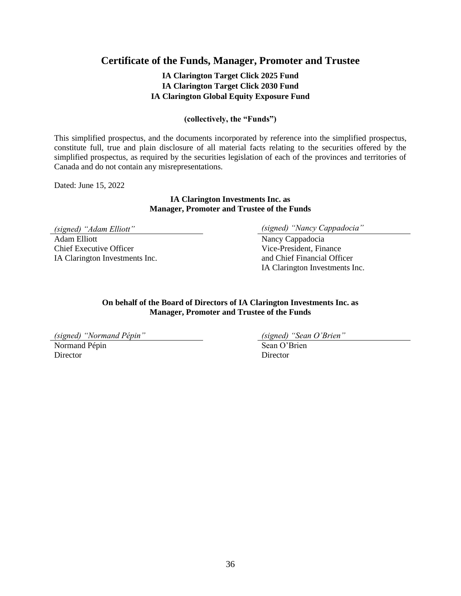## <span id="page-38-0"></span>**Certificate of the Funds, Manager, Promoter and Trustee**

## **IA Clarington Target Click 2025 Fund IA Clarington Target Click 2030 Fund IA Clarington Global Equity Exposure Fund**

#### **(collectively, the "Funds")**

This simplified prospectus, and the documents incorporated by reference into the simplified prospectus, constitute full, true and plain disclosure of all material facts relating to the securities offered by the simplified prospectus, as required by the securities legislation of each of the provinces and territories of Canada and do not contain any misrepresentations.

Dated: June 15, 2022

#### **IA Clarington Investments Inc. as Manager, Promoter and Trustee of the Funds**

Adam Elliott Nancy Cappadocia Chief Executive Officer IA Clarington Investments Inc.

*(signed) "Adam Elliott" (signed) "Nancy Cappadocia"*

Vice-President, Finance and Chief Financial Officer IA Clarington Investments Inc.

**On behalf of the Board of Directors of IA Clarington Investments Inc. as Manager, Promoter and Trustee of the Funds** 

*(signed) "Normand Pépin" (signed) "Sean O'Brien"*

Normand Pépin Sean O'Brien Director Director Director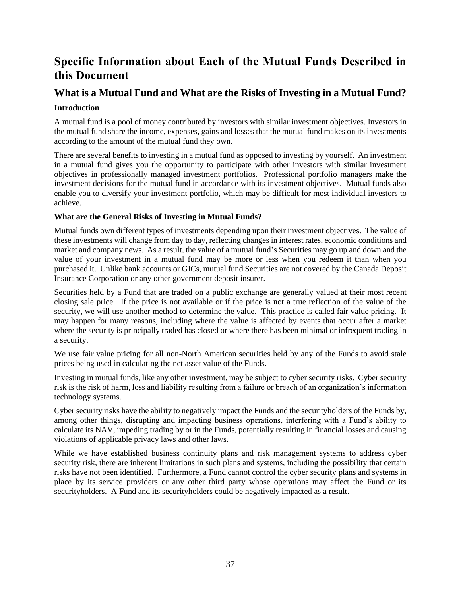# <span id="page-39-0"></span>**Specific Information about Each of the Mutual Funds Described in this Document**

# <span id="page-39-1"></span>**What is a Mutual Fund and What are the Risks of Investing in a Mutual Fund?**

## <span id="page-39-2"></span>**Introduction**

A mutual fund is a pool of money contributed by investors with similar investment objectives. Investors in the mutual fund share the income, expenses, gains and losses that the mutual fund makes on its investments according to the amount of the mutual fund they own.

There are several benefits to investing in a mutual fund as opposed to investing by yourself. An investment in a mutual fund gives you the opportunity to participate with other investors with similar investment objectives in professionally managed investment portfolios. Professional portfolio managers make the investment decisions for the mutual fund in accordance with its investment objectives. Mutual funds also enable you to diversify your investment portfolio, which may be difficult for most individual investors to achieve.

## <span id="page-39-3"></span>**What are the General Risks of Investing in Mutual Funds?**

Mutual funds own different types of investments depending upon their investment objectives. The value of these investments will change from day to day, reflecting changes in interest rates, economic conditions and market and company news. As a result, the value of a mutual fund's Securities may go up and down and the value of your investment in a mutual fund may be more or less when you redeem it than when you purchased it. Unlike bank accounts or GICs, mutual fund Securities are not covered by the Canada Deposit Insurance Corporation or any other government deposit insurer.

Securities held by a Fund that are traded on a public exchange are generally valued at their most recent closing sale price. If the price is not available or if the price is not a true reflection of the value of the security, we will use another method to determine the value. This practice is called fair value pricing. It may happen for many reasons, including where the value is affected by events that occur after a market where the security is principally traded has closed or where there has been minimal or infrequent trading in a security.

We use fair value pricing for all non-North American securities held by any of the Funds to avoid stale prices being used in calculating the net asset value of the Funds.

Investing in mutual funds, like any other investment, may be subject to cyber security risks. Cyber security risk is the risk of harm, loss and liability resulting from a failure or breach of an organization's information technology systems.

Cyber security risks have the ability to negatively impact the Funds and the securityholders of the Funds by, among other things, disrupting and impacting business operations, interfering with a Fund's ability to calculate its NAV, impeding trading by or in the Funds, potentially resulting in financial losses and causing violations of applicable privacy laws and other laws.

While we have established business continuity plans and risk management systems to address cyber security risk, there are inherent limitations in such plans and systems, including the possibility that certain risks have not been identified. Furthermore, a Fund cannot control the cyber security plans and systems in place by its service providers or any other third party whose operations may affect the Fund or its securityholders. A Fund and its securityholders could be negatively impacted as a result.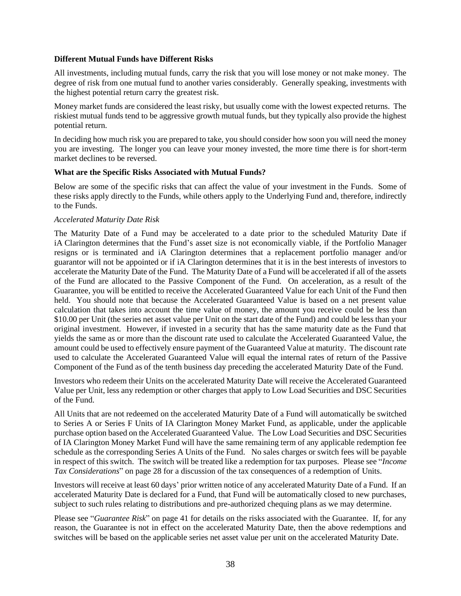#### **Different Mutual Funds have Different Risks**

All investments, including mutual funds, carry the risk that you will lose money or not make money. The degree of risk from one mutual fund to another varies considerably. Generally speaking, investments with the highest potential return carry the greatest risk.

Money market funds are considered the least risky, but usually come with the lowest expected returns. The riskiest mutual funds tend to be aggressive growth mutual funds, but they typically also provide the highest potential return.

In deciding how much risk you are prepared to take, you should consider how soon you will need the money you are investing. The longer you can leave your money invested, the more time there is for short-term market declines to be reversed.

#### <span id="page-40-0"></span>**What are the Specific Risks Associated with Mutual Funds?**

Below are some of the specific risks that can affect the value of your investment in the Funds. Some of these risks apply directly to the Funds, while others apply to the Underlying Fund and, therefore, indirectly to the Funds.

#### <span id="page-40-1"></span>*Accelerated Maturity Date Risk*

The Maturity Date of a Fund may be accelerated to a date prior to the scheduled Maturity Date if iA Clarington determines that the Fund's asset size is not economically viable, if the Portfolio Manager resigns or is terminated and iA Clarington determines that a replacement portfolio manager and/or guarantor will not be appointed or if iA Clarington determines that it is in the best interests of investors to accelerate the Maturity Date of the Fund. The Maturity Date of a Fund will be accelerated if all of the assets of the Fund are allocated to the Passive Component of the Fund. On acceleration, as a result of the Guarantee, you will be entitled to receive the Accelerated Guaranteed Value for each Unit of the Fund then held. You should note that because the Accelerated Guaranteed Value is based on a net present value calculation that takes into account the time value of money, the amount you receive could be less than \$10.00 per Unit (the series net asset value per Unit on the start date of the Fund) and could be less than your original investment. However, if invested in a security that has the same maturity date as the Fund that yields the same as or more than the discount rate used to calculate the Accelerated Guaranteed Value, the amount could be used to effectively ensure payment of the Guaranteed Value at maturity. The discount rate used to calculate the Accelerated Guaranteed Value will equal the internal rates of return of the Passive Component of the Fund as of the tenth business day preceding the accelerated Maturity Date of the Fund.

Investors who redeem their Units on the accelerated Maturity Date will receive the Accelerated Guaranteed Value per Unit, less any redemption or other charges that apply to Low Load Securities and DSC Securities of the Fund.

All Units that are not redeemed on the accelerated Maturity Date of a Fund will automatically be switched to Series A or Series F Units of IA Clarington Money Market Fund, as applicable, under the applicable purchase option based on the Accelerated Guaranteed Value. The Low Load Securities and DSC Securities of IA Clarington Money Market Fund will have the same remaining term of any applicable redemption fee schedule as the corresponding Series A Units of the Fund. No sales charges or switch fees will be payable in respect of this switch. The switch will be treated like a redemption for tax purposes. Please see "*Income Tax Considerations*" on page [28](#page-30-0) for a discussion of the tax consequences of a redemption of Units.

Investors will receive at least 60 days' prior written notice of any accelerated Maturity Date of a Fund. If an accelerated Maturity Date is declared for a Fund, that Fund will be automatically closed to new purchases, subject to such rules relating to distributions and pre-authorized chequing plans as we may determine.

Please see "*Guarantee Risk*" on page [41](#page-43-0) for details on the risks associated with the Guarantee. If, for any reason, the Guarantee is not in effect on the accelerated Maturity Date, then the above redemptions and switches will be based on the applicable series net asset value per unit on the accelerated Maturity Date.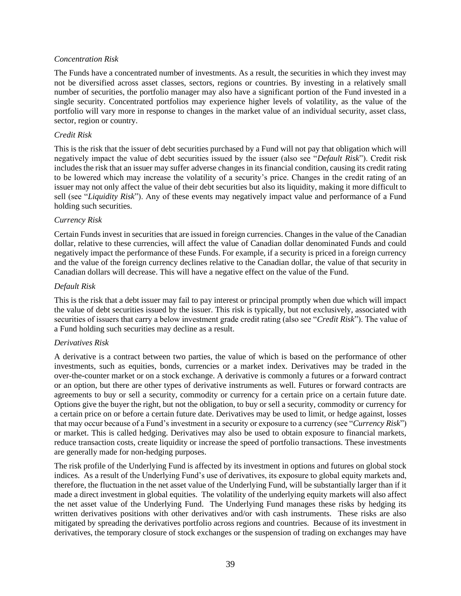#### *Concentration Risk*

The Funds have a concentrated number of investments. As a result, the securities in which they invest may not be diversified across asset classes, sectors, regions or countries. By investing in a relatively small number of securities, the portfolio manager may also have a significant portion of the Fund invested in a single security. Concentrated portfolios may experience higher levels of volatility, as the value of the portfolio will vary more in response to changes in the market value of an individual security, asset class, sector, region or country.

#### *Credit Risk*

This is the risk that the issuer of debt securities purchased by a Fund will not pay that obligation which will negatively impact the value of debt securities issued by the issuer (also see "*Default Risk*"). Credit risk includes the risk that an issuer may suffer adverse changes in its financial condition, causing its credit rating to be lowered which may increase the volatility of a security's price. Changes in the credit rating of an issuer may not only affect the value of their debt securities but also its liquidity, making it more difficult to sell (see "*Liquidity Risk*"). Any of these events may negatively impact value and performance of a Fund holding such securities.

#### *Currency Risk*

Certain Funds invest in securities that are issued in foreign currencies. Changes in the value of the Canadian dollar, relative to these currencies, will affect the value of Canadian dollar denominated Funds and could negatively impact the performance of these Funds. For example, if a security is priced in a foreign currency and the value of the foreign currency declines relative to the Canadian dollar, the value of that security in Canadian dollars will decrease. This will have a negative effect on the value of the Fund.

#### *Default Risk*

This is the risk that a debt issuer may fail to pay interest or principal promptly when due which will impact the value of debt securities issued by the issuer. This risk is typically, but not exclusively, associated with securities of issuers that carry a below investment grade credit rating (also see "*Credit Risk*"). The value of a Fund holding such securities may decline as a result.

#### *Derivatives Risk*

A derivative is a contract between two parties, the value of which is based on the performance of other investments, such as equities, bonds, currencies or a market index. Derivatives may be traded in the over-the-counter market or on a stock exchange. A derivative is commonly a futures or a forward contract or an option, but there are other types of derivative instruments as well. Futures or forward contracts are agreements to buy or sell a security, commodity or currency for a certain price on a certain future date. Options give the buyer the right, but not the obligation, to buy or sell a security, commodity or currency for a certain price on or before a certain future date. Derivatives may be used to limit, or hedge against, losses that may occur because of a Fund's investment in a security or exposure to a currency (see "*Currency Risk*") or market. This is called hedging. Derivatives may also be used to obtain exposure to financial markets, reduce transaction costs, create liquidity or increase the speed of portfolio transactions. These investments are generally made for non-hedging purposes.

The risk profile of the Underlying Fund is affected by its investment in options and futures on global stock indices. As a result of the Underlying Fund's use of derivatives, its exposure to global equity markets and, therefore, the fluctuation in the net asset value of the Underlying Fund, will be substantially larger than if it made a direct investment in global equities. The volatility of the underlying equity markets will also affect the net asset value of the Underlying Fund. The Underlying Fund manages these risks by hedging its written derivatives positions with other derivatives and/or with cash instruments. These risks are also mitigated by spreading the derivatives portfolio across regions and countries. Because of its investment in derivatives, the temporary closure of stock exchanges or the suspension of trading on exchanges may have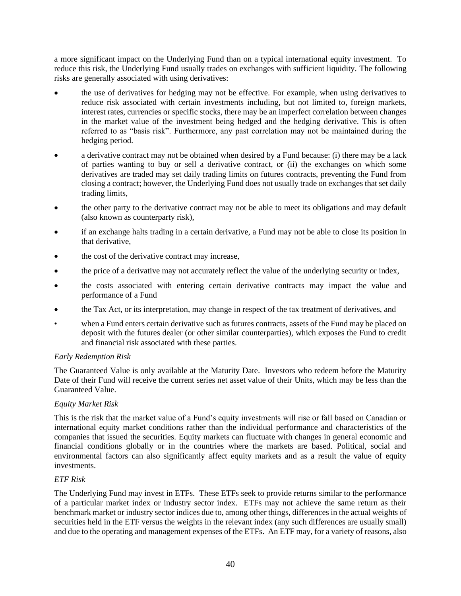a more significant impact on the Underlying Fund than on a typical international equity investment. To reduce this risk, the Underlying Fund usually trades on exchanges with sufficient liquidity. The following risks are generally associated with using derivatives:

- the use of derivatives for hedging may not be effective. For example, when using derivatives to reduce risk associated with certain investments including, but not limited to, foreign markets, interest rates, currencies or specific stocks, there may be an imperfect correlation between changes in the market value of the investment being hedged and the hedging derivative. This is often referred to as "basis risk". Furthermore, any past correlation may not be maintained during the hedging period.
- a derivative contract may not be obtained when desired by a Fund because: (i) there may be a lack of parties wanting to buy or sell a derivative contract, or (ii) the exchanges on which some derivatives are traded may set daily trading limits on futures contracts, preventing the Fund from closing a contract; however, the Underlying Fund does not usually trade on exchanges that set daily trading limits,
- the other party to the derivative contract may not be able to meet its obligations and may default (also known as counterparty risk),
- if an exchange halts trading in a certain derivative, a Fund may not be able to close its position in that derivative,
- the cost of the derivative contract may increase,
- the price of a derivative may not accurately reflect the value of the underlying security or index,
- the costs associated with entering certain derivative contracts may impact the value and performance of a Fund
- the Tax Act, or its interpretation, may change in respect of the tax treatment of derivatives, and
- when a Fund enters certain derivative such as futures contracts, assets of the Fund may be placed on deposit with the futures dealer (or other similar counterparties), which exposes the Fund to credit and financial risk associated with these parties.

#### *Early Redemption Risk*

The Guaranteed Value is only available at the Maturity Date. Investors who redeem before the Maturity Date of their Fund will receive the current series net asset value of their Units, which may be less than the Guaranteed Value.

#### *Equity Market Risk*

This is the risk that the market value of a Fund's equity investments will rise or fall based on Canadian or international equity market conditions rather than the individual performance and characteristics of the companies that issued the securities. Equity markets can fluctuate with changes in general economic and financial conditions globally or in the countries where the markets are based. Political, social and environmental factors can also significantly affect equity markets and as a result the value of equity investments.

#### *ETF Risk*

The Underlying Fund may invest in ETFs. These ETFs seek to provide returns similar to the performance of a particular market index or industry sector index. ETFs may not achieve the same return as their benchmark market or industry sector indices due to, among other things, differences in the actual weights of securities held in the ETF versus the weights in the relevant index (any such differences are usually small) and due to the operating and management expenses of the ETFs. An ETF may, for a variety of reasons, also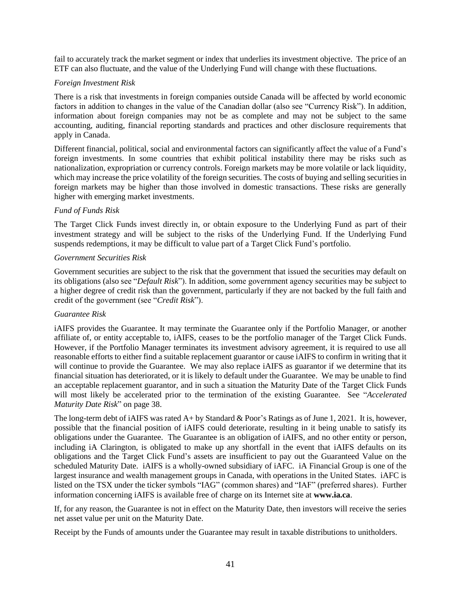fail to accurately track the market segment or index that underlies its investment objective. The price of an ETF can also fluctuate, and the value of the Underlying Fund will change with these fluctuations.

#### *Foreign Investment Risk*

There is a risk that investments in foreign companies outside Canada will be affected by world economic factors in addition to changes in the value of the Canadian dollar (also see "Currency Risk"). In addition, information about foreign companies may not be as complete and may not be subject to the same accounting, auditing, financial reporting standards and practices and other disclosure requirements that apply in Canada.

Different financial, political, social and environmental factors can significantly affect the value of a Fund's foreign investments. In some countries that exhibit political instability there may be risks such as nationalization, expropriation or currency controls. Foreign markets may be more volatile or lack liquidity, which may increase the price volatility of the foreign securities. The costs of buying and selling securities in foreign markets may be higher than those involved in domestic transactions. These risks are generally higher with emerging market investments.

#### *Fund of Funds Risk*

The Target Click Funds invest directly in, or obtain exposure to the Underlying Fund as part of their investment strategy and will be subject to the risks of the Underlying Fund. If the Underlying Fund suspends redemptions, it may be difficult to value part of a Target Click Fund's portfolio.

#### *Government Securities Risk*

Government securities are subject to the risk that the government that issued the securities may default on its obligations (also see "*Default Risk*"). In addition, some government agency securities may be subject to a higher degree of credit risk than the government, particularly if they are not backed by the full faith and credit of the government (see "*Credit Risk*").

#### <span id="page-43-0"></span>*Guarantee Risk*

iAIFS provides the Guarantee. It may terminate the Guarantee only if the Portfolio Manager, or another affiliate of, or entity acceptable to, iAIFS, ceases to be the portfolio manager of the Target Click Funds. However, if the Portfolio Manager terminates its investment advisory agreement, it is required to use all reasonable efforts to either find a suitable replacement guarantor or cause iAIFS to confirm in writing that it will continue to provide the Guarantee. We may also replace iAIFS as guarantor if we determine that its financial situation has deteriorated, or it is likely to default under the Guarantee. We may be unable to find an acceptable replacement guarantor, and in such a situation the Maturity Date of the Target Click Funds will most likely be accelerated prior to the termination of the existing Guarantee. See "*Accelerated Maturity Date Risk*" on page [38.](#page-40-1)

The long-term debt of iAIFS was rated A+ by Standard & Poor's Ratings as of June 1, 2021. It is, however, possible that the financial position of iAIFS could deteriorate, resulting in it being unable to satisfy its obligations under the Guarantee. The Guarantee is an obligation of iAIFS, and no other entity or person, including iA Clarington, is obligated to make up any shortfall in the event that iAIFS defaults on its obligations and the Target Click Fund's assets are insufficient to pay out the Guaranteed Value on the scheduled Maturity Date. iAIFS is a wholly-owned subsidiary of iAFC. iA Financial Group is one of the largest insurance and wealth management groups in Canada, with operations in the United States. iAFC is listed on the TSX under the ticker symbols "IAG" (common shares) and "IAF" (preferred shares). Further information concerning iAIFS is available free of charge on its Internet site at **[www.ia.ca](http://www.ia.ca/)**.

If, for any reason, the Guarantee is not in effect on the Maturity Date, then investors will receive the series net asset value per unit on the Maturity Date.

Receipt by the Funds of amounts under the Guarantee may result in taxable distributions to unitholders.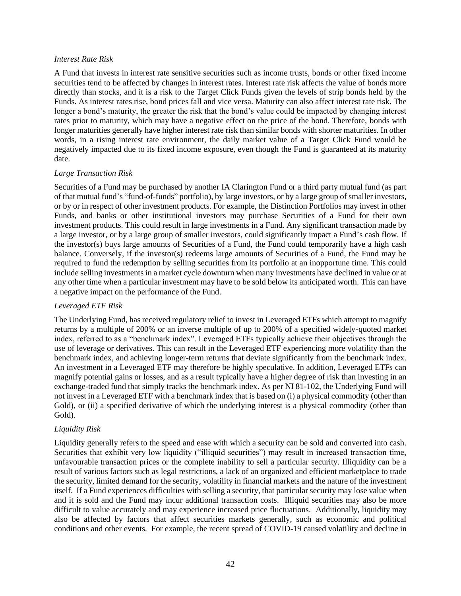#### *Interest Rate Risk*

A Fund that invests in interest rate sensitive securities such as income trusts, bonds or other fixed income securities tend to be affected by changes in interest rates. Interest rate risk affects the value of bonds more directly than stocks, and it is a risk to the Target Click Funds given the levels of strip bonds held by the Funds. As interest rates rise, bond prices fall and vice versa. Maturity can also affect interest rate risk. The longer a bond's maturity, the greater the risk that the bond's value could be impacted by changing interest rates prior to maturity, which may have a negative effect on the price of the bond. Therefore, bonds with longer maturities generally have higher interest rate risk than similar bonds with shorter maturities. In other words, in a rising interest rate environment, the daily market value of a Target Click Fund would be negatively impacted due to its fixed income exposure, even though the Fund is guaranteed at its maturity date.

#### *Large Transaction Risk*

Securities of a Fund may be purchased by another IA Clarington Fund or a third party mutual fund (as part of that mutual fund's "fund-of-funds" portfolio), by large investors, or by a large group of smaller investors, or by or in respect of other investment products. For example, the Distinction Portfolios may invest in other Funds, and banks or other institutional investors may purchase Securities of a Fund for their own investment products. This could result in large investments in a Fund. Any significant transaction made by a large investor, or by a large group of smaller investors, could significantly impact a Fund's cash flow. If the investor(s) buys large amounts of Securities of a Fund, the Fund could temporarily have a high cash balance. Conversely, if the investor(s) redeems large amounts of Securities of a Fund, the Fund may be required to fund the redemption by selling securities from its portfolio at an inopportune time. This could include selling investments in a market cycle downturn when many investments have declined in value or at any other time when a particular investment may have to be sold below its anticipated worth. This can have a negative impact on the performance of the Fund.

## <span id="page-44-0"></span>*Leveraged ETF Risk*

The Underlying Fund, has received regulatory relief to invest in Leveraged ETFs which attempt to magnify returns by a multiple of 200% or an inverse multiple of up to 200% of a specified widely-quoted market index, referred to as a "benchmark index". Leveraged ETFs typically achieve their objectives through the use of leverage or derivatives. This can result in the Leveraged ETF experiencing more volatility than the benchmark index, and achieving longer-term returns that deviate significantly from the benchmark index. An investment in a Leveraged ETF may therefore be highly speculative. In addition, Leveraged ETFs can magnify potential gains or losses, and as a result typically have a higher degree of risk than investing in an exchange-traded fund that simply tracks the benchmark index. As per NI 81-102, the Underlying Fund will not invest in a Leveraged ETF with a benchmark index that is based on (i) a physical commodity (other than Gold), or (ii) a specified derivative of which the underlying interest is a physical commodity (other than Gold).

## *Liquidity Risk*

Liquidity generally refers to the speed and ease with which a security can be sold and converted into cash. Securities that exhibit very low liquidity ("illiquid securities") may result in increased transaction time, unfavourable transaction prices or the complete inability to sell a particular security. Illiquidity can be a result of various factors such as legal restrictions, a lack of an organized and efficient marketplace to trade the security, limited demand for the security, volatility in financial markets and the nature of the investment itself. If a Fund experiences difficulties with selling a security, that particular security may lose value when and it is sold and the Fund may incur additional transaction costs. Illiquid securities may also be more difficult to value accurately and may experience increased price fluctuations. Additionally, liquidity may also be affected by factors that affect securities markets generally, such as economic and political conditions and other events. For example, the recent spread of COVID-19 caused volatility and decline in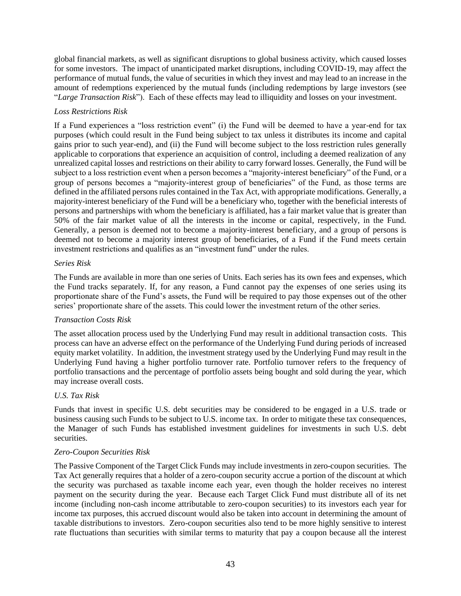global financial markets, as well as significant disruptions to global business activity, which caused losses for some investors. The impact of unanticipated market disruptions, including COVID-19, may affect the performance of mutual funds, the value of securities in which they invest and may lead to an increase in the amount of redemptions experienced by the mutual funds (including redemptions by large investors (see "*Large Transaction Risk*"). Each of these effects may lead to illiquidity and losses on your investment.

#### *Loss Restrictions Risk*

If a Fund experiences a "loss restriction event" (i) the Fund will be deemed to have a year-end for tax purposes (which could result in the Fund being subject to tax unless it distributes its income and capital gains prior to such year-end), and (ii) the Fund will become subject to the loss restriction rules generally applicable to corporations that experience an acquisition of control, including a deemed realization of any unrealized capital losses and restrictions on their ability to carry forward losses. Generally, the Fund will be subject to a loss restriction event when a person becomes a "majority-interest beneficiary" of the Fund, or a group of persons becomes a "majority-interest group of beneficiaries" of the Fund, as those terms are defined in the affiliated persons rules contained in the Tax Act, with appropriate modifications. Generally, a majority-interest beneficiary of the Fund will be a beneficiary who, together with the beneficial interests of persons and partnerships with whom the beneficiary is affiliated, has a fair market value that is greater than 50% of the fair market value of all the interests in the income or capital, respectively, in the Fund. Generally, a person is deemed not to become a majority-interest beneficiary, and a group of persons is deemed not to become a majority interest group of beneficiaries, of a Fund if the Fund meets certain investment restrictions and qualifies as an "investment fund" under the rules.

#### *Series Risk*

The Funds are available in more than one series of Units. Each series has its own fees and expenses, which the Fund tracks separately. If, for any reason, a Fund cannot pay the expenses of one series using its proportionate share of the Fund's assets, the Fund will be required to pay those expenses out of the other series' proportionate share of the assets. This could lower the investment return of the other series.

#### *Transaction Costs Risk*

The asset allocation process used by the Underlying Fund may result in additional transaction costs. This process can have an adverse effect on the performance of the Underlying Fund during periods of increased equity market volatility. In addition, the investment strategy used by the Underlying Fund may result in the Underlying Fund having a higher portfolio turnover rate. Portfolio turnover refers to the frequency of portfolio transactions and the percentage of portfolio assets being bought and sold during the year, which may increase overall costs.

#### *U.S. Tax Risk*

Funds that invest in specific U.S. debt securities may be considered to be engaged in a U.S. trade or business causing such Funds to be subject to U.S. income tax. In order to mitigate these tax consequences, the Manager of such Funds has established investment guidelines for investments in such U.S. debt securities.

#### *Zero-Coupon Securities Risk*

The Passive Component of the Target Click Funds may include investments in zero-coupon securities. The Tax Act generally requires that a holder of a zero-coupon security accrue a portion of the discount at which the security was purchased as taxable income each year, even though the holder receives no interest payment on the security during the year. Because each Target Click Fund must distribute all of its net income (including non-cash income attributable to zero-coupon securities) to its investors each year for income tax purposes, this accrued discount would also be taken into account in determining the amount of taxable distributions to investors. Zero-coupon securities also tend to be more highly sensitive to interest rate fluctuations than securities with similar terms to maturity that pay a coupon because all the interest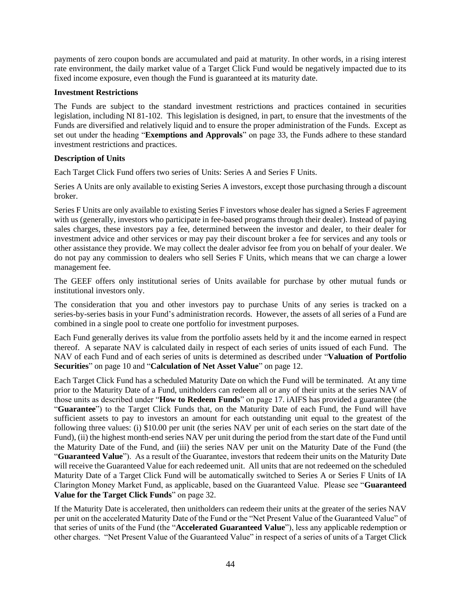payments of zero coupon bonds are accumulated and paid at maturity. In other words, in a rising interest rate environment, the daily market value of a Target Click Fund would be negatively impacted due to its fixed income exposure, even though the Fund is guaranteed at its maturity date.

#### <span id="page-46-0"></span>**Investment Restrictions**

The Funds are subject to the standard investment restrictions and practices contained in securities legislation, including NI 81-102. This legislation is designed, in part, to ensure that the investments of the Funds are diversified and relatively liquid and to ensure the proper administration of the Funds. Except as set out under the heading "**Exemptions and Approvals**" on page [33,](#page-35-0) the Funds adhere to these standard investment restrictions and practices.

#### <span id="page-46-1"></span>**Description of Units**

Each Target Click Fund offers two series of Units: Series A and Series F Units.

Series A Units are only available to existing Series A investors, except those purchasing through a discount broker.

Series F Units are only available to existing Series F investors whose dealer has signed a Series F agreement with us (generally, investors who participate in fee-based programs through their dealer). Instead of paying sales charges, these investors pay a fee, determined between the investor and dealer, to their dealer for investment advice and other services or may pay their discount broker a fee for services and any tools or other assistance they provide. We may collect the dealer advisor fee from you on behalf of your dealer. We do not pay any commission to dealers who sell Series F Units, which means that we can charge a lower management fee.

The GEEF offers only institutional series of Units available for purchase by other mutual funds or institutional investors only.

The consideration that you and other investors pay to purchase Units of any series is tracked on a series-by-series basis in your Fund's administration records. However, the assets of all series of a Fund are combined in a single pool to create one portfolio for investment purposes.

Each Fund generally derives its value from the portfolio assets held by it and the income earned in respect thereof. A separate NAV is calculated daily in respect of each series of units issued of each Fund. The NAV of each Fund and of each series of units is determined as described under "**Valuation of Portfolio Securities**" on pag[e 10](#page-12-3) and "**Calculation of Net Asset Value**" on page [12.](#page-14-0)

Each Target Click Fund has a scheduled Maturity Date on which the Fund will be terminated. At any time prior to the Maturity Date of a Fund, unitholders can redeem all or any of their units at the series NAV of those units as described under "**How to Redeem Funds**" on page [17.](#page-19-0) iAIFS has provided a guarantee (the "**Guarantee**") to the Target Click Funds that, on the Maturity Date of each Fund, the Fund will have sufficient assets to pay to investors an amount for each outstanding unit equal to the greatest of the following three values: (i) \$10.00 per unit (the series NAV per unit of each series on the start date of the Fund), (ii) the highest month-end series NAV per unit during the period from the start date of the Fund until the Maturity Date of the Fund, and (iii) the series NAV per unit on the Maturity Date of the Fund (the "**Guaranteed Value**"). As a result of the Guarantee, investors that redeem their units on the Maturity Date will receive the Guaranteed Value for each redeemed unit. All units that are not redeemed on the scheduled Maturity Date of a Target Click Fund will be automatically switched to Series A or Series F Units of IA Clarington Money Market Fund, as applicable, based on the Guaranteed Value. Please see "**Guaranteed Value for the Target Click Funds**" on page [32.](#page-34-0)

If the Maturity Date is accelerated, then unitholders can redeem their units at the greater of the series NAV per unit on the accelerated Maturity Date of the Fund or the "Net Present Value of the Guaranteed Value" of that series of units of the Fund (the "**Accelerated Guaranteed Value**"), less any applicable redemption or other charges. "Net Present Value of the Guaranteed Value" in respect of a series of units of a Target Click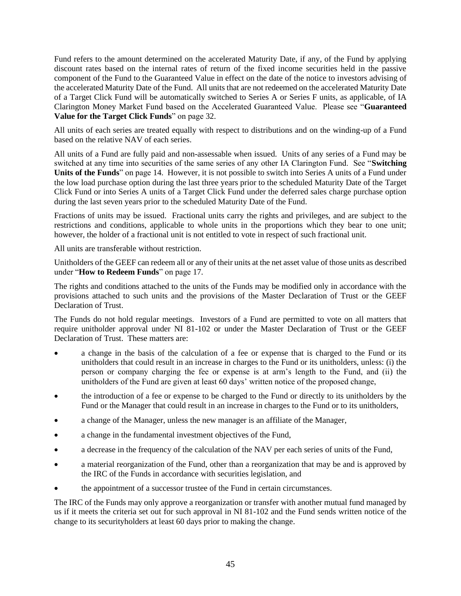Fund refers to the amount determined on the accelerated Maturity Date, if any, of the Fund by applying discount rates based on the internal rates of return of the fixed income securities held in the passive component of the Fund to the Guaranteed Value in effect on the date of the notice to investors advising of the accelerated Maturity Date of the Fund. All units that are not redeemed on the accelerated Maturity Date of a Target Click Fund will be automatically switched to Series A or Series F units, as applicable, of IA Clarington Money Market Fund based on the Accelerated Guaranteed Value. Please see "**Guaranteed Value for the Target Click Funds**" on page [32.](#page-34-0)

All units of each series are treated equally with respect to distributions and on the winding-up of a Fund based on the relative NAV of each series.

All units of a Fund are fully paid and non-assessable when issued. Units of any series of a Fund may be switched at any time into securities of the same series of any other IA Clarington Fund. See "**Switching Units of the Funds**" on page [14.](#page-16-0) However, it is not possible to switch into Series A units of a Fund under the low load purchase option during the last three years prior to the scheduled Maturity Date of the Target Click Fund or into Series A units of a Target Click Fund under the deferred sales charge purchase option during the last seven years prior to the scheduled Maturity Date of the Fund.

Fractions of units may be issued. Fractional units carry the rights and privileges, and are subject to the restrictions and conditions, applicable to whole units in the proportions which they bear to one unit; however, the holder of a fractional unit is not entitled to vote in respect of such fractional unit.

All units are transferable without restriction.

Unitholders of the GEEF can redeem all or any of their units at the net asset value of those units as described under "**How to Redeem Funds**" on page [17.](#page-19-0)

The rights and conditions attached to the units of the Funds may be modified only in accordance with the provisions attached to such units and the provisions of the Master Declaration of Trust or the GEEF Declaration of Trust.

The Funds do not hold regular meetings. Investors of a Fund are permitted to vote on all matters that require unitholder approval under NI 81-102 or under the Master Declaration of Trust or the GEEF Declaration of Trust. These matters are:

- a change in the basis of the calculation of a fee or expense that is charged to the Fund or its unitholders that could result in an increase in charges to the Fund or its unitholders, unless: (i) the person or company charging the fee or expense is at arm's length to the Fund, and (ii) the unitholders of the Fund are given at least 60 days' written notice of the proposed change,
- the introduction of a fee or expense to be charged to the Fund or directly to its unitholders by the Fund or the Manager that could result in an increase in charges to the Fund or to its unitholders,
- a change of the Manager, unless the new manager is an affiliate of the Manager,
- a change in the fundamental investment objectives of the Fund,
- a decrease in the frequency of the calculation of the NAV per each series of units of the Fund,
- a material reorganization of the Fund, other than a reorganization that may be and is approved by the IRC of the Funds in accordance with securities legislation, and
- the appointment of a successor trustee of the Fund in certain circumstances.

The IRC of the Funds may only approve a reorganization or transfer with another mutual fund managed by us if it meets the criteria set out for such approval in NI 81-102 and the Fund sends written notice of the change to its securityholders at least 60 days prior to making the change.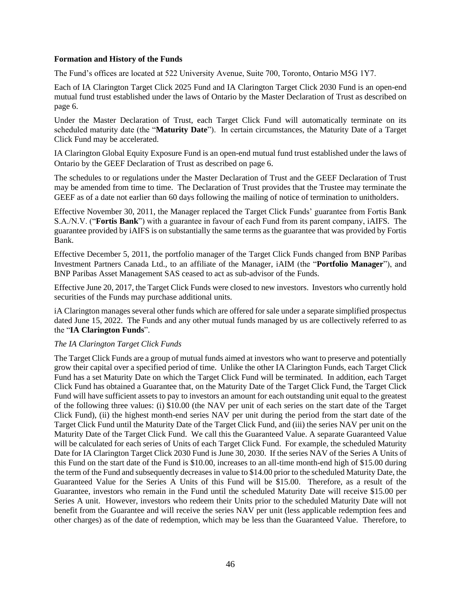#### <span id="page-48-0"></span>**Formation and History of the Funds**

The Fund's offices are located at 522 University Avenue, Suite 700, Toronto, Ontario M5G 1Y7.

Each of IA Clarington Target Click 2025 Fund and IA Clarington Target Click 2030 Fund is an open-end mutual fund trust established under the laws of Ontario by the Master Declaration of Trust as described on page [6.](#page-8-2)

Under the Master Declaration of Trust, each Target Click Fund will automatically terminate on its scheduled maturity date (the "**Maturity Date**"). In certain circumstances, the Maturity Date of a Target Click Fund may be accelerated.

IA Clarington Global Equity Exposure Fund is an open-end mutual fund trust established under the laws of Ontario by the GEEF Declaration of Trust as described on page [6](#page-8-3).

The schedules to or regulations under the Master Declaration of Trust and the GEEF Declaration of Trust may be amended from time to time. The Declaration of Trust provides that the Trustee may terminate the GEEF as of a date not earlier than 60 days following the mailing of notice of termination to unitholders.

Effective November 30, 2011, the Manager replaced the Target Click Funds' guarantee from Fortis Bank S.A./N.V. ("**Fortis Bank**") with a guarantee in favour of each Fund from its parent company, iAIFS. The guarantee provided by iAIFS is on substantially the same terms as the guarantee that was provided by Fortis Bank.

Effective December 5, 2011, the portfolio manager of the Target Click Funds changed from BNP Paribas Investment Partners Canada Ltd., to an affiliate of the Manager, iAIM (the "**Portfolio Manager**"), and BNP Paribas Asset Management SAS ceased to act as sub-advisor of the Funds.

Effective June 20, 2017, the Target Click Funds were closed to new investors. Investors who currently hold securities of the Funds may purchase additional units.

iA Clarington manages several other funds which are offered for sale under a separate simplified prospectus dated June 15, 2022. The Funds and any other mutual funds managed by us are collectively referred to as the "**IA Clarington Funds**".

#### <span id="page-48-1"></span>*The IA Clarington Target Click Funds*

The Target Click Funds are a group of mutual funds aimed at investors who want to preserve and potentially grow their capital over a specified period of time. Unlike the other IA Clarington Funds, each Target Click Fund has a set Maturity Date on which the Target Click Fund will be terminated. In addition, each Target Click Fund has obtained a Guarantee that, on the Maturity Date of the Target Click Fund, the Target Click Fund will have sufficient assets to pay to investors an amount for each outstanding unit equal to the greatest of the following three values: (i) \$10.00 (the NAV per unit of each series on the start date of the Target Click Fund), (ii) the highest month-end series NAV per unit during the period from the start date of the Target Click Fund until the Maturity Date of the Target Click Fund, and (iii) the series NAV per unit on the Maturity Date of the Target Click Fund. We call this the Guaranteed Value. A separate Guaranteed Value will be calculated for each series of Units of each Target Click Fund. For example, the scheduled Maturity Date for IA Clarington Target Click 2030 Fund is June 30, 2030. If the series NAV of the Series A Units of this Fund on the start date of the Fund is \$10.00, increases to an all-time month-end high of \$15.00 during the term of the Fund and subsequently decreases in value to \$14.00 prior to the scheduled Maturity Date, the Guaranteed Value for the Series A Units of this Fund will be \$15.00. Therefore, as a result of the Guarantee, investors who remain in the Fund until the scheduled Maturity Date will receive \$15.00 per Series A unit. However, investors who redeem their Units prior to the scheduled Maturity Date will not benefit from the Guarantee and will receive the series NAV per unit (less applicable redemption fees and other charges) as of the date of redemption, which may be less than the Guaranteed Value. Therefore, to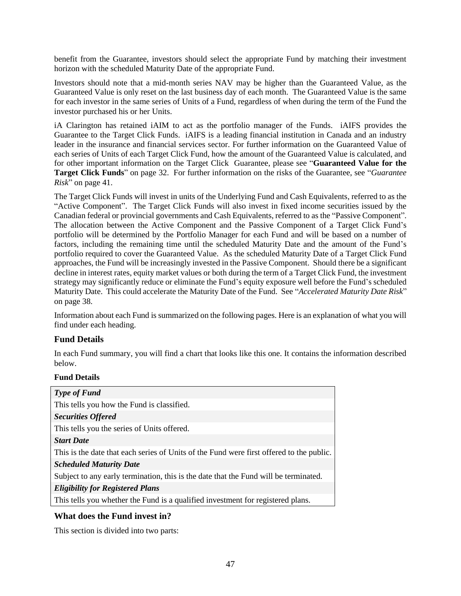benefit from the Guarantee, investors should select the appropriate Fund by matching their investment horizon with the scheduled Maturity Date of the appropriate Fund.

Investors should note that a mid-month series NAV may be higher than the Guaranteed Value, as the Guaranteed Value is only reset on the last business day of each month. The Guaranteed Value is the same for each investor in the same series of Units of a Fund, regardless of when during the term of the Fund the investor purchased his or her Units.

iA Clarington has retained iAIM to act as the portfolio manager of the Funds. iAIFS provides the Guarantee to the Target Click Funds. iAIFS is a leading financial institution in Canada and an industry leader in the insurance and financial services sector. For further information on the Guaranteed Value of each series of Units of each Target Click Fund, how the amount of the Guaranteed Value is calculated, and for other important information on the Target Click Guarantee, please see "**Guaranteed Value for the Target Click Funds**" on page [32.](#page-34-0) For further information on the risks of the Guarantee, see "*Guarantee Risk*" on page [41.](#page-43-0)

The Target Click Funds will invest in units of the Underlying Fund and Cash Equivalents, referred to as the "Active Component". The Target Click Funds will also invest in fixed income securities issued by the Canadian federal or provincial governments and Cash Equivalents, referred to as the "Passive Component". The allocation between the Active Component and the Passive Component of a Target Click Fund's portfolio will be determined by the Portfolio Manager for each Fund and will be based on a number of factors, including the remaining time until the scheduled Maturity Date and the amount of the Fund's portfolio required to cover the Guaranteed Value. As the scheduled Maturity Date of a Target Click Fund approaches, the Fund will be increasingly invested in the Passive Component. Should there be a significant decline in interest rates, equity market values or both during the term of a Target Click Fund, the investment strategy may significantly reduce or eliminate the Fund's equity exposure well before the Fund's scheduled Maturity Date. This could accelerate the Maturity Date of the Fund. See "*Accelerated Maturity Date Risk*" on page [38.](#page-40-1)

Information about each Fund is summarized on the following pages. Here is an explanation of what you will find under each heading.

## **Fund Details**

In each Fund summary, you will find a chart that looks like this one. It contains the information described below.

#### **Fund Details**

## **What does the Fund invest in?**

This section is divided into two parts: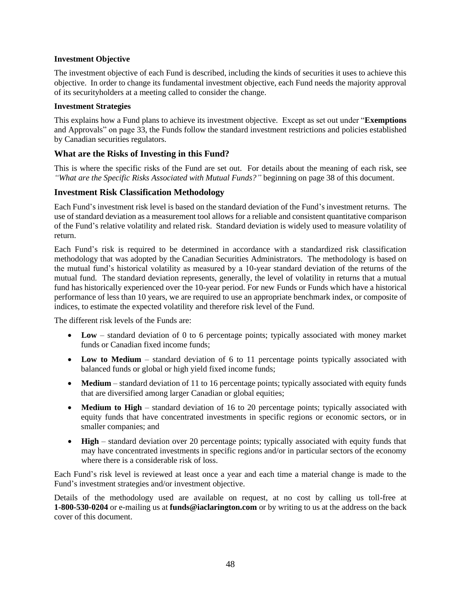#### **Investment Objective**

The investment objective of each Fund is described, including the kinds of securities it uses to achieve this objective. In order to change its fundamental investment objective, each Fund needs the majority approval of its securityholders at a meeting called to consider the change.

#### **Investment Strategies**

This explains how a Fund plans to achieve its investment objective. Except as set out under "**Exemptions**  and Approvals" on page [33,](#page-35-0) the Funds follow the standard investment restrictions and policies established by Canadian securities regulators.

## **What are the Risks of Investing in this Fund?**

This is where the specific risks of the Fund are set out. For details about the meaning of each risk, see *"What are the Specific Risks Associated with Mutual Funds?"* beginning on pag[e 38](#page-40-0) of this document.

## <span id="page-50-0"></span>**Investment Risk Classification Methodology**

Each Fund's investment risk level is based on the standard deviation of the Fund's investment returns. The use of standard deviation as a measurement tool allows for a reliable and consistent quantitative comparison of the Fund's relative volatility and related risk. Standard deviation is widely used to measure volatility of return.

Each Fund's risk is required to be determined in accordance with a standardized risk classification methodology that was adopted by the Canadian Securities Administrators. The methodology is based on the mutual fund's historical volatility as measured by a 10-year standard deviation of the returns of the mutual fund. The standard deviation represents, generally, the level of volatility in returns that a mutual fund has historically experienced over the 10-year period. For new Funds or Funds which have a historical performance of less than 10 years, we are required to use an appropriate benchmark index, or composite of indices, to estimate the expected volatility and therefore risk level of the Fund.

The different risk levels of the Funds are:

- Low standard deviation of 0 to 6 percentage points; typically associated with money market funds or Canadian fixed income funds;
- Low to Medium standard deviation of 6 to 11 percentage points typically associated with balanced funds or global or high yield fixed income funds;
- **Medium** standard deviation of 11 to 16 percentage points; typically associated with equity funds that are diversified among larger Canadian or global equities;
- **Medium to High** standard deviation of 16 to 20 percentage points; typically associated with equity funds that have concentrated investments in specific regions or economic sectors, or in smaller companies; and
- **High** standard deviation over 20 percentage points; typically associated with equity funds that may have concentrated investments in specific regions and/or in particular sectors of the economy where there is a considerable risk of loss.

Each Fund's risk level is reviewed at least once a year and each time a material change is made to the Fund's investment strategies and/or investment objective.

Details of the methodology used are available on request, at no cost by calling us toll-free at **1-800-530-0204** or e-mailing us at **[funds@iaclarington.com](mailto:funds@iaclarington.com)** or by writing to us at the address on the back cover of this document.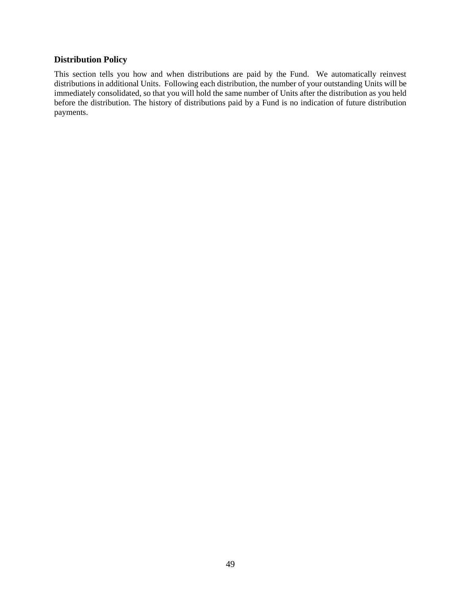## **Distribution Policy**

This section tells you how and when distributions are paid by the Fund. We automatically reinvest distributions in additional Units. Following each distribution, the number of your outstanding Units will be immediately consolidated, so that you will hold the same number of Units after the distribution as you held before the distribution. The history of distributions paid by a Fund is no indication of future distribution payments.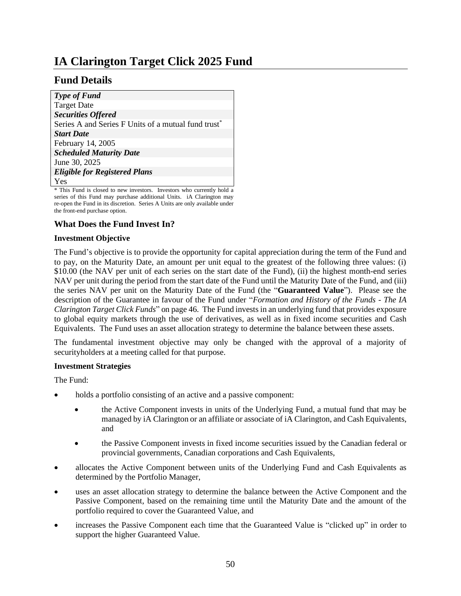# <span id="page-52-0"></span>**IA Clarington Target Click 2025 Fund**

## **Fund Details**

| <b>Type of Fund</b>                                             |
|-----------------------------------------------------------------|
| <b>Target Date</b>                                              |
| <b>Securities Offered</b>                                       |
| Series A and Series F Units of a mutual fund trust <sup>*</sup> |
| <b>Start Date</b>                                               |
| February 14, 2005                                               |
| <b>Scheduled Maturity Date</b>                                  |
| June 30, 2025                                                   |
| <b>Eligible for Registered Plans</b>                            |
| Yes                                                             |

\* This Fund is closed to new investors. Investors who currently hold a series of this Fund may purchase additional Units. iA Clarington may re-open the Fund in its discretion. Series A Units are only available under the front-end purchase option.

## **What Does the Fund Invest In?**

#### **Investment Objective**

The Fund's objective is to provide the opportunity for capital appreciation during the term of the Fund and to pay, on the Maturity Date, an amount per unit equal to the greatest of the following three values: (i) \$10.00 (the NAV per unit of each series on the start date of the Fund), (ii) the highest month-end series NAV per unit during the period from the start date of the Fund until the Maturity Date of the Fund, and (iii) the series NAV per unit on the Maturity Date of the Fund (the "**Guaranteed Value**"). Please see the description of the Guarantee in favour of the Fund under "*Formation and History of the Funds - The IA Clarington Target Click Funds*" on page 46. The Fund invests in an underlying fund that provides exposure to global equity markets through the use of derivatives, as well as in fixed income securities and Cash Equivalents. The Fund uses an asset allocation strategy to determine the balance between these assets.

The fundamental investment objective may only be changed with the approval of a majority of securityholders at a meeting called for that purpose.

#### **Investment Strategies**

The Fund:

- holds a portfolio consisting of an active and a passive component:
	- the Active Component invests in units of the Underlying Fund, a mutual fund that may be managed by iA Clarington or an affiliate or associate of iA Clarington, and Cash Equivalents, and
	- the Passive Component invests in fixed income securities issued by the Canadian federal or provincial governments, Canadian corporations and Cash Equivalents,
- allocates the Active Component between units of the Underlying Fund and Cash Equivalents as determined by the Portfolio Manager,
- uses an asset allocation strategy to determine the balance between the Active Component and the Passive Component, based on the remaining time until the Maturity Date and the amount of the portfolio required to cover the Guaranteed Value, and
- increases the Passive Component each time that the Guaranteed Value is "clicked up" in order to support the higher Guaranteed Value.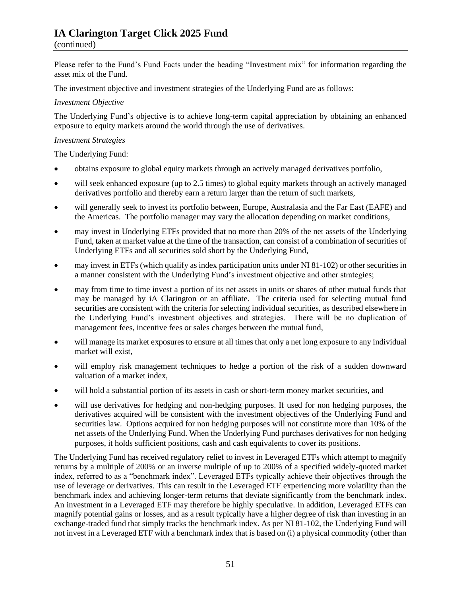## **IA Clarington Target Click 2025 Fund**

#### (continued)

Please refer to the Fund's Fund Facts under the heading "Investment mix" for information regarding the asset mix of the Fund.

The investment objective and investment strategies of the Underlying Fund are as follows:

#### *Investment Objective*

The Underlying Fund's objective is to achieve long-term capital appreciation by obtaining an enhanced exposure to equity markets around the world through the use of derivatives.

#### *Investment Strategies*

The Underlying Fund:

- obtains exposure to global equity markets through an actively managed derivatives portfolio,
- will seek enhanced exposure (up to 2.5 times) to global equity markets through an actively managed derivatives portfolio and thereby earn a return larger than the return of such markets,
- will generally seek to invest its portfolio between, Europe, Australasia and the Far East (EAFE) and the Americas. The portfolio manager may vary the allocation depending on market conditions,
- may invest in Underlying ETFs provided that no more than 20% of the net assets of the Underlying Fund, taken at market value at the time of the transaction, can consist of a combination of securities of Underlying ETFs and all securities sold short by the Underlying Fund,
- may invest in ETFs (which qualify as index participation units under NI 81-102) or other securities in a manner consistent with the Underlying Fund's investment objective and other strategies;
- may from time to time invest a portion of its net assets in units or shares of other mutual funds that may be managed by iA Clarington or an affiliate. The criteria used for selecting mutual fund securities are consistent with the criteria for selecting individual securities, as described elsewhere in the Underlying Fund's investment objectives and strategies. There will be no duplication of management fees, incentive fees or sales charges between the mutual fund,
- will manage its market exposures to ensure at all times that only a net long exposure to any individual market will exist,
- will employ risk management techniques to hedge a portion of the risk of a sudden downward valuation of a market index,
- will hold a substantial portion of its assets in cash or short-term money market securities, and
- will use derivatives for hedging and non-hedging purposes. If used for non hedging purposes, the derivatives acquired will be consistent with the investment objectives of the Underlying Fund and securities law. Options acquired for non hedging purposes will not constitute more than 10% of the net assets of the Underlying Fund. When the Underlying Fund purchases derivatives for non hedging purposes, it holds sufficient positions, cash and cash equivalents to cover its positions.

The Underlying Fund has received regulatory relief to invest in Leveraged ETFs which attempt to magnify returns by a multiple of 200% or an inverse multiple of up to 200% of a specified widely-quoted market index, referred to as a "benchmark index". Leveraged ETFs typically achieve their objectives through the use of leverage or derivatives. This can result in the Leveraged ETF experiencing more volatility than the benchmark index and achieving longer-term returns that deviate significantly from the benchmark index. An investment in a Leveraged ETF may therefore be highly speculative. In addition, Leveraged ETFs can magnify potential gains or losses, and as a result typically have a higher degree of risk than investing in an exchange-traded fund that simply tracks the benchmark index. As per NI 81-102, the Underlying Fund will not invest in a Leveraged ETF with a benchmark index that is based on (i) a physical commodity (other than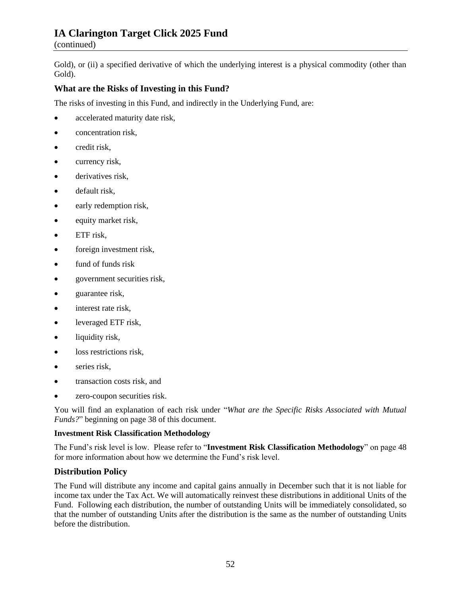## **IA Clarington Target Click 2025 Fund**

(continued)

Gold), or (ii) a specified derivative of which the underlying interest is a physical commodity (other than Gold).

## **What are the Risks of Investing in this Fund?**

The risks of investing in this Fund, and indirectly in the Underlying Fund, are:

- accelerated maturity date risk,
- concentration risk,
- credit risk.
- currency risk,
- derivatives risk,
- default risk,
- early redemption risk,
- equity market risk,
- ETF risk,
- foreign investment risk,
- fund of funds risk
- government securities risk,
- guarantee risk,
- interest rate risk,
- leveraged ETF risk,
- liquidity risk,
- loss restrictions risk,
- series risk,
- transaction costs risk, and
- zero-coupon securities risk.

You will find an explanation of each risk under "*What are the Specific Risks Associated with Mutual Funds?*" beginning on pag[e 38](#page-40-0) of this document.

## **Investment Risk Classification Methodology**

The Fund's risk level is low. Please refer to "**Investment Risk Classification Methodology**" on page [48](#page-50-0) for more information about how we determine the Fund's risk level.

## **Distribution Policy**

The Fund will distribute any income and capital gains annually in December such that it is not liable for income tax under the Tax Act. We will automatically reinvest these distributions in additional Units of the Fund. Following each distribution, the number of outstanding Units will be immediately consolidated, so that the number of outstanding Units after the distribution is the same as the number of outstanding Units before the distribution.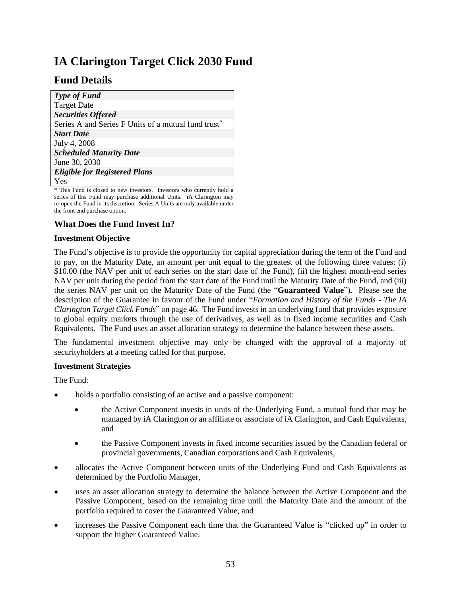# <span id="page-55-0"></span>**IA Clarington Target Click 2030 Fund**

## **Fund Details**

| <b>Type of Fund</b>                                             |
|-----------------------------------------------------------------|
| <b>Target Date</b>                                              |
| <b>Securities Offered</b>                                       |
| Series A and Series F Units of a mutual fund trust <sup>*</sup> |
| <b>Start Date</b>                                               |
| July 4, 2008                                                    |
| <b>Scheduled Maturity Date</b>                                  |
| June 30, 2030                                                   |
| <b>Eligible for Registered Plans</b>                            |
| Yes                                                             |

\* This Fund is closed to new investors. Investors who currently hold a series of this Fund may purchase additional Units. iA Clarington may re-open the Fund in its discretion. Series A Units are only available under the front end purchase option.

## **What Does the Fund Invest In?**

#### **Investment Objective**

The Fund's objective is to provide the opportunity for capital appreciation during the term of the Fund and to pay, on the Maturity Date, an amount per unit equal to the greatest of the following three values: (i) \$10.00 (the NAV per unit of each series on the start date of the Fund), (ii) the highest month-end series NAV per unit during the period from the start date of the Fund until the Maturity Date of the Fund, and (iii) the series NAV per unit on the Maturity Date of the Fund (the "**Guaranteed Value**"). Please see the description of the Guarantee in favour of the Fund under "*Formation and History of the Funds - The IA Clarington Target Click Funds*" on pag[e 46.](#page-48-1) The Fund invests in an underlying fund that provides exposure to global equity markets through the use of derivatives, as well as in fixed income securities and Cash Equivalents. The Fund uses an asset allocation strategy to determine the balance between these assets.

The fundamental investment objective may only be changed with the approval of a majority of securityholders at a meeting called for that purpose.

#### **Investment Strategies**

The Fund:

- holds a portfolio consisting of an active and a passive component:
	- the Active Component invests in units of the Underlying Fund, a mutual fund that may be managed by iA Clarington or an affiliate or associate of iA Clarington, and Cash Equivalents, and
	- the Passive Component invests in fixed income securities issued by the Canadian federal or provincial governments, Canadian corporations and Cash Equivalents,
- allocates the Active Component between units of the Underlying Fund and Cash Equivalents as determined by the Portfolio Manager,
- uses an asset allocation strategy to determine the balance between the Active Component and the Passive Component, based on the remaining time until the Maturity Date and the amount of the portfolio required to cover the Guaranteed Value, and
- increases the Passive Component each time that the Guaranteed Value is "clicked up" in order to support the higher Guaranteed Value.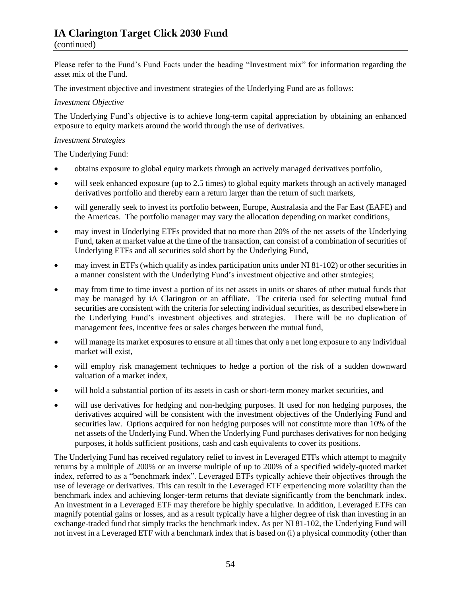## **IA Clarington Target Click 2030 Fund**

#### (continued)

Please refer to the Fund's Fund Facts under the heading "Investment mix" for information regarding the asset mix of the Fund.

The investment objective and investment strategies of the Underlying Fund are as follows:

#### *Investment Objective*

The Underlying Fund's objective is to achieve long-term capital appreciation by obtaining an enhanced exposure to equity markets around the world through the use of derivatives.

#### *Investment Strategies*

The Underlying Fund:

- obtains exposure to global equity markets through an actively managed derivatives portfolio,
- will seek enhanced exposure (up to 2.5 times) to global equity markets through an actively managed derivatives portfolio and thereby earn a return larger than the return of such markets,
- will generally seek to invest its portfolio between, Europe, Australasia and the Far East (EAFE) and the Americas. The portfolio manager may vary the allocation depending on market conditions,
- may invest in Underlying ETFs provided that no more than 20% of the net assets of the Underlying Fund, taken at market value at the time of the transaction, can consist of a combination of securities of Underlying ETFs and all securities sold short by the Underlying Fund,
- may invest in ETFs (which qualify as index participation units under NI 81-102) or other securities in a manner consistent with the Underlying Fund's investment objective and other strategies;
- may from time to time invest a portion of its net assets in units or shares of other mutual funds that may be managed by iA Clarington or an affiliate. The criteria used for selecting mutual fund securities are consistent with the criteria for selecting individual securities, as described elsewhere in the Underlying Fund's investment objectives and strategies. There will be no duplication of management fees, incentive fees or sales charges between the mutual fund,
- will manage its market exposures to ensure at all times that only a net long exposure to any individual market will exist,
- will employ risk management techniques to hedge a portion of the risk of a sudden downward valuation of a market index,
- will hold a substantial portion of its assets in cash or short-term money market securities, and
- will use derivatives for hedging and non-hedging purposes. If used for non hedging purposes, the derivatives acquired will be consistent with the investment objectives of the Underlying Fund and securities law. Options acquired for non hedging purposes will not constitute more than 10% of the net assets of the Underlying Fund. When the Underlying Fund purchases derivatives for non hedging purposes, it holds sufficient positions, cash and cash equivalents to cover its positions.

The Underlying Fund has received regulatory relief to invest in Leveraged ETFs which attempt to magnify returns by a multiple of 200% or an inverse multiple of up to 200% of a specified widely-quoted market index, referred to as a "benchmark index". Leveraged ETFs typically achieve their objectives through the use of leverage or derivatives. This can result in the Leveraged ETF experiencing more volatility than the benchmark index and achieving longer-term returns that deviate significantly from the benchmark index. An investment in a Leveraged ETF may therefore be highly speculative. In addition, Leveraged ETFs can magnify potential gains or losses, and as a result typically have a higher degree of risk than investing in an exchange-traded fund that simply tracks the benchmark index. As per NI 81-102, the Underlying Fund will not invest in a Leveraged ETF with a benchmark index that is based on (i) a physical commodity (other than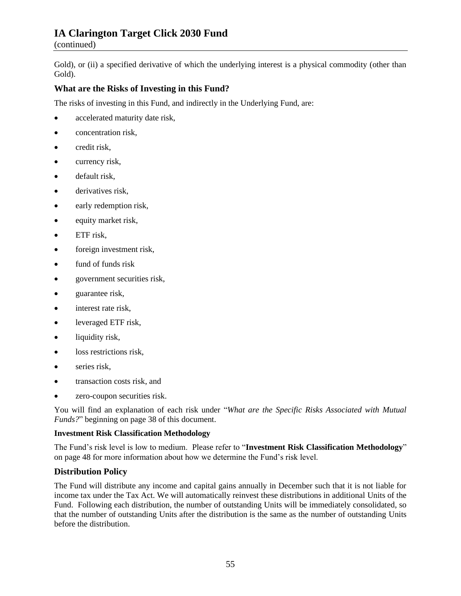## **IA Clarington Target Click 2030 Fund**

(continued)

Gold), or (ii) a specified derivative of which the underlying interest is a physical commodity (other than Gold).

## **What are the Risks of Investing in this Fund?**

The risks of investing in this Fund, and indirectly in the Underlying Fund, are:

- accelerated maturity date risk,
- concentration risk,
- credit risk.
- currency risk,
- default risk,
- derivatives risk,
- early redemption risk,
- equity market risk,
- ETF risk,
- foreign investment risk,
- fund of funds risk
- government securities risk,
- guarantee risk,
- interest rate risk,
- leveraged ETF risk,
- liquidity risk,
- loss restrictions risk,
- series risk,
- transaction costs risk, and
- zero-coupon securities risk.

You will find an explanation of each risk under "*What are the Specific Risks Associated with Mutual Funds?*" beginning on pag[e 38](#page-40-0) of this document.

## **Investment Risk Classification Methodology**

The Fund's risk level is low to medium. Please refer to "**Investment Risk Classification Methodology**" on page [48](#page-50-0) for more information about how we determine the Fund's risk level.

## **Distribution Policy**

The Fund will distribute any income and capital gains annually in December such that it is not liable for income tax under the Tax Act. We will automatically reinvest these distributions in additional Units of the Fund. Following each distribution, the number of outstanding Units will be immediately consolidated, so that the number of outstanding Units after the distribution is the same as the number of outstanding Units before the distribution.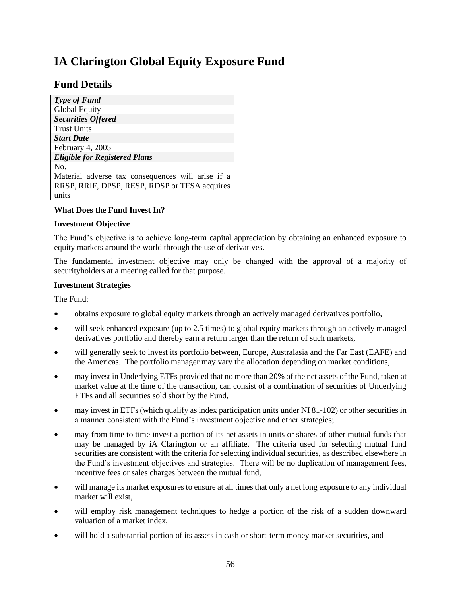# <span id="page-58-0"></span>**IA Clarington Global Equity Exposure Fund**

## **Fund Details**

| <b>Type of Fund</b>                               |
|---------------------------------------------------|
| <b>Global Equity</b>                              |
| <b>Securities Offered</b>                         |
| <b>Trust Units</b>                                |
| <b>Start Date</b>                                 |
| February 4, 2005                                  |
| <b>Eligible for Registered Plans</b>              |
| No.                                               |
| Material adverse tax consequences will arise if a |
| RRSP, RRIF, DPSP, RESP, RDSP or TFSA acquires     |
| units                                             |
|                                                   |

## **What Does the Fund Invest In?**

#### **Investment Objective**

The Fund's objective is to achieve long-term capital appreciation by obtaining an enhanced exposure to equity markets around the world through the use of derivatives.

The fundamental investment objective may only be changed with the approval of a majority of securityholders at a meeting called for that purpose.

#### **Investment Strategies**

The Fund:

- obtains exposure to global equity markets through an actively managed derivatives portfolio,
- will seek enhanced exposure (up to 2.5 times) to global equity markets through an actively managed derivatives portfolio and thereby earn a return larger than the return of such markets,
- will generally seek to invest its portfolio between, Europe, Australasia and the Far East (EAFE) and the Americas. The portfolio manager may vary the allocation depending on market conditions,
- may invest in Underlying ETFs provided that no more than 20% of the net assets of the Fund, taken at market value at the time of the transaction, can consist of a combination of securities of Underlying ETFs and all securities sold short by the Fund,
- may invest in ETFs (which qualify as index participation units under NI 81-102) or other securities in a manner consistent with the Fund's investment objective and other strategies;
- may from time to time invest a portion of its net assets in units or shares of other mutual funds that may be managed by iA Clarington or an affiliate. The criteria used for selecting mutual fund securities are consistent with the criteria for selecting individual securities, as described elsewhere in the Fund's investment objectives and strategies. There will be no duplication of management fees, incentive fees or sales charges between the mutual fund,
- will manage its market exposures to ensure at all times that only a net long exposure to any individual market will exist,
- will employ risk management techniques to hedge a portion of the risk of a sudden downward valuation of a market index,
- will hold a substantial portion of its assets in cash or short-term money market securities, and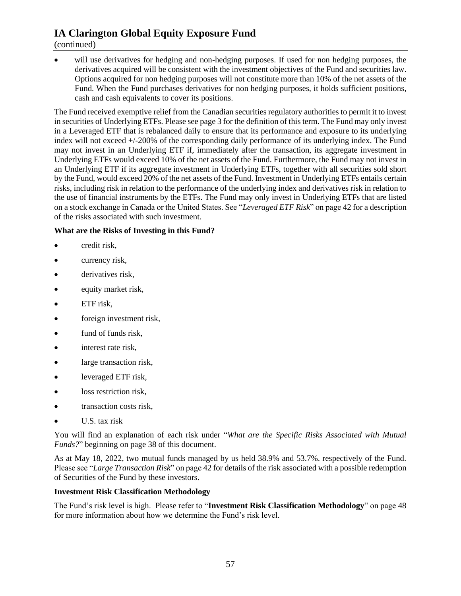## **IA Clarington Global Equity Exposure Fund**

## (continued)

will use derivatives for hedging and non-hedging purposes. If used for non hedging purposes, the derivatives acquired will be consistent with the investment objectives of the Fund and securities law. Options acquired for non hedging purposes will not constitute more than 10% of the net assets of the Fund. When the Fund purchases derivatives for non hedging purposes, it holds sufficient positions, cash and cash equivalents to cover its positions.

The Fund received exemptive relief from the Canadian securities regulatory authorities to permit it to invest in securities of Underlying ETFs. Please see page [3](#page-5-2) for the definition of this term. The Fund may only invest in a Leveraged ETF that is rebalanced daily to ensure that its performance and exposure to its underlying index will not exceed +/-200% of the corresponding daily performance of its underlying index. The Fund may not invest in an Underlying ETF if, immediately after the transaction, its aggregate investment in Underlying ETFs would exceed 10% of the net assets of the Fund. Furthermore, the Fund may not invest in an Underlying ETF if its aggregate investment in Underlying ETFs, together with all securities sold short by the Fund, would exceed 20% of the net assets of the Fund. Investment in Underlying ETFs entails certain risks, including risk in relation to the performance of the underlying index and derivatives risk in relation to the use of financial instruments by the ETFs. The Fund may only invest in Underlying ETFs that are listed on a stock exchange in Canada or the United States. See "*Leveraged ETF Risk*" on pag[e 42](#page-44-0) for a description of the risks associated with such investment.

## **What are the Risks of Investing in this Fund?**

- credit risk,
- currency risk,
- derivatives risk.
- equity market risk,
- ETF risk.
- foreign investment risk,
- fund of funds risk.
- interest rate risk,
- large transaction risk,
- leveraged ETF risk,
- loss restriction risk,
- transaction costs risk,
- U.S. tax risk

You will find an explanation of each risk under "*What are the Specific Risks Associated with Mutual Funds?*" beginning on pag[e 38](#page-40-0) of this document.

As at May 18, 2022, two mutual funds managed by us held 38.9% and 53.7%. respectively of the Fund. Please see "*Large Transaction Risk*" on page 42 for details of the risk associated with a possible redemption of Securities of the Fund by these investors.

## **Investment Risk Classification Methodology**

The Fund's risk level is high. Please refer to "**Investment Risk Classification Methodology**" on page [48](#page-50-0) for more information about how we determine the Fund's risk level.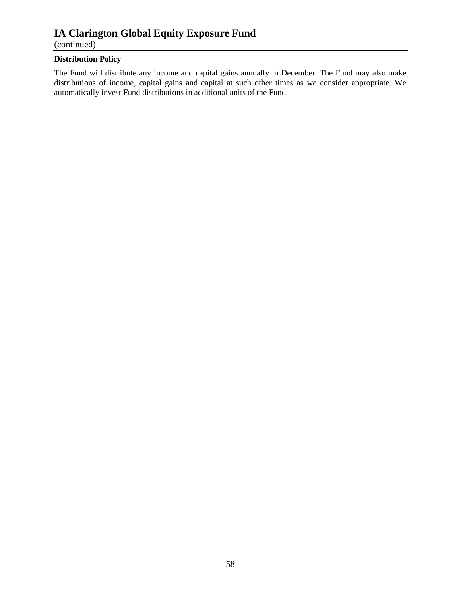## **IA Clarington Global Equity Exposure Fund**

(continued)

## **Distribution Policy**

The Fund will distribute any income and capital gains annually in December. The Fund may also make distributions of income, capital gains and capital at such other times as we consider appropriate. We automatically invest Fund distributions in additional units of the Fund.